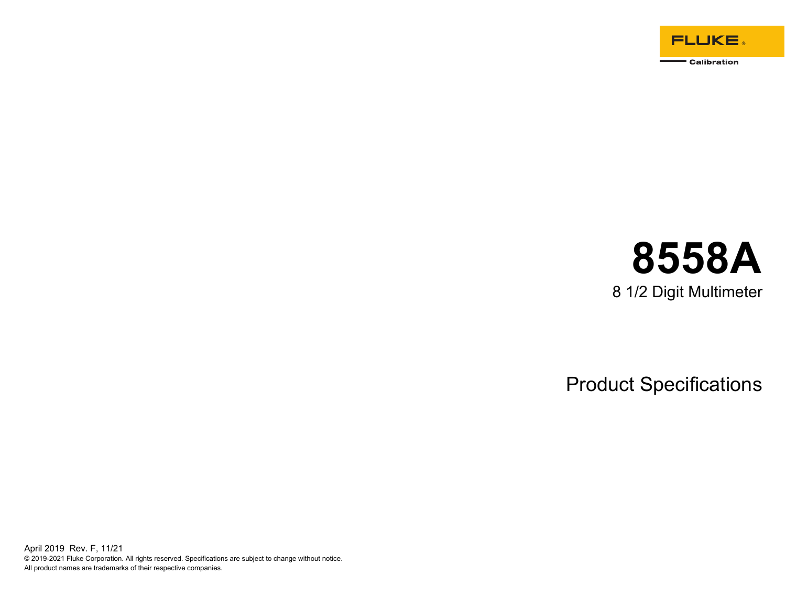

# **8558A**  8 1/2 Digit Multimeter

Product Specifications

April 2019 Rev. F, 11/21 © 2019-2021 Fluke Corporation. All rights reserved. Specifications are subject to change without notice. All product names are trademarks of their respective companies.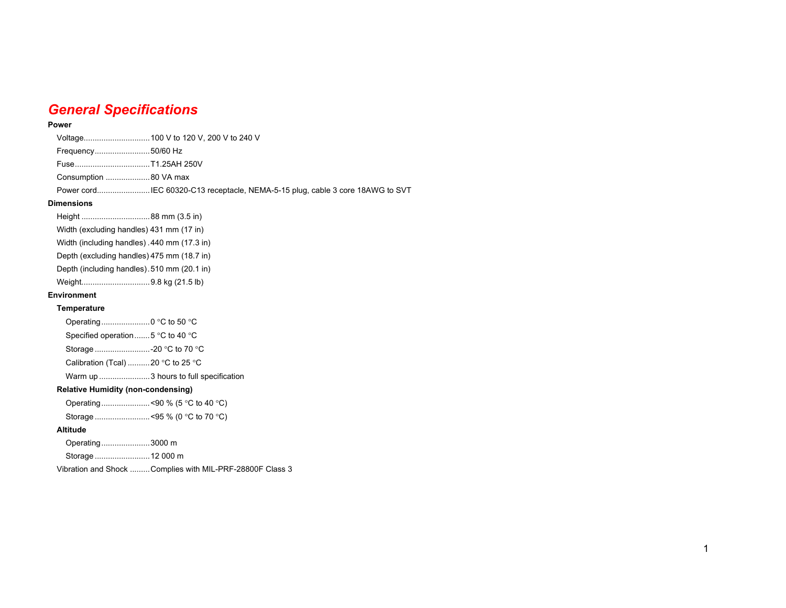## *General Specifications*

#### **Power**

| Frequency50/60 Hz |  |
|-------------------|--|
|                   |  |
|                   |  |
|                   |  |

#### **Dimensions**

| Height 88 mm (3.5 in)                    |                                             |
|------------------------------------------|---------------------------------------------|
| Width (excluding handles) 431 mm (17 in) |                                             |
|                                          | Width (including handles) 440 mm (17.3 in)  |
|                                          | Depth (excluding handles) 475 mm (18.7 in)  |
|                                          | Depth (including handles). 510 mm (20.1 in) |
| Weight9.8 kg (21.5 lb)                   |                                             |
| <b>Environment</b>                       |                                             |
|                                          |                                             |

### **Temperature**

| Operating0 °C to 50 °C                               |  |
|------------------------------------------------------|--|
| Specified operation  5 $\degree$ C to 40 $\degree$ C |  |
| Storage -20 °C to 70 °C                              |  |
| Calibration (Tcal) 20 °C to 25 °C                    |  |
|                                                      |  |
|                                                      |  |

### **Relative Humidity (non-condensing)**

Storage ......................... <95 % (0 °C to 70 °C)

### **Altitude**

Operating ...................... 3000 m

Storage ......................... 12 000 m

Vibration and Shock ......... Complies with MIL-PRF-28800F Class 3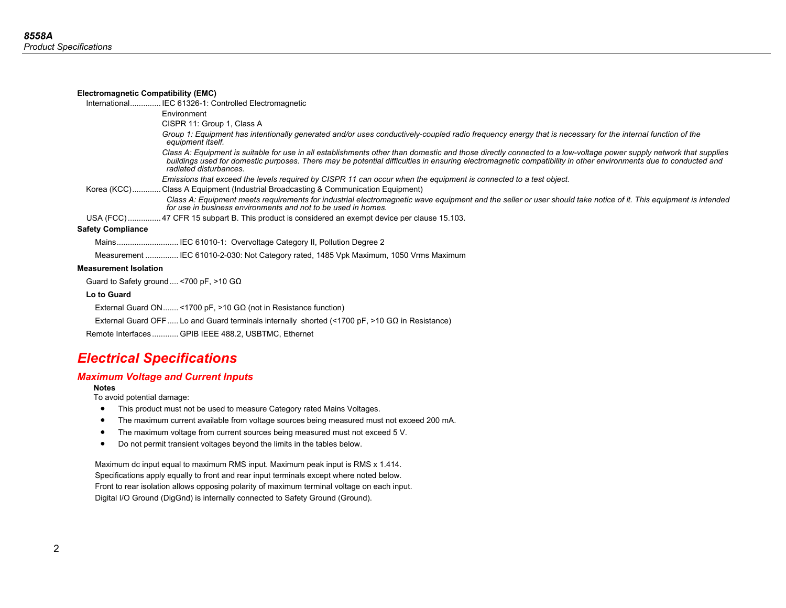| <b>Electromagnetic Compatibility (EMC)</b> |                                                                                                                                                                                                                                                                                                                                                               |
|--------------------------------------------|---------------------------------------------------------------------------------------------------------------------------------------------------------------------------------------------------------------------------------------------------------------------------------------------------------------------------------------------------------------|
|                                            | InternationalIEC 61326-1: Controlled Electromagnetic                                                                                                                                                                                                                                                                                                          |
|                                            | Environment                                                                                                                                                                                                                                                                                                                                                   |
|                                            | CISPR 11: Group 1, Class A                                                                                                                                                                                                                                                                                                                                    |
|                                            | Group 1: Equipment has intentionally generated and/or uses conductively-coupled radio frequency energy that is necessary for the internal function of the<br>equipment itself.                                                                                                                                                                                |
|                                            | Class A: Equipment is suitable for use in all establishments other than domestic and those directly connected to a low-voltage power supply network that supplies<br>buildings used for domestic purposes. There may be potential difficulties in ensuring electromagnetic compatibility in other environments due to conducted and<br>radiated disturbances. |
|                                            | Emissions that exceed the levels required by CISPR 11 can occur when the equipment is connected to a test object.                                                                                                                                                                                                                                             |
|                                            | Korea (KCC) Class A Equipment (Industrial Broadcasting & Communication Equipment)                                                                                                                                                                                                                                                                             |
|                                            | Class A: Equipment meets requirements for industrial electromagnetic wave equipment and the seller or user should take notice of it. This equipment is intended<br>for use in business environments and not to be used in homes.                                                                                                                              |
|                                            | USA (FCC)47 CFR 15 subpart B. This product is considered an exempt device per clause 15.103.                                                                                                                                                                                                                                                                  |
| <b>Safety Compliance</b>                   |                                                                                                                                                                                                                                                                                                                                                               |
|                                            | Mains IEC 61010-1: Overvoltage Category II, Pollution Degree 2                                                                                                                                                                                                                                                                                                |
|                                            | Measurement  IEC 61010-2-030: Not Category rated, 1485 Vpk Maximum, 1050 Vrms Maximum                                                                                                                                                                                                                                                                         |
| <b>Measurement Isolation</b>               |                                                                                                                                                                                                                                                                                                                                                               |
|                                            | Guard to Safety ground  < 700 pF, > 10 G $\Omega$                                                                                                                                                                                                                                                                                                             |
| Lo to Guard                                |                                                                                                                                                                                                                                                                                                                                                               |
|                                            | External Guard ON <1700 pF, >10 G $\Omega$ (not in Resistance function)                                                                                                                                                                                                                                                                                       |
|                                            | External Guard OFF Lo and Guard terminals internally shorted (<1700 pF, >10 G $\Omega$ in Resistance)                                                                                                                                                                                                                                                         |
|                                            | Remote Interfaces GPIB IEEE 488.2, USBTMC, Ethernet                                                                                                                                                                                                                                                                                                           |

## *Electrical Specifications*

### *Maximum Voltage and Current Inputs*

**Notes**

To avoid potential damage:

- This product must not be used to measure Category rated Mains Voltages.
- $\bullet$ The maximum current available from voltage sources being measured must not exceed 200 mA.
- •The maximum voltage from current sources being measured must not exceed 5 V.
- $\bullet$ Do not permit transient voltages beyond the limits in the tables below.

 Maximum dc input equal to maximum RMS input. Maximum peak input is RMS x 1.414. Specifications apply equally to front and rear input terminals except where noted below. Front to rear isolation allows opposing polarity of maximum terminal voltage on each input. Digital I/O Ground (DigGnd) is internally connected to Safety Ground (Ground).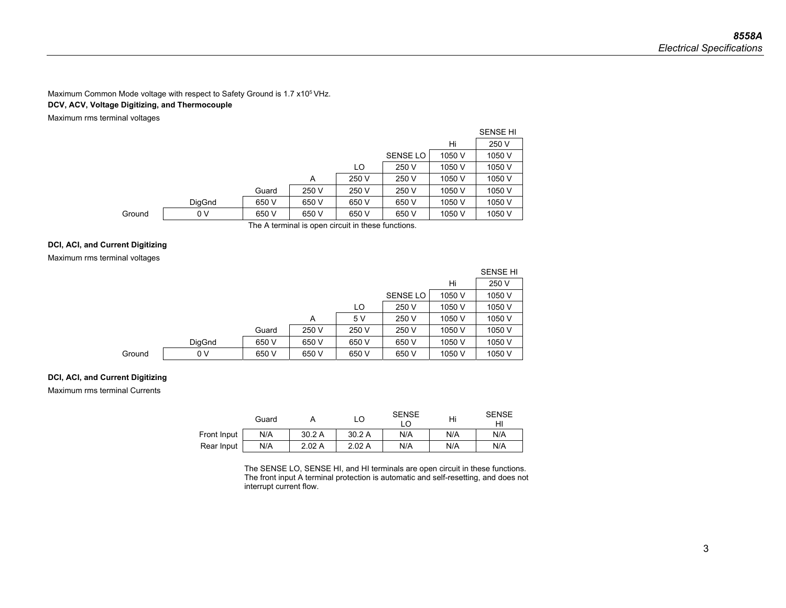### Maximum Common Mode voltage with respect to Safety Ground is 1.7 x10<sup>5</sup> VHz.

### **DCV, ACV, Voltage Digitizing, and Thermocouple**

Maximum rms terminal voltages

|        |        |       |                                                    |       |                 |        | <b>SENSE HI</b> |
|--------|--------|-------|----------------------------------------------------|-------|-----------------|--------|-----------------|
|        |        |       |                                                    |       |                 | Hi     | 250 V           |
|        |        |       |                                                    |       | <b>SENSE LO</b> | 1050 V | 1050 V          |
|        |        |       |                                                    | LO    | 250 V           | 1050 V | 1050 V          |
|        |        |       | A                                                  | 250 V | 250 V           | 1050 V | 1050 V          |
|        |        | Guard | 250 V                                              | 250 V | 250 V           | 1050 V | 1050 V          |
|        | DigGnd | 650 V | 650 V                                              | 650 V | 650 V           | 1050 V | 1050 V          |
| Ground | 0 V    | 650 V | 650 V                                              | 650 V | 650 V           | 1050 V | 1050 V          |
|        |        |       | The A terminal is open circuit in these functions. |       |                 |        |                 |

### **DCI, ACI, and Current Digitizing**

### Maximum rms terminal voltages

|        |                |       |       |       |                 |        | <b>SENSE HI</b> |
|--------|----------------|-------|-------|-------|-----------------|--------|-----------------|
|        |                |       |       |       |                 | Hi     | 250 V           |
|        |                |       |       |       | <b>SENSE LO</b> | 1050 V | 1050 V          |
|        |                |       |       | LO    | 250 V           | 1050 V | 1050 V          |
|        |                |       | A     | 5 V   | 250 V           | 1050 V | 1050 V          |
|        |                | Guard | 250 V | 250 V | 250 V           | 1050 V | 1050 V          |
|        | DigGnd         | 650 V | 650 V | 650 V | 650 V           | 1050 V | 1050 V          |
| Ground | 0 <sub>V</sub> | 650 V | 650 V | 650 V | 650 V           | 1050 V | 1050 V          |

### **DCI, ACI, and Current Digitizing**

Maximum rms terminal Currents

|             | Guard |       |       | <b>SENSE</b><br>LO | Hi  | <b>SENSE</b><br>HI |
|-------------|-------|-------|-------|--------------------|-----|--------------------|
| Front Input | N/A   | 30.2A | 30.2A | N/A                | N/A | N/A                |
| Rear Input  | N/A   | 2.02A | 2.02A | N/A                | N/A | N/A                |

The SENSE LO, SENSE HI, and HI terminals are open circuit in these functions. The front input A terminal protection is automatic and self-resetting, and does not interrupt current flow.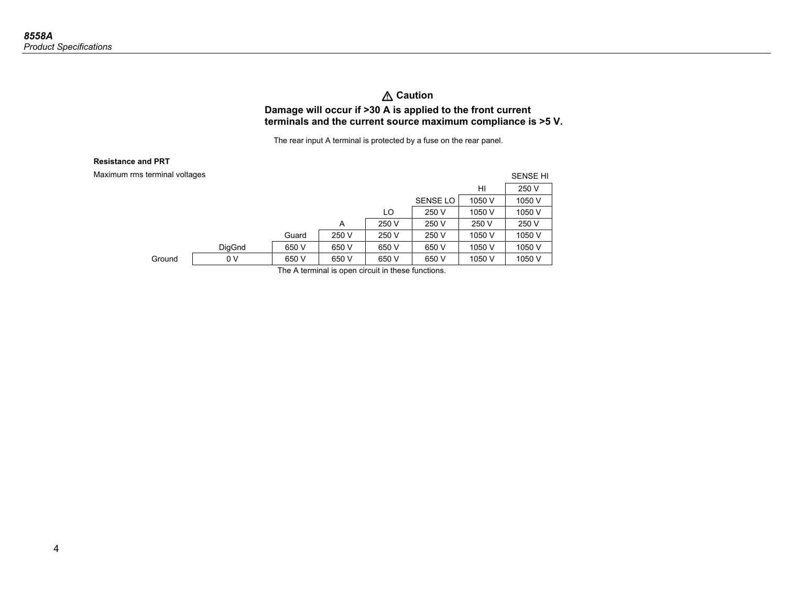### W **Caution Damage will occur if >30 A is applied to the front current terminals and the current source maximum compliance is >5 V.**

The rear input A terminal is protected by a fuse on the rear panel.

#### **Resistance and PRT**

| Maximum rms terminal voltages |                |       |       |       |                 |        | <b>SENSE HI</b> |
|-------------------------------|----------------|-------|-------|-------|-----------------|--------|-----------------|
|                               |                |       |       |       |                 | HI     | 250 V           |
|                               |                |       |       |       | <b>SENSE LO</b> | 1050 V | 1050 V          |
|                               |                |       |       | LO    | 250 V           | 1050 V | 1050 V          |
|                               |                |       | A     | 250 V | 250 V           | 250 V  | 250 V           |
|                               |                | Guard | 250 V | 250 V | 250 V           | 1050 V | 1050 V          |
|                               | DigGnd         | 650 V | 650 V | 650 V | 650 V           | 1050 V | 1050 V          |
| Ground                        | 0 <sub>V</sub> | 650 V | 650 V | 650 V | 650 V           | 1050 V | 1050 V          |

The A terminal is open circuit in these functions.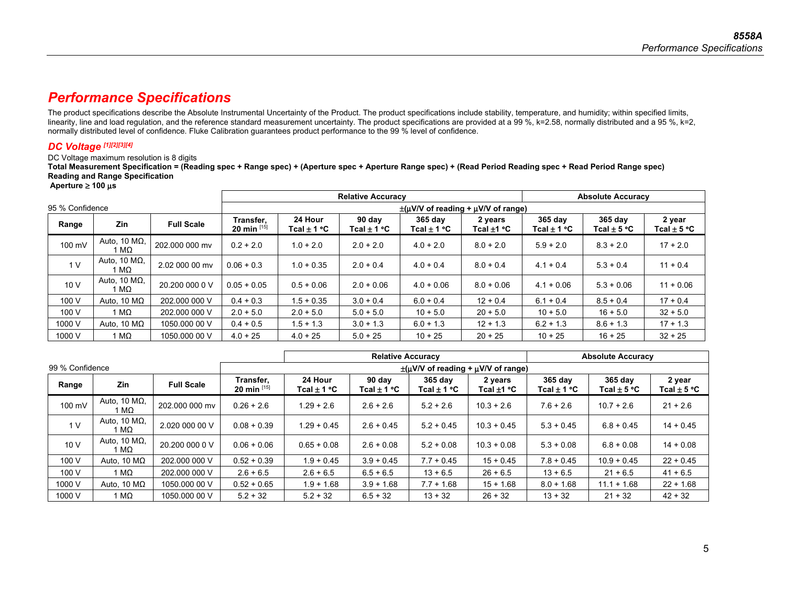## *Performance Specifications*

The product specifications describe the Absolute Instrumental Uncertainty of the Product. The product specifications include stability, temperature, and humidity; within specified limits, linearity, line and load regulation, and the reference standard measurement uncertainty. The product specifications are provided at a 99 %, k=2.58, normally distributed and a 95 %, k=2, normally distributed level of confidence. Fluke Calibration guarantees product performance to the 99 % level of confidence.

### *DC Voltage [1][2][3][4]*

### DC Voltage maximum resolution is 8 digits

**Total Measurement Specification = (Reading spec + Range spec) + (Aperture spec + Aperture Range spec) + (Read Period Reading spec + Read Period Range spec) Reading and Range Specification** 

 **Aperture** ≥ **100** μ**<sup>s</sup>**

|                 |                              |                   |                               |                                              | <b>Relative Accuracy</b> |                        |                            |                              | <b>Absolute Accuracy</b>   |                           |  |  |  |
|-----------------|------------------------------|-------------------|-------------------------------|----------------------------------------------|--------------------------|------------------------|----------------------------|------------------------------|----------------------------|---------------------------|--|--|--|
| 95 % Confidence |                              |                   |                               | $\pm$ (uV/V of reading + $\mu$ V/V of range) |                          |                        |                            |                              |                            |                           |  |  |  |
| Range           | Zin                          | <b>Full Scale</b> | Transfer,<br>20 min $^{[15]}$ | 24 Hour<br>$Tcal \pm 1\,^{\circ}\text{C}$    | 90 day<br>Tcal ± 1 °C    | 365 day<br>Tcal ± 1 °C | 2 years<br>Tcal $\pm$ 1 °C | $365$ day<br>Tcal $\pm$ 1 °C | 365 day<br>Tcal $\pm$ 5 °C | 2 year<br>Tcal $\pm$ 5 °C |  |  |  |
| 100 mV          | Auto, 10 $M\Omega$ ,<br>1 MΩ | 202.000 000 mv    | $0.2 + 2.0$                   | $1.0 + 2.0$                                  | $2.0 + 2.0$              | $4.0 + 2.0$            | $8.0 + 2.0$                | $5.9 + 2.0$                  | $8.3 + 2.0$                | $17 + 2.0$                |  |  |  |
| 1 <sub>V</sub>  | Auto, 10 $M\Omega$ ,<br>  MΩ | 2.02 000 00 mv    | $0.06 + 0.3$                  | $1.0 + 0.35$                                 | $2.0 + 0.4$              | $4.0 + 0.4$            | $8.0 + 0.4$                | $4.1 + 0.4$                  | $5.3 + 0.4$                | $11 + 0.4$                |  |  |  |
| 10V             | Auto, 10 $M\Omega$ ,<br>1 MΩ | 20,200 000 0 V    | $0.05 + 0.05$                 | $0.5 + 0.06$                                 | $2.0 + 0.06$             | $4.0 + 0.06$           | $8.0 + 0.06$               | $4.1 + 0.06$                 | $5.3 + 0.06$               | $11 + 0.06$               |  |  |  |
| 100 V           | Auto. 10 $M\Omega$           | 202,000 000 V     | $0.4 + 0.3$                   | $1.5 + 0.35$                                 | $3.0 + 0.4$              | $6.0 + 0.4$            | $12 + 0.4$                 | $6.1 + 0.4$                  | $8.5 + 0.4$                | $17 + 0.4$                |  |  |  |
| 100 V           | 1 MΩ                         | 202.000 000 V     | $2.0 + 5.0$                   | $2.0 + 5.0$                                  | $5.0 + 5.0$              | $10 + 5.0$             | $20 + 5.0$                 | $10 + 5.0$                   | $16 + 5.0$                 | $32 + 5.0$                |  |  |  |
| 1000 V          | Auto, 10 $M\Omega$           | 1050,000 00 V     | $0.4 + 0.5$                   | $1.5 + 1.3$                                  | $3.0 + 1.3$              | $6.0 + 1.3$            | $12 + 1.3$                 | $6.2 + 1.3$                  | $8.6 + 1.3$                | $17 + 1.3$                |  |  |  |
| 1000 V          | 1 MΩ                         | 1050,000 00 V     | $4.0 + 25$                    | $4.0 + 25$                                   | $5.0 + 25$               | $10 + 25$              | $20 + 25$                  | $10 + 25$                    | $16 + 25$                  | $32 + 25$                 |  |  |  |

|                 |                               |                   |                               |                                                    | <b>Relative Accuracy</b>  | <b>Absolute Accuracy</b>   |                         |                                 |                                 |                           |  |  |  |
|-----------------|-------------------------------|-------------------|-------------------------------|----------------------------------------------------|---------------------------|----------------------------|-------------------------|---------------------------------|---------------------------------|---------------------------|--|--|--|
| 99 % Confidence |                               |                   |                               | $\pm$ ( $\mu$ V/V of reading + $\mu$ V/V of range) |                           |                            |                         |                                 |                                 |                           |  |  |  |
| Range           | <b>Zin</b>                    | <b>Full Scale</b> | Transfer,<br>20 min $^{[15]}$ | 24 Hour<br>Tcal $\pm$ 1 °C                         | 90 day<br>Tcal $\pm$ 1 °C | 365 day<br>Tcal $\pm$ 1 °C | 2 years<br>Tcal $±1$ °C | 365 day<br>Tcal $\pm$ 1 °C $\,$ | 365 day<br>Tcal $\pm$ 5 °C $\,$ | 2 year<br>Tcal $\pm$ 5 °C |  |  |  |
| 100 mV          | Auto, 10 $M\Omega$ ,<br>1 MΩ  | 202.000 000 my    | $0.26 + 2.6$                  | $1.29 + 2.6$                                       | $2.6 + 2.6$               | $5.2 + 2.6$                | $10.3 + 2.6$            | $7.6 + 2.6$                     | $10.7 + 2.6$                    | $21 + 2.6$                |  |  |  |
| 1 <sub>V</sub>  | Auto, 10 $M\Omega$ ,<br>1 MΩ  | 2.020 000 00 V    | $0.08 + 0.39$                 | $1.29 + 0.45$                                      | $2.6 + 0.45$              | $5.2 + 0.45$               | $10.3 + 0.45$           | $5.3 + 0.45$                    | $6.8 + 0.45$                    | $14 + 0.45$               |  |  |  |
| 10 V            | Auto, 10 $M\Omega$ ,<br>1 MΩ. | 20.200 000 0 V    | $0.06 + 0.06$                 | $0.65 + 0.08$                                      | $2.6 + 0.08$              | $5.2 + 0.08$               | $10.3 + 0.08$           | $5.3 + 0.08$                    | $6.8 + 0.08$                    | $14 + 0.08$               |  |  |  |
| 100 V           | Auto, 10 $M\Omega$            | 202,000 000 V     | $0.52 + 0.39$                 | $1.9 + 0.45$                                       | $3.9 + 0.45$              | $7.7 + 0.45$               | $15 + 0.45$             | $7.8 + 0.45$                    | $10.9 + 0.45$                   | $22 + 0.45$               |  |  |  |
| 100 V           | 1 MΩ                          | 202,000 000 V     | $2.6 + 6.5$                   | $2.6 + 6.5$                                        | $6.5 + 6.5$               | $13 + 6.5$                 | $26 + 6.5$              | $13 + 6.5$                      | $21 + 6.5$                      | $41 + 6.5$                |  |  |  |
| 1000 V          | Auto. 10 $M\Omega$            | 1050,000 00 V     | $0.52 + 0.65$                 | $1.9 + 1.68$                                       | $3.9 + 1.68$              | $7.7 + 1.68$               | $15 + 1.68$             | $8.0 + 1.68$                    | $11.1 + 1.68$                   | $22 + 1.68$               |  |  |  |
| 1000 V          | 1 MΩ                          | 1050,000 00 V     | $5.2 + 32$                    | $5.2 + 32$                                         | $6.5 + 32$                | $13 + 32$                  | $26 + 32$               | $13 + 32$                       | $21 + 32$                       | $42 + 32$                 |  |  |  |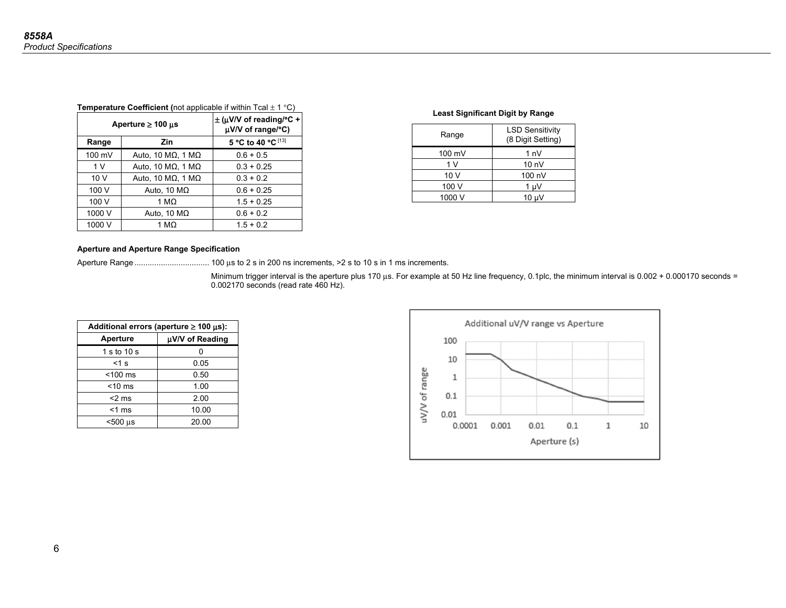| <b>Temperature Coefficient (not applicable if within Tcal <math>\pm</math> 1 °C)</b> |  |  |  |  |  |
|--------------------------------------------------------------------------------------|--|--|--|--|--|
|--------------------------------------------------------------------------------------|--|--|--|--|--|

|        | Aperture $\geq 100$ µs | $\pm$ (µV/V of reading/°C +<br>µV/V of range/°C) |
|--------|------------------------|--------------------------------------------------|
| Range  | Zin                    | 5 °C to 40 °C [13]                               |
| 100 mV | Auto, 10 ΜΩ, 1 ΜΩ      | $0.6 + 0.5$                                      |
| 1 V    | Auto, 10 ΜΩ, 1 ΜΩ      | $0.3 + 0.25$                                     |
| 10V    | Auto, 10 ΜΩ, 1 ΜΩ      | $0.3 + 0.2$                                      |
| 100 V  | Auto, 10 $M\Omega$     | $0.6 + 0.25$                                     |
| 100 V  | 1 M $\Omega$           | $1.5 + 0.25$                                     |
| 1000 V | Auto, 10 $M\Omega$     | $0.6 + 0.2$                                      |
| 1000 V | 1 MΩ                   | $1.5 + 0.2$                                      |

### **Least Significant Digit by Range**

| Range            | <b>LSD Sensitivity</b><br>(8 Digit Setting) |
|------------------|---------------------------------------------|
| $100 \text{ mV}$ | 1 nV                                        |
| 1 V              | 10 <sub>nV</sub>                            |
| 10V              | 100 nV                                      |
| 100 V            | 1 uV                                        |
| 1000 V           | $10 \mu V$                                  |

### **Aperture and Aperture Range Specification**

Aperture Range .................................. 100 μs to 2 s in 200 ns increments, >2 s to 10 s in 1 ms increments.

Minimum trigger interval is the aperture plus 170 μs. For example at 50 Hz line frequency, 0.1plc, the minimum interval is 0.002 + 0.000170 seconds = 0.002170 seconds (read rate 460 Hz).

| Additional errors (aperture $\geq 100 \,\mu s$ ): |                 |  |  |  |  |  |
|---------------------------------------------------|-----------------|--|--|--|--|--|
| <b>Aperture</b>                                   | µV/V of Reading |  |  |  |  |  |
| 1 s to 10 s                                       |                 |  |  |  |  |  |
| $<$ 1 s                                           | 0.05            |  |  |  |  |  |
| $<$ 100 $ms$                                      | 0.50            |  |  |  |  |  |
| $<$ 10 ms                                         | 1.00            |  |  |  |  |  |
| $<$ 2 ms                                          | 2.00            |  |  |  |  |  |
| $<$ 1 ms                                          | 10.00           |  |  |  |  |  |
| ~500 µs                                           | 20.00           |  |  |  |  |  |

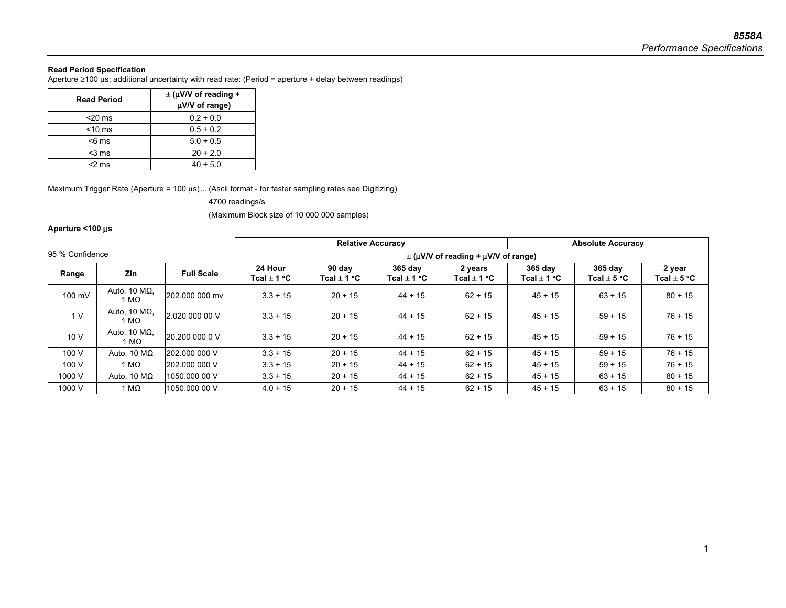### **Read Period Specification**

Aperture ≥100 μs; additional uncertainty with read rate: (Period = aperture + delay between readings)

| <b>Read Period</b> | $\pm$ (µV/V of reading +<br>µV/V of range) |  |  |  |
|--------------------|--------------------------------------------|--|--|--|
| $<$ 20 ms          | $0.2 + 0.0$                                |  |  |  |
| $<$ 10 ms          | $0.5 + 0.2$                                |  |  |  |
| $<$ 6 ms           | $5.0 + 0.5$                                |  |  |  |
| $3$ ms             | $20 + 2.0$                                 |  |  |  |
| <2 ms              | $40 + 5.0$                                 |  |  |  |

Maximum Trigger Rate (Aperture = 100 μs) ... (Ascii format - for faster sampling rates see Digitizing)

4700 readings/s

(Maximum Block size of 10 000 000 samples)

### **Aperture <100** μ**<sup>s</sup>**

|                 |                                   |                   | <b>Relative Accuracy</b>   |                           |                            |                                                    | <b>Absolute Accuracy</b>     |                            |                           |  |
|-----------------|-----------------------------------|-------------------|----------------------------|---------------------------|----------------------------|----------------------------------------------------|------------------------------|----------------------------|---------------------------|--|
| 95 % Confidence |                                   |                   |                            |                           |                            | $\pm$ ( $\mu$ V/V of reading + $\mu$ V/V of range) |                              |                            |                           |  |
| Range           | Zin                               | <b>Full Scale</b> | 24 Hour<br>Tcal $\pm$ 1 °C | 90 day<br>Tcal $\pm$ 1 °C | 365 day<br>Tcal $\pm$ 1 °C | 2 years<br>Tcal $\pm$ 1 °C                         | $365$ day<br>Tcal $\pm$ 1 °C | 365 day<br>Tcal $\pm$ 5 °C | 2 year<br>Tcal $\pm$ 5 °C |  |
| 100 mV          | Auto, 10 $M\Omega$ ,<br>1 MΩ      | 202.000 000 my    | $3.3 + 15$                 | $20 + 15$                 | $44 + 15$                  | $62 + 15$                                          | $45 + 15$                    | $63 + 15$                  | $80 + 15$                 |  |
| 1 <sub>V</sub>  | Auto, 10 $M\Omega$ ,<br>1 MΩ      | 2.020 000 00 V    | $3.3 + 15$                 | $20 + 15$                 | $44 + 15$                  | $62 + 15$                                          | $45 + 15$                    | $59 + 15$                  | $76 + 15$                 |  |
| 10V             | Auto, 10 $M\Omega$ ,<br>$M\Omega$ | 20,200,000 0 V    | $3.3 + 15$                 | $20 + 15$                 | $44 + 15$                  | $62 + 15$                                          | $45 + 15$                    | $59 + 15$                  | $76 + 15$                 |  |
| 100 V           | Auto, 10 $M\Omega$                | 202.000 000 V     | $3.3 + 15$                 | $20 + 15$                 | $44 + 15$                  | $62 + 15$                                          | $45 + 15$                    | $59 + 15$                  | $76 + 15$                 |  |
| 100 V           | 1 MΩ                              | 202.000 000 V     | $3.3 + 15$                 | $20 + 15$                 | $44 + 15$                  | $62 + 15$                                          | $45 + 15$                    | $59 + 15$                  | $76 + 15$                 |  |
| 1000 V          | Auto, 10 $M\Omega$                | 1050,000 00 V     | $3.3 + 15$                 | $20 + 15$                 | $44 + 15$                  | $62 + 15$                                          | $45 + 15$                    | $63 + 15$                  | $80 + 15$                 |  |
| 1000 V          | 1 M $\Omega$                      | 1050.000 00 V     | $4.0 + 15$                 | $20 + 15$                 | $44 + 15$                  | $62 + 15$                                          | $45 + 15$                    | $63 + 15$                  | $80 + 15$                 |  |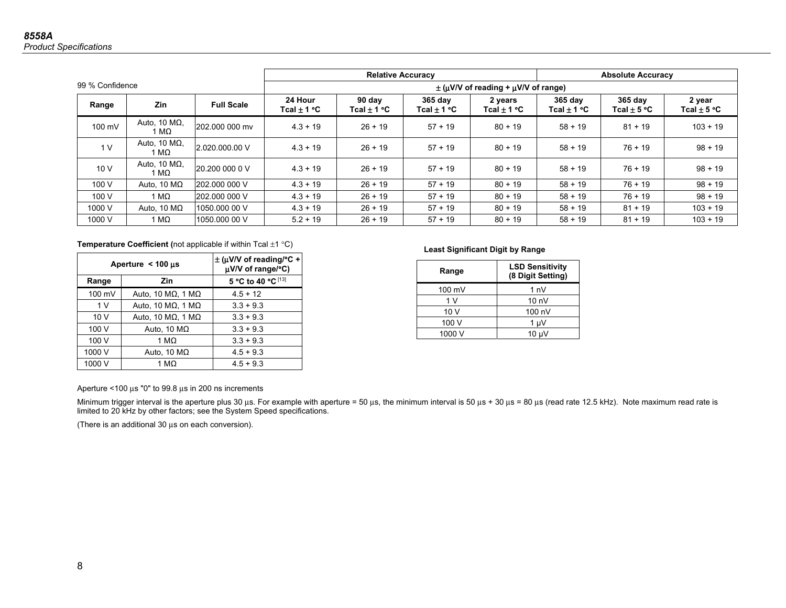|                 |                               |                   | <b>Relative Accuracy</b>                           |                           |                            |                            | <b>Absolute Accuracy</b>   |                            |                           |
|-----------------|-------------------------------|-------------------|----------------------------------------------------|---------------------------|----------------------------|----------------------------|----------------------------|----------------------------|---------------------------|
| 99 % Confidence |                               |                   | $\pm$ ( $\mu$ V/V of reading + $\mu$ V/V of range) |                           |                            |                            |                            |                            |                           |
| Range           | <b>Zin</b>                    | <b>Full Scale</b> | 24 Hour<br>Tcal $\pm$ 1 °C                         | 90 day<br>Tcal $\pm$ 1 °C | 365 day<br>Tcal $\pm$ 1 °C | 2 years<br>Tcal $\pm$ 1 °C | 365 day<br>Tcal $\pm$ 1 °C | 365 day<br>Tcal $\pm$ 5 °C | 2 year<br>Tcal $\pm$ 5 °C |
| 100 mV          | Auto, 10 $M\Omega$ ,<br>1 MΩ. | 202.000 000 my    | $4.3 + 19$                                         | $26 + 19$                 | $57 + 19$                  | $80 + 19$                  | $58 + 19$                  | $81 + 19$                  | $103 + 19$                |
| 1 <sub>V</sub>  | Auto, 10 $M\Omega$ ,<br>I ΜΩ  | 2.020.000.00 V    | $4.3 + 19$                                         | $26 + 19$                 | $57 + 19$                  | $80 + 19$                  | $58 + 19$                  | $76 + 19$                  | $98 + 19$                 |
| 10V             | Auto, 10 $M\Omega$ ,<br>1 MΩ  | 20.200 000 0 V    | $4.3 + 19$                                         | $26 + 19$                 | $57 + 19$                  | $80 + 19$                  | $58 + 19$                  | $76 + 19$                  | $98 + 19$                 |
| 100 V           | Auto, 10 $M\Omega$            | 202,000 000 V     | $4.3 + 19$                                         | $26 + 19$                 | $57 + 19$                  | $80 + 19$                  | $58 + 19$                  | $76 + 19$                  | $98 + 19$                 |
| 100 V           | 1 MΩ                          | 202,000 000 V     | $4.3 + 19$                                         | $26 + 19$                 | $57 + 19$                  | $80 + 19$                  | $58 + 19$                  | $76 + 19$                  | $98 + 19$                 |
| 1000 V          | Auto, 10 $M\Omega$            | 1050,000 00 V     | $4.3 + 19$                                         | $26 + 19$                 | $57 + 19$                  | $80 + 19$                  | $58 + 19$                  | $81 + 19$                  | $103 + 19$                |
| 1000 V          | 1 M $\Omega$                  | 1050,000 00 V     | $5.2 + 19$                                         | $26 + 19$                 | $57 + 19$                  | $80 + 19$                  | $58 + 19$                  | $81 + 19$                  | $103 + 19$                |

### **Temperature Coefficient (**not applicable if within Tcal ±1 °C)

|        | Aperture $<$ 100 $\mu$ s | $\pm$ (µV/V of reading/°C +<br>$\mu$ V/V of range/°C) |
|--------|--------------------------|-------------------------------------------------------|
| Range  | Zin                      | 5 °C to 40 °C [13]                                    |
| 100 mV | Auto, 10 ΜΩ, 1 ΜΩ        | $4.5 + 12$                                            |
| 1 V    | Auto, 10 ΜΩ, 1 ΜΩ        | $3.3 + 9.3$                                           |
| 10V    | Auto, 10 ΜΩ, 1 ΜΩ        | $3.3 + 9.3$                                           |
| 100 V  | Auto, 10 $M\Omega$       | $3.3 + 9.3$                                           |
| 100 V  | 1 M $\Omega$             | $3.3 + 9.3$                                           |
| 1000 V | Auto, 10 $M\Omega$       | $4.5 + 9.3$                                           |
| 1000 V | 1 M $\Omega$             | $4.5 + 9.3$                                           |

### **Least Significant Digit by Range**

| Range  | <b>LSD Sensitivity</b><br>(8 Digit Setting) |
|--------|---------------------------------------------|
| 100 mV | 1 nV                                        |
| 1 V    | 10 <sub>nV</sub>                            |
| 10V    | 100 nV                                      |
| 100 V  | 1 uV                                        |
| 1000 V | $10 \mu V$                                  |

Aperture <100 μs "0" to 99.8 μs in 200 ns increments

Minimum trigger interval is the aperture plus 30 μs. For example with aperture = 50 μs, the minimum interval is 50 μs + 30 μs = 80 μs (read rate 12.5 kHz). Note maximum read rate is limited to 20 kHz by other factors; see the System Speed specifications.

(There is an additional 30 μs on each conversion).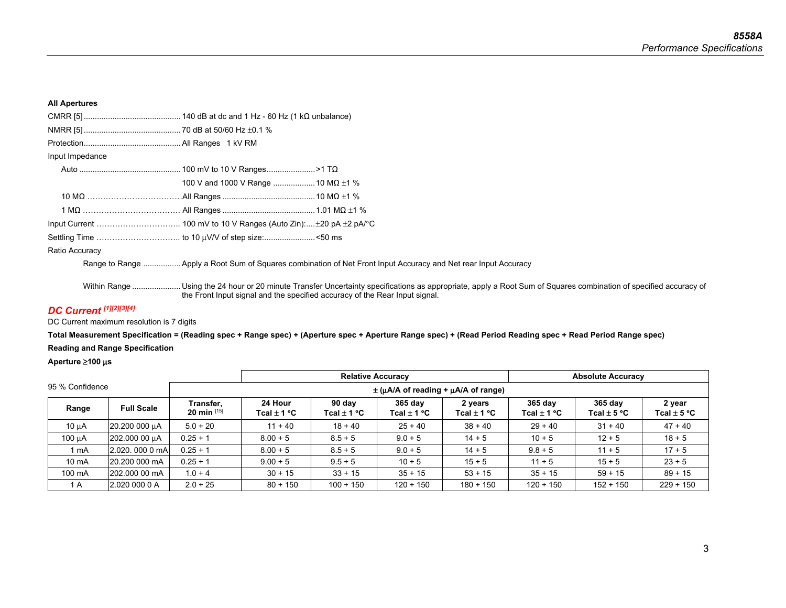### **All Apertures**

| Input Impedance |                                         |  |  |  |  |  |
|-----------------|-----------------------------------------|--|--|--|--|--|
|                 |                                         |  |  |  |  |  |
|                 | 100 V and 1000 V Range  10 MQ $\pm$ 1 % |  |  |  |  |  |
|                 |                                         |  |  |  |  |  |
|                 |                                         |  |  |  |  |  |
|                 |                                         |  |  |  |  |  |
|                 |                                         |  |  |  |  |  |
| Ratio Accuracy  |                                         |  |  |  |  |  |

Range to Range ................. Apply a Root Sum of Squares combination of Net Front Input Accuracy and Net rear Input Accuracy

Within Range .......................... Using the 24 hour or 20 minute Transfer Uncertainty specifications as appropriate, apply a Root Sum of Squares combination of specified accuracy of the Front Input signal and the specified accuracy of the Rear Input signal.

### *DC Current [1][2][3][4]*

DC Current maximum resolution is 7 digits

**Total Measurement Specification = (Reading spec + Range spec) + (Aperture spec + Aperture Range spec) + (Read Period Reading spec + Read Period Range spec) Reading and Range Specification** 

**Aperture** ≥**100** μ**<sup>s</sup>**

|                 |                   |                               | <b>Relative Accuracy</b>                           |                       |                                   | <b>Absolute Accuracy</b> |                        |                            |                                |
|-----------------|-------------------|-------------------------------|----------------------------------------------------|-----------------------|-----------------------------------|--------------------------|------------------------|----------------------------|--------------------------------|
| 95 % Confidence |                   |                               | $\pm$ ( $\mu$ A/A of reading + $\mu$ A/A of range) |                       |                                   |                          |                        |                            |                                |
| Range           | <b>Full Scale</b> | Transfer,<br>20 min $^{[15]}$ | 24 Hour<br>Tcal $\pm$ 1 °C                         | 90 day<br>Tcal ± 1 °C | $365$ day<br>Tcal $\pm$ 1 °C $\,$ | 2 years<br>Tcal ± 1 °C   | $365$ day<br>Tcal±1 °C | 365 day<br>Tcal $\pm$ 5 °C | 2 year<br>Tcal $\pm$ 5 °C $\,$ |
| $10 \mu A$      | 20.200 000 µA     | $5.0 + 20$                    | $11 + 40$                                          | $18 + 40$             | $25 + 40$                         | $38 + 40$                | $29 + 40$              | $31 + 40$                  | $47 + 40$                      |
| 100 µA          | 202.000 00 µA     | $0.25 + 1$                    | $8.00 + 5$                                         | $8.5 + 5$             | $9.0 + 5$                         | $14 + 5$                 | $10 + 5$               | $12 + 5$                   | $18 + 5$                       |
| 1 mA            | 2.020, 000 0 mA   | $0.25 + 1$                    | $8.00 + 5$                                         | $8.5 + 5$             | $9.0 + 5$                         | $14 + 5$                 | $9.8 + 5$              | $11 + 5$                   | $17 + 5$                       |
| 10 mA           | 20.200 000 mA     | $0.25 + 1$                    | $9.00 + 5$                                         | $9.5 + 5$             | $10 + 5$                          | $15 + 5$                 | $11 + 5$               | $15 + 5$                   | $23 + 5$                       |
| 100 mA          | 202,000 00 mA     | $1.0 + 4$                     | $30 + 15$                                          | $33 + 15$             | $35 + 15$                         | $53 + 15$                | $35 + 15$              | $59 + 15$                  | $89 + 15$                      |
| 1 A             | 2.020 000 0 A     | $2.0 + 25$                    | $80 + 150$                                         | $100 + 150$           | $120 + 150$                       | $180 + 150$              | $120 + 150$            | $152 + 150$                | $229 + 150$                    |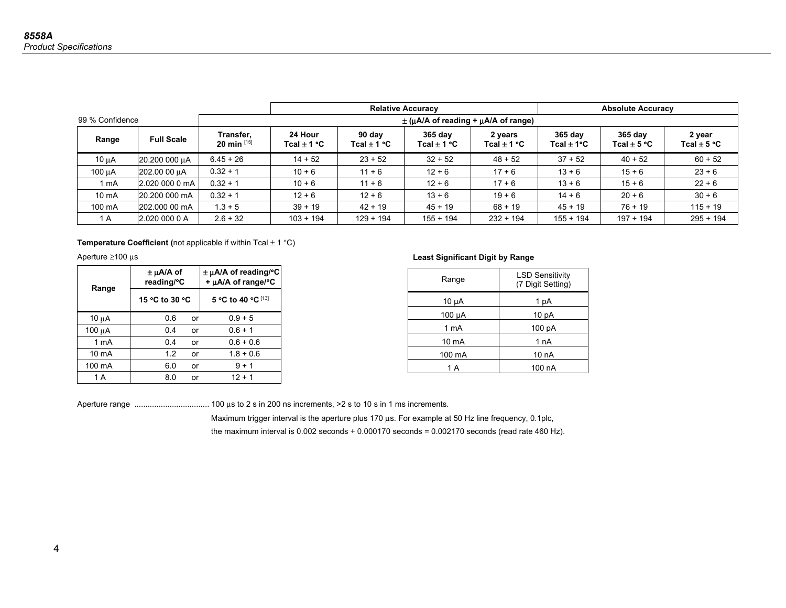|                   |                   |                            | <b>Relative Accuracy</b>                |                           |                            |                            | <b>Absolute Accuracy</b>    |                            |                           |
|-------------------|-------------------|----------------------------|-----------------------------------------|---------------------------|----------------------------|----------------------------|-----------------------------|----------------------------|---------------------------|
| 99 % Confidence   |                   |                            | $\pm$ (µA/A of reading + µA/A of range) |                           |                            |                            |                             |                            |                           |
| Range             | <b>Full Scale</b> | Transfer,<br>20 min $[15]$ | 24 Hour<br>Tcal $\pm$ 1 °C              | 90 day<br>Tcal $\pm$ 1 °C | 365 day<br>Tcal $\pm$ 1 °C | 2 years<br>Tcal $\pm$ 1 °C | $365$ day<br>Tcal $\pm$ 1°C | 365 day<br>Tcal $\pm$ 5 °C | 2 year<br>Tcal $\pm$ 5 °C |
| $10 \mu A$        | 20.200 000 uA     | $6.45 + 26$                | $14 + 52$                               | $23 + 52$                 | $32 + 52$                  | $48 + 52$                  | $37 + 52$                   | $40 + 52$                  | $60 + 52$                 |
| 100 µA            | 202.00 00 µA      | $0.32 + 1$                 | $10 + 6$                                | $11 + 6$                  | $12 + 6$                   | $17 + 6$                   | $13 + 6$                    | $15 + 6$                   | $23 + 6$                  |
| 1 mA              | 2.020 000 0 mA    | $0.32 + 1$                 | $10 + 6$                                | $11 + 6$                  | $12 + 6$                   | $17 + 6$                   | $13 + 6$                    | $15 + 6$                   | $22 + 6$                  |
| 10 <sub>m</sub> A | 20.200 000 mA     | $0.32 + 1$                 | $12 + 6$                                | $12 + 6$                  | $13 + 6$                   | $19 + 6$                   | $14 + 6$                    | $20 + 6$                   | $30 + 6$                  |
| 100 mA            | 202.000 00 mA     | $1.3 + 5$                  | $39 + 19$                               | $42 + 19$                 | $45 + 19$                  | $68 + 19$                  | $45 + 19$                   | $76 + 19$                  | $115 + 19$                |
| 1 A               | 2.020 000 0 A     | $2.6 + 32$                 | $103 + 194$                             | $129 + 194$               | $155 + 194$                | $232 + 194$                | $155 + 194$                 | $197 + 194$                | $295 + 194$               |

### **Temperature Coefficient (not applicable if within Tcal**  $\pm$  **1 °C)**

Aperture ≥100 μ<sup>s</sup>

| Range       | $\pm$ µA/A of<br>reading/°C |    | $\pm \mu A/A$ of reading/°C<br>+ $\mu$ A/A of range/°C |  |  |  |
|-------------|-----------------------------|----|--------------------------------------------------------|--|--|--|
|             | 15 °C to 30 °C              |    | 5 °C to 40 °C [13]                                     |  |  |  |
| 10 $\mu$ A  | 0.6                         | or | $0.9 + 5$                                              |  |  |  |
| 100 $\mu$ A | 0.4                         | or | $0.6 + 1$                                              |  |  |  |
| 1 mA        | 0.4                         | or | $0.6 + 0.6$                                            |  |  |  |
| 10 mA       | 1.2                         | or | $1.8 + 0.6$                                            |  |  |  |
| 100 mA      | 6.0                         | or | $9 + 1$                                                |  |  |  |
| 1 A         | 8.0                         | or | $12 + 1$                                               |  |  |  |

### **Least Significant Digit by Range**

| Range      | <b>LSD Sensitivity</b><br>(7 Digit Setting) |
|------------|---------------------------------------------|
| $10 \mu A$ | 1 pA                                        |
| 100 µA     | 10 <sub>pA</sub>                            |
| 1 mA       | 100 pA                                      |
| 10 mA      | 1 <sub>n</sub> A                            |
| 100 mA     | 10 nA                                       |
| 1 A        | 100 nA                                      |

Aperture range .................................. 100 μs to 2 s in 200 ns increments, >2 s to 10 s in 1 ms increments.

Maximum trigger interval is the aperture plus 170 μs. For example at 50 Hz line frequency, 0.1plc, the maximum interval is 0.002 seconds + 0.000170 seconds = 0.002170 seconds (read rate 460 Hz).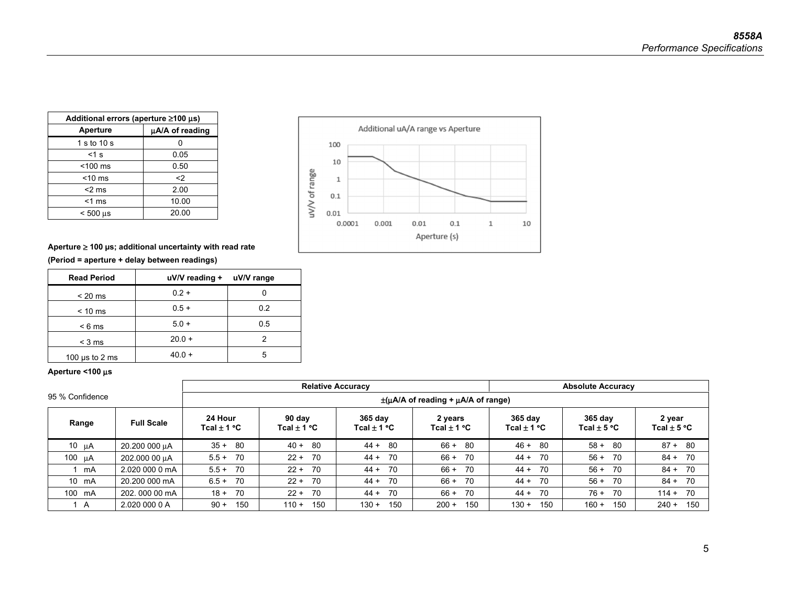| Additional errors (aperture $\geq$ 100 µs) |                 |  |  |  |  |  |
|--------------------------------------------|-----------------|--|--|--|--|--|
| Aperture                                   | µA/A of reading |  |  |  |  |  |
| 1 s to 10 s                                |                 |  |  |  |  |  |
| $<$ 1 s                                    | 0.05            |  |  |  |  |  |
| $<$ 100 $\,$ ms                            | 0.50            |  |  |  |  |  |
| $<$ 10 ms                                  | $\langle$       |  |  |  |  |  |
| $<$ 2 ms                                   | 2.00            |  |  |  |  |  |
| $<$ 1 ms                                   | 10.00           |  |  |  |  |  |
| $< 500$ us                                 | 20.00           |  |  |  |  |  |



### **Aperture** ≥ **100 µs; additional uncertainty with read rate**

**(Period = aperture + delay between readings)** 

| <b>Read Period</b>  | uV/V reading + uV/V range |     |
|---------------------|---------------------------|-----|
| $< 20 \text{ ms}$   | $0.2 +$                   |     |
| $< 10$ ms           | $0.5 +$                   | 0.2 |
| $< 6$ ms            | $5.0 +$                   | 0.5 |
| $<$ 3 ms            | $20.0 +$                  |     |
| 100 $\mu$ s to 2 ms | $40.0 +$                  | 5   |

### **Aperture <100** μ**<sup>s</sup>**

|                 |                   |                            | <b>Relative Accuracy</b>                        |                              | <b>Absolute Accuracy</b>   |                            |                            |                           |  |  |  |  |
|-----------------|-------------------|----------------------------|-------------------------------------------------|------------------------------|----------------------------|----------------------------|----------------------------|---------------------------|--|--|--|--|
| 95 % Confidence |                   |                            | $\pm(\mu A/A)$ of reading + $\mu A/A$ of range) |                              |                            |                            |                            |                           |  |  |  |  |
| Range           | <b>Full Scale</b> | 24 Hour<br>Tcal $\pm$ 1 °C | 90 dav<br>Tcal $\pm$ 1 °C                       | $365$ day<br>Tcal $\pm$ 1 °C | 2 years<br>Tcal $\pm$ 1 °C | 365 day<br>Tcal $\pm$ 1 °C | 365 day<br>Tcal $\pm$ 5 °C | 2 year<br>Tcal $\pm$ 5 °C |  |  |  |  |
| 10 $\mu$ A      | 20.200 000 µA     | $35 +$<br>- 80             | $40 +$<br>-80                                   | $44 + 80$                    | $66 +$<br>- 80             | 46 +<br>-80                | $58 +$<br>-80              | $87 +$<br>-80             |  |  |  |  |
| 100 µA          | 202.000 00 µA     | $5.5+$<br>70               | $22 +$<br>70                                    | $44 +$<br>70                 | $66 +$<br>70               | $44 + 70$                  | $56 +$<br>-70              | $84 +$<br>70              |  |  |  |  |
| mA              | 2.020 000 0 mA    | - 70<br>$5.5+$             | 70<br>$22 +$                                    | -70<br>44 +                  | 70<br>$66 +$               | - 70<br>44 +               | $56 +$<br>-70              | - 70<br>$84 +$            |  |  |  |  |
| 10 mA           | 20,200,000 mA     | - 70<br>$6.5 +$            | 70<br>$22 +$                                    | $44 + 70$                    | 70<br>$66 +$               | $44 + 70$                  | $56 +$<br>-70              | $84 + 70$                 |  |  |  |  |
| 100 mA          | 202, 000 00 mA    | 70<br>$18 +$               | 70<br>$22 +$                                    | 70<br>$44 +$                 | 70<br>$66 +$               | 44 +<br>-70                | $76 +$<br>-70              | - 70<br>$114 +$           |  |  |  |  |
| A               | 2.020 000 0 A     | 150<br>$90 +$              | 150<br>$110 +$                                  | 150<br>$130 +$               | 150<br>$200 +$             | 150<br>$130 +$             | $160 +$<br>150             | 150<br>$240 +$            |  |  |  |  |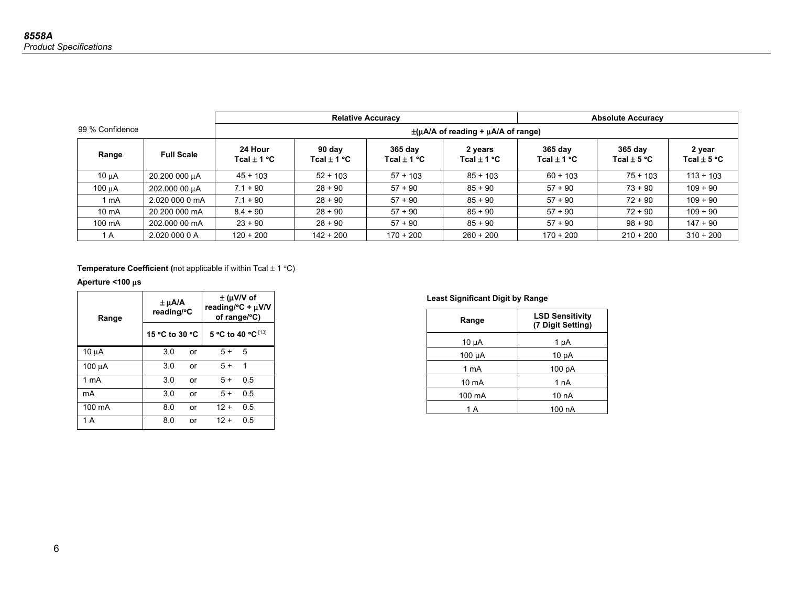|                 |                   |                            |                                                 | <b>Relative Accuracy</b>   | <b>Absolute Accuracy</b>   |                            |                            |                           |  |  |  |
|-----------------|-------------------|----------------------------|-------------------------------------------------|----------------------------|----------------------------|----------------------------|----------------------------|---------------------------|--|--|--|
| 99 % Confidence |                   |                            | $\pm(\mu A/A)$ of reading + $\mu A/A$ of range) |                            |                            |                            |                            |                           |  |  |  |
| Range           | <b>Full Scale</b> | 24 Hour<br>Tcal $\pm$ 1 °C | 90 day<br>Tcal $\pm$ 1 °C                       | 365 day<br>Tcal $\pm$ 1 °C | 2 years<br>Tcal $\pm$ 1 °C | 365 day<br>Tcal $\pm$ 1 °C | 365 day<br>Tcal $\pm$ 5 °C | 2 year<br>Tcal $\pm$ 5 °C |  |  |  |
| 10 uA           | 20.200 000 uA     | $45 + 103$                 | $52 + 103$                                      | $57 + 103$                 | $85 + 103$                 | $60 + 103$                 | $75 + 103$                 | $113 + 103$               |  |  |  |
| $100 \mu A$     | 202.000 00 uA     | $7.1 + 90$                 | $28 + 90$                                       | $57 + 90$                  | $85 + 90$                  | $57 + 90$                  | $73 + 90$                  | $109 + 90$                |  |  |  |
| ∣ mA            | 2.020 000 0 mA    | $7.1 + 90$                 | $28 + 90$                                       | $57 + 90$                  | $85 + 90$                  | $57 + 90$                  | $72 + 90$                  | $109 + 90$                |  |  |  |
| $10 \text{ mA}$ | 20,200,000 mA     | $8.4 + 90$                 | $28 + 90$                                       | $57 + 90$                  | $85 + 90$                  | $57 + 90$                  | $72 + 90$                  | $109 + 90$                |  |  |  |
| 100 mA          | 202,000 00 mA     | $23 + 90$                  | $28 + 90$                                       | $57 + 90$                  | $85 + 90$                  | $57 + 90$                  | $98 + 90$                  | $147 + 90$                |  |  |  |
| 1 A             | 2.020 000 0 A     | $120 + 200$                | $142 + 200$                                     | $170 + 200$                | $260 + 200$                | $170 + 200$                | $210 + 200$                | $310 + 200$               |  |  |  |

**Temperature Coefficient (not applicable if within Tcal**  $\pm$  **1 °C)** 

### **Aperture <100** μ**<sup>s</sup>**

| Range            | ± µA/A<br>reading/°C |    | $\pm$ (µV/V of<br>reading/ ${}^{\circ}C$ + $\mu$ V/V<br>of range/°C) |     |  |
|------------------|----------------------|----|----------------------------------------------------------------------|-----|--|
|                  | 15 °C to 30 °C       |    | 5 °C to 40 °C [13]                                                   |     |  |
| $10 \mu A$       | 3.0                  | or | $5+$                                                                 | 5   |  |
| 100 μA           | 3.0                  | or | $5+$                                                                 | 1   |  |
| 1 <sub>m</sub> A | 3.0                  | or | $5+$                                                                 | 0.5 |  |
| mA               | 3.0                  | or | $5+$                                                                 | 0.5 |  |
| 100 mA           | 8.0                  | or | $12 +$                                                               | 0.5 |  |
| 1 A              | 8.0                  | or | $12 +$                                                               | 0.5 |  |

### **Least Significant Digit by Range**

| Range      | <b>LSD Sensitivity</b><br>(7 Digit Setting) |
|------------|---------------------------------------------|
| $10 \mu A$ | 1 pA                                        |
| 100 µA     | 10 <sub>pA</sub>                            |
| 1 mA       | 100 pA                                      |
| 10 mA      | 1 <sub>n</sub> A                            |
| 100 mA     | 10 nA                                       |
| 1 A        | 100 nA                                      |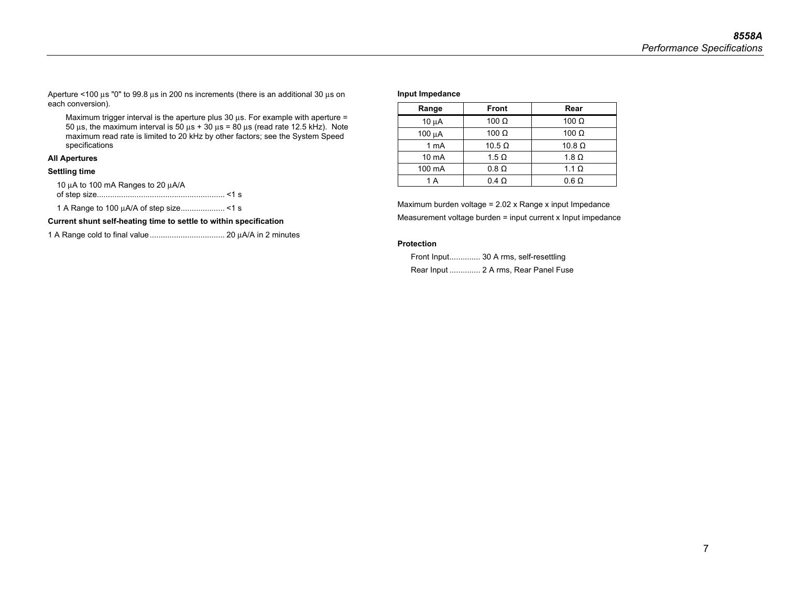Aperture <100 μs "0" to 99.8 μs in 200 ns increments (there is an additional 30 μs on each conversion).

Maximum trigger interval is the aperture plus  $30 \mu s$ . For example with aperture = 50 μs, the maximum interval is 50 μs + 30 μs = 80 μs (read rate 12.5 kHz). Note maximum read rate is limited to 20 kHz by other factors; see the System Speed specifications

### **All Apertures**

### **Settling time**

10 μA to 100 mA Ranges to 20 μA/A of step size.......................................................... <1 s

1 A Range to 100 μA/A of step size .................... <1 s

**Current shunt self-heating time to settle to within specification** 

1 A Range cold to final value .................................. 20 μA/A in 2 minutes

#### **Input Impedance**

| Range           | <b>Front</b>  | Rear          |  |  |
|-----------------|---------------|---------------|--|--|
| $10 \mu A$      | 100 $\Omega$  | 100 $\Omega$  |  |  |
| 100 µA          | 100 $\Omega$  | 100 $\Omega$  |  |  |
| 1 mA            | $10.5 \Omega$ | $10.8 \Omega$ |  |  |
| $10 \text{ mA}$ | $1.5 \Omega$  | 1.8 $\Omega$  |  |  |
| 100 mA          | $0.8 \Omega$  | 1.1 $\Omega$  |  |  |
| 1 A             | $0.4 \Omega$  | $0.6 \Omega$  |  |  |

Maximum burden voltage = 2.02 x Range x input Impedance Measurement voltage burden = input current x Input impedance

#### **Protection**

Front Input.............. 30 A rms, self-resettling Rear Input .............. 2 A rms, Rear Panel Fuse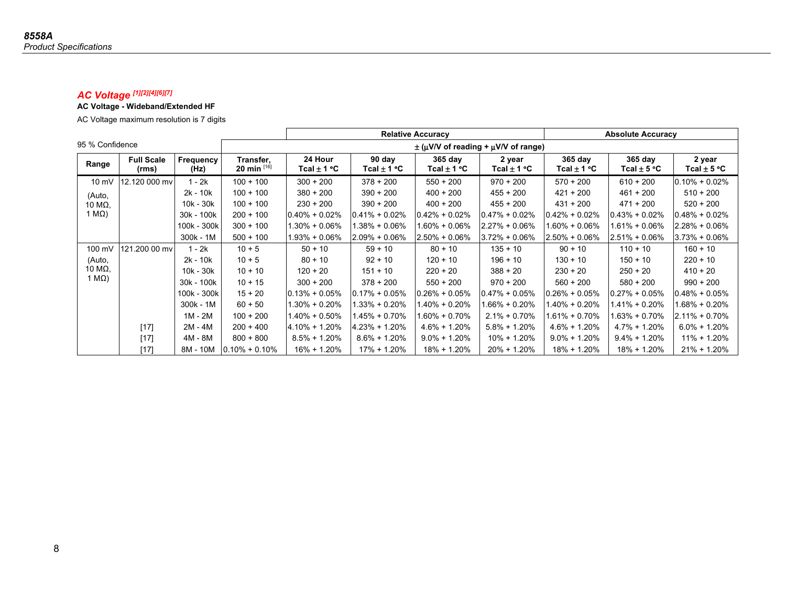### *AC Voltage [1][2][4][6][7]*

### **AC Voltage - Wideband/Extended HF**

AC Voltage maximum resolution is 7 digits

|                 |                            |                   |                               |                                         |                           | <b>Relative Accuracy</b> |                           |                        | <b>Absolute Accuracy</b>          |                           |  |
|-----------------|----------------------------|-------------------|-------------------------------|-----------------------------------------|---------------------------|--------------------------|---------------------------|------------------------|-----------------------------------|---------------------------|--|
| 95 % Confidence |                            |                   |                               | $\pm$ (µV/V of reading + µV/V of range) |                           |                          |                           |                        |                                   |                           |  |
| Range           | <b>Full Scale</b><br>(rms) | Frequency<br>(Hz) | Transfer,<br>20 min $^{[16]}$ | 24 Hour<br>Tcal $\pm$ 1 °C              | 90 day<br>Tcal $\pm$ 1 °C | $365$ day<br>Tcal ± 1 °C | 2 year<br>Tcal $\pm$ 1 °C | 365 day<br>Tcal ± 1 °C | $365$ day<br>Tcal $\pm$ 5 °C $\,$ | 2 year<br>Tcal $\pm$ 5 °C |  |
| $10 \text{ mV}$ | 12.120 000 mv              | 1 - 2k            | $100 + 100$                   | $300 + 200$                             | $378 + 200$               | $550 + 200$              | $970 + 200$               | $570 + 200$            | $610 + 200$                       | $0.10\% + 0.02\%$         |  |
| (Auto,          |                            | $2k - 10k$        | $100 + 100$                   | $380 + 200$                             | $390 + 200$               | $400 + 200$              | $455 + 200$               | $421 + 200$            | $461 + 200$                       | $510 + 200$               |  |
| 10 MΩ,          |                            | 10k - 30k         | $100 + 100$                   | $230 + 200$                             | $390 + 200$               | $400 + 200$              | $455 + 200$               | $431 + 200$            | $471 + 200$                       | $520 + 200$               |  |
| 1 M $\Omega$ )  |                            | 30k - 100k        | $200 + 100$                   | $0.40\% + 0.02\%$                       | $0.41\% + 0.02\%$         | $0.42\% + 0.02\%$        | $0.47\% + 0.02\%$         | $0.42\% + 0.02\%$      | $0.43\% + 0.02\%$                 | $0.48\% + 0.02\%$         |  |
|                 |                            | 100k - 300k       | $300 + 100$                   | 1.30% + 0.06%                           | $1.38\% + 0.06\%$         | 1.60% + 0.06%            | $2.27\% + 0.06\%$         | 1.60% + 0.06%          | $1.61\% + 0.06\%$                 | $2.28\% + 0.06\%$         |  |
|                 |                            | 300k - 1M         | $500 + 100$                   | $1.93\% + 0.06\%$                       | $2.09\% + 0.06\%$         | $2.50\% + 0.06\%$        | $3.72\% + 0.06\%$         | $2.50\% + 0.06\%$      | $2.51\% + 0.06\%$                 | $3.73\% + 0.06\%$         |  |
| 100 mV          | 121.200 00 mv              | 1 - 2k            | $10 + 5$                      | $50 + 10$                               | $59 + 10$                 | $80 + 10$                | $135 + 10$                | $90 + 10$              | $110 + 10$                        | $160 + 10$                |  |
| (Auto,          |                            | $2k - 10k$        | $10 + 5$                      | $80 + 10$                               | $92 + 10$                 | $120 + 10$               | $196 + 10$                | $130 + 10$             | $150 + 10$                        | $220 + 10$                |  |
| 10 M $\Omega$ , |                            | $10k - 30k$       | $10 + 10$                     | $120 + 20$                              | $151 + 10$                | $220 + 20$               | $388 + 20$                | $230 + 20$             | $250 + 20$                        | $410 + 20$                |  |
| 1 M $\Omega$ )  |                            | 30k - 100k        | $10 + 15$                     | $300 + 200$                             | $378 + 200$               | $550 + 200$              | $970 + 200$               | $560 + 200$            | $580 + 200$                       | $990 + 200$               |  |
|                 |                            | 100k - 300k       | $15 + 20$                     | $0.13% + 0.05%$                         | $0.17\% + 0.05\%$         | $0.26\% + 0.05\%$        | $0.47\% + 0.05\%$         | $0.26\% + 0.05\%$      | $0.27\% + 0.05\%$                 | $0.48\% + 0.05\%$         |  |
|                 |                            | 300k - 1M         | $60 + 50$                     | $1.30\% + 0.20\%$                       | $1.33\% + 0.20\%$         | 1.40% + 0.20%            | 1.66% + 0.20%             | $1.40\% + 0.20\%$      | $1.41\% + 0.20\%$                 | 1.68% + 0.20%             |  |
|                 |                            | 1M - 2M           | $100 + 200$                   | 1.40% + 0.50%                           | $1.45\% + 0.70\%$         | 1.60% + 0.70%            | $2.1\% + 0.70\%$          | $1.61\% + 0.70\%$      | $1.63\% + 0.70\%$                 | $2.11\% + 0.70\%$         |  |
|                 | $[17]$                     | 2M - 4M           | $200 + 400$                   | 4.10% + 1.20%                           | $4.23% + 1.20%$           | $4.6\% + 1.20\%$         | $5.8\% + 1.20\%$          | $4.6\% + 1.20\%$       | $4.7\% + 1.20\%$                  | $6.0\% + 1.20\%$          |  |
|                 | $[17]$                     | 4M - 8M           | $800 + 800$                   | $8.5\% + 1.20\%$                        | $8.6\% + 1.20\%$          | $9.0\% + 1.20\%$         | $10\% + 1.20\%$           | $9.0\% + 1.20\%$       | $9.4\% + 1.20\%$                  | $11\% + 1.20\%$           |  |
|                 | $[17]$                     | 8M - 10M          | $0.10\% + 0.10\%$             | 16% + 1.20%                             | 17% + 1.20%               | 18% + 1.20%              | $20\% + 1.20\%$           | $18\% + 1.20\%$        | 18% + 1.20%                       | $21\% + 1.20\%$           |  |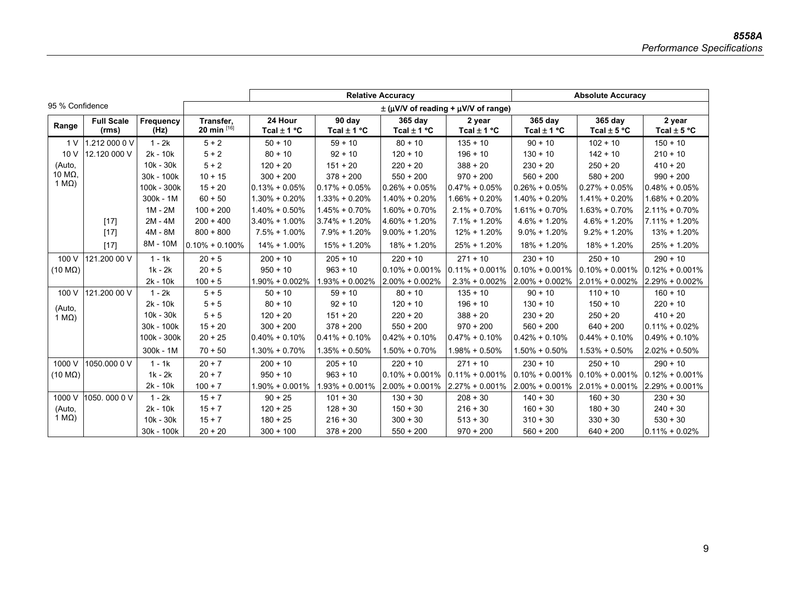|                        |                            |                   |                          |                            |                           | <b>Relative Accuracy</b>   |                                                    | <b>Absolute Accuracy</b>   |                            |                           |
|------------------------|----------------------------|-------------------|--------------------------|----------------------------|---------------------------|----------------------------|----------------------------------------------------|----------------------------|----------------------------|---------------------------|
| 95 % Confidence        |                            |                   |                          |                            |                           |                            | $\pm$ ( $\mu$ V/V of reading + $\mu$ V/V of range) |                            |                            |                           |
| Range                  | <b>Full Scale</b><br>(rms) | Frequency<br>(Hz) | Transfer.<br>20 min [16] | 24 Hour<br>Tcal $\pm$ 1 °C | 90 day<br>Tcal $\pm$ 1 °C | 365 day<br>Tcal $\pm$ 1 °C | 2 year<br>Tcal $\pm$ 1 °C                          | 365 day<br>Tcal $\pm$ 1 °C | 365 day<br>Tcal $\pm$ 5 °C | 2 year<br>Tcal $\pm$ 5 °C |
| 1 V                    | 1.212 000 0 V              | $1 - 2k$          | $5 + 2$                  | $50 + 10$                  | $59 + 10$                 | $80 + 10$                  | $135 + 10$                                         | $90 + 10$                  | $102 + 10$                 | $150 + 10$                |
| 10 V                   | 12.120 000 V               | $2k - 10k$        | $5 + 2$                  | $80 + 10$                  | $92 + 10$                 | $120 + 10$                 | $196 + 10$                                         | $130 + 10$                 | $142 + 10$                 | $210 + 10$                |
| (Auto,                 |                            | $10k - 30k$       | $5 + 2$                  | $120 + 20$                 | $151 + 20$                | $220 + 20$                 | $388 + 20$                                         | $230 + 20$                 | $250 + 20$                 | $410 + 20$                |
| 10 MΩ,                 |                            | 30k - 100k        | $10 + 15$                | $300 + 200$                | $378 + 200$               | $550 + 200$                | $970 + 200$                                        | $560 + 200$                | $580 + 200$                | $990 + 200$               |
| 1 $M\Omega$ )          |                            | 100k - 300k       | $15 + 20$                | $0.13% + 0.05%$            | $0.17\% + 0.05\%$         | $0.26\% + 0.05\%$          | $0.47\% + 0.05\%$                                  | $0.26\% + 0.05\%$          | $0.27\% + 0.05\%$          | $0.48\% + 0.05\%$         |
|                        |                            | $300k - 1M$       | $60 + 50$                | $1.30\% + 0.20\%$          | $1.33\% + 0.20\%$         | $1.40\% + 0.20\%$          | $1.66\% + 0.20\%$                                  | $1.40\% + 0.20\%$          | $1.41\% + 0.20\%$          | $1.68\% + 0.20\%$         |
|                        |                            | $1M - 2M$         | $100 + 200$              | $1.40\% + 0.50\%$          | $1.45\% + 0.70\%$         | $1.60\% + 0.70\%$          | $2.1\% + 0.70\%$                                   | $1.61\% + 0.70\%$          | $1.63\% + 0.70\%$          | $2.11\% + 0.70\%$         |
|                        | $[17]$                     | $2M - 4M$         | $200 + 400$              | $3.40\% + 1.00\%$          | $3.74\% + 1.20\%$         | $4.60\% + 1.20\%$          | $7.1\% + 1.20\%$                                   | $4.6\% + 1.20\%$           | $4.6\% + 1.20\%$           | $7.11\% + 1.20\%$         |
|                        | $[17]$                     | 4M - 8M           | $800 + 800$              | $7.5\% + 1.00\%$           | $7.9\% + 1.20\%$          | $9.00\% + 1.20\%$          | $12\% + 1.20\%$                                    | $9.0\% + 1.20\%$           | $9.2\% + 1.20\%$           | $13% + 1.20%$             |
|                        | $[17]$                     | 8M - 10M          | $0.10\% + 0.100\%$       | $14\% + 1.00\%$            | $15% + 1.20%$             | $18\% + 1.20\%$            | $25\% + 1.20\%$                                    | 18% + 1.20%                | $18\% + 1.20\%$            | $25\% + 1.20\%$           |
| 100 V                  | 121.200 00 V               | $1 - 1k$          | $20 + 5$                 | $200 + 10$                 | $205 + 10$                | $220 + 10$                 | $271 + 10$                                         | $230 + 10$                 | $250 + 10$                 | $290 + 10$                |
| $(10 \text{ M}\Omega)$ |                            | $1k - 2k$         | $20 + 5$                 | $950 + 10$                 | $963 + 10$                | $0.10\% + 0.001\%$         | $0.11\% + 0.001\%$                                 | $0.10\% + 0.001\%$         | $0.10\% + 0.001\%$         | $0.12\% + 0.001\%$        |
|                        |                            | 2k - 10k          | $100 + 5$                | $1.90\% + 0.002\%$         | $1.93\% + 0.002\%$        | $2.00\% + 0.002\%$         | $2.3\% + 0.002\%$                                  | $2.00\% + 0.002\%$         | $2.01\% + 0.002\%$         | 2.29% + 0.002%            |
| 100 V                  | 121.200 00 V               | $1 - 2k$          | $5 + 5$                  | $50 + 10$                  | $59 + 10$                 | $80 + 10$                  | $135 + 10$                                         | $90 + 10$                  | $110 + 10$                 | $160 + 10$                |
| (Auto,                 |                            | 2k - 10k          | $5 + 5$                  | $80 + 10$                  | $92 + 10$                 | $120 + 10$                 | $196 + 10$                                         | $130 + 10$                 | $150 + 10$                 | $220 + 10$                |
| 1 M $\Omega$ )         |                            | $10k - 30k$       | $5 + 5$                  | $120 + 20$                 | $151 + 20$                | $220 + 20$                 | $388 + 20$                                         | $230 + 20$                 | $250 + 20$                 | $410 + 20$                |
|                        |                            | 30k - 100k        | $15 + 20$                | $300 + 200$                | $378 + 200$               | $550 + 200$                | $970 + 200$                                        | $560 + 200$                | $640 + 200$                | $0.11\% + 0.02\%$         |
|                        |                            | 100k - 300k       | $20 + 25$                | $0.40\% + 0.10\%$          | $0.41\% + 0.10\%$         | $0.42\% + 0.10\%$          | $0.47\% + 0.10\%$                                  | $0.42\% + 0.10\%$          | $0.44\% + 0.10\%$          | $0.49\% + 0.10\%$         |
|                        |                            | 300k - 1M         | $70 + 50$                | $1.30\% + 0.70\%$          | $1.35\% + 0.50\%$         | $1.50\% + 0.70\%$          | $1.98\% + 0.50\%$                                  | $1.50\% + 0.50\%$          | $1.53\% + 0.50\%$          | $2.02\% + 0.50\%$         |
| 1000 V                 | 1050.000 0 V               | $1 - 1k$          | $20 + 7$                 | $200 + 10$                 | $205 + 10$                | $220 + 10$                 | $271 + 10$                                         | $230 + 10$                 | $250 + 10$                 | $290 + 10$                |
| $(10 \text{ M}\Omega)$ |                            | 1k - 2k           | $20 + 7$                 | $950 + 10$                 | $963 + 10$                | $0.10\% + 0.001\%$         | $0.11\% + 0.001\%$                                 | $0.10\% + 0.001\%$         | $0.10\% + 0.001\%$         | $0.12\% + 0.001\%$        |
|                        |                            | $2k - 10k$        | $100 + 7$                | $1.90\% + 0.001\%$         | $1.93\% + 0.001\%$        | $2.00\% + 0.001\%$         | $2.27\% + 0.001\%$                                 | $2.00\% + 0.001\%$         | $2.01\% + 0.001\%$         | $2.29\% + 0.001\%$        |
| 1000 V                 | 1050.0000V                 | $1 - 2k$          | $15 + 7$                 | $90 + 25$                  | $101 + 30$                | $130 + 30$                 | $208 + 30$                                         | $140 + 30$                 | $160 + 30$                 | $230 + 30$                |
| (Auto,                 |                            | 2k - 10k          | $15 + 7$                 | $120 + 25$                 | $128 + 30$                | $150 + 30$                 | $216 + 30$                                         | $160 + 30$                 | $180 + 30$                 | $240 + 30$                |
| 1 M $\Omega$ )         |                            | 10k - 30k         | $15 + 7$                 | $180 + 25$                 | $216 + 30$                | $300 + 30$                 | $513 + 30$                                         | $310 + 30$                 | $330 + 30$                 | $530 + 30$                |
|                        |                            | 30k - 100k        | $20 + 20$                | $300 + 100$                | $378 + 200$               | $550 + 200$                | $970 + 200$                                        | $560 + 200$                | $640 + 200$                | $0.11\% + 0.02\%$         |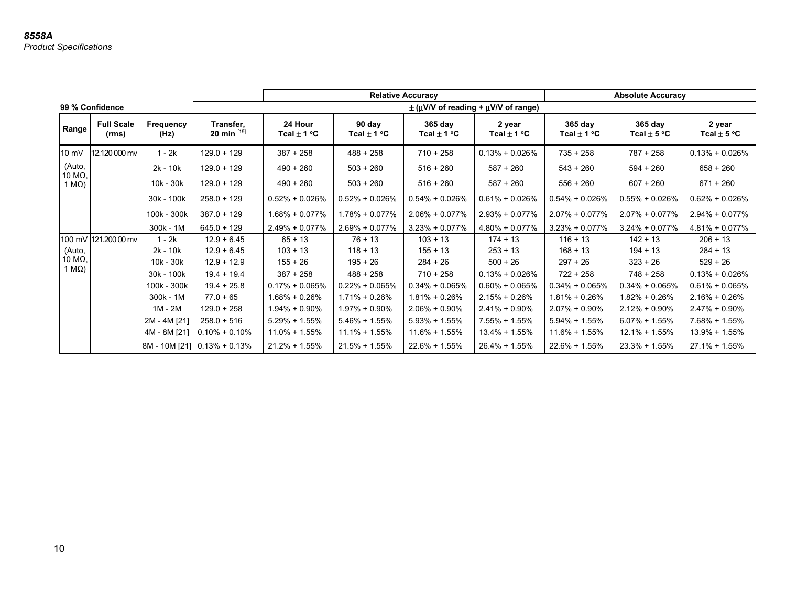|                               |                            |                   |                               |                                                    |                           | <b>Relative Accuracy</b>   |                           |                            | <b>Absolute Accuracy</b>     |                           |  |
|-------------------------------|----------------------------|-------------------|-------------------------------|----------------------------------------------------|---------------------------|----------------------------|---------------------------|----------------------------|------------------------------|---------------------------|--|
|                               | 99 % Confidence            |                   |                               | $\pm$ ( $\mu$ V/V of reading + $\mu$ V/V of range) |                           |                            |                           |                            |                              |                           |  |
| Range                         | <b>Full Scale</b><br>(rms) | Frequency<br>(Hz) | Transfer,<br>20 min $^{[19]}$ | 24 Hour<br>Tcal $\pm$ 1 °C                         | 90 day<br>Tcal $\pm$ 1 °C | 365 day<br>Tcal $\pm$ 1 °C | 2 year<br>Tcal $\pm$ 1 °C | 365 day<br>Tcal $\pm$ 1 °C | $365$ day<br>Tcal $\pm$ 5 °C | 2 year<br>Tcal $\pm$ 5 °C |  |
| $10 \text{ mV}$               | 12.120 000 mv              | $1 - 2k$          | $129.0 + 129$                 | $387 + 258$                                        | $488 + 258$               | $710 + 258$                | $0.13\% + 0.026\%$        | $735 + 258$                | $787 + 258$                  | $0.13\% + 0.026\%$        |  |
| (Auto,                        |                            | 2k - 10k          | $129.0 + 129$                 | $490 + 260$                                        | $503 + 260$               | $516 + 260$                | $587 + 260$               | $543 + 260$                | $594 + 260$                  | $658 + 260$               |  |
| 10 $M\Omega$<br>1 $M\Omega$ ) |                            | 10k - 30k         | $129.0 + 129$                 | $490 + 260$                                        | $503 + 260$               | $516 + 260$                | $587 + 260$               | $556 + 260$                | $607 + 260$                  | $671 + 260$               |  |
|                               |                            | 30k - 100k        | $258.0 + 129$                 | $0.52\% + 0.026\%$                                 | $0.52\% + 0.026\%$        | $0.54\% + 0.026\%$         | $0.61\% + 0.026\%$        | $0.54\% + 0.026\%$         | $0.55\% + 0.026\%$           | $0.62\% + 0.026\%$        |  |
|                               |                            | 100k - 300k       | $387.0 + 129$                 | $1.68\% + 0.077\%$                                 | $1.78\% + 0.077\%$        | $2.06\% + 0.077\%$         | $2.93\% + 0.077\%$        | $2.07\% + 0.077\%$         | $2.07\% + 0.077\%$           | $2.94\% + 0.077\%$        |  |
|                               |                            | 300k - 1M         | $645.0 + 129$                 | $2.49\% + 0.077\%$                                 | $2.69\% + 0.077\%$        | $3.23\% + 0.077\%$         | $4.80\% + 0.077\%$        | $3.23\% + 0.077\%$         | $3.24\% + 0.077\%$           | $4.81\% + 0.077\%$        |  |
|                               | 100 mV 121.200 00 mv       | $1 - 2k$          | $12.9 + 6.45$                 | $65 + 13$                                          | $76 + 13$                 | $103 + 13$                 | $174 + 13$                | $116 + 13$                 | $142 + 13$                   | $206 + 13$                |  |
| (Auto,                        |                            | $2k - 10k$        | $12.9 + 6.45$                 | $103 + 13$                                         | $118 + 13$                | $155 + 13$                 | $253 + 13$                | $168 + 13$                 | $194 + 13$                   | $284 + 13$                |  |
| 10 M $\Omega$ ,               |                            | $10k - 30k$       | $12.9 + 12.9$                 | $155 + 26$                                         | $195 + 26$                | $284 + 26$                 | $500 + 26$                | $297 + 26$                 | $323 + 26$                   | $529 + 26$                |  |
| 1 M $\Omega$ )                |                            | 30k - 100k        | $19.4 + 19.4$                 | $387 + 258$                                        | $488 + 258$               | $710 + 258$                | $0.13\% + 0.026\%$        | $722 + 258$                | $748 + 258$                  | $0.13% + 0.026%$          |  |
|                               |                            | 100k - 300k       | $19.4 + 25.8$                 | $0.17\% + 0.065\%$                                 | $0.22\% + 0.065\%$        | $0.34\% + 0.065\%$         | $0.60\% + 0.065\%$        | $0.34\% + 0.065\%$         | $0.34\% + 0.065\%$           | $0.61\% + 0.065\%$        |  |
|                               |                            | 300k - 1M         | $77.0 + 65$                   | $1.68\% + 0.26\%$                                  | $1.71\% + 0.26\%$         | $1.81\% + 0.26\%$          | $2.15% + 0.26%$           | $1.81\% + 0.26\%$          | 1.82% + 0.26%                | $2.16\% + 0.26\%$         |  |
|                               |                            | 1M - 2M           | $129.0 + 258$                 | $1.94\% + 0.90\%$                                  | $1.97\% + 0.90\%$         | $2.06\% + 0.90\%$          | $2.41\% + 0.90\%$         | $2.07\% + 0.90\%$          | $2.12\% + 0.90\%$            | $2.47\% + 0.90\%$         |  |
|                               |                            | 2M - 4M [21]      | $258.0 + 516$                 | $5.29\% + 1.55\%$                                  | $5.46\% + 1.55\%$         | $5.93\% + 1.55\%$          | $7.55\% + 1.55\%$         | $5.94\% + 1.55\%$          | $6.07\% + 1.55\%$            | $7.68\% + 1.55\%$         |  |
|                               |                            | 4M - 8M [21]      | $0.10\% + 0.10\%$             | $11.0\% + 1.55\%$                                  | $11.1\% + 1.55\%$         | $11.6\% + 1.55\%$          | $13.4\% + 1.55\%$         | $11.6\% + 1.55\%$          | $12.1\% + 1.55\%$            | 13.9% + 1.55%             |  |
|                               |                            | 8M - 10M [21]     | $0.13% + 0.13%$               | $21.2\% + 1.55\%$                                  | $21.5\% + 1.55\%$         | $22.6\% + 1.55\%$          | $26.4\% + 1.55\%$         | $22.6\% + 1.55\%$          | $23.3\% + 1.55\%$            | $27.1\% + 1.55\%$         |  |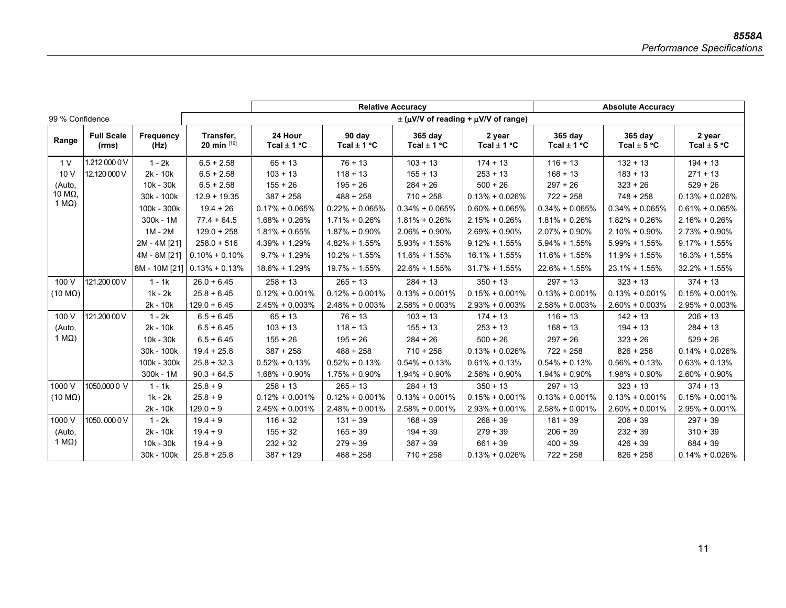|                        | <b>Relative Accuracy</b>   |                   |                             |                            |                           |                            |                                                    | <b>Absolute Accuracy</b>   |                            |                           |
|------------------------|----------------------------|-------------------|-----------------------------|----------------------------|---------------------------|----------------------------|----------------------------------------------------|----------------------------|----------------------------|---------------------------|
| 99 % Confidence        |                            |                   |                             |                            |                           |                            | $\pm$ ( $\mu$ V/V of reading + $\mu$ V/V of range) |                            |                            |                           |
| Range                  | <b>Full Scale</b><br>(rms) | Frequency<br>(Hz) | Transfer,<br>20 min [19]    | 24 Hour<br>Tcal $\pm$ 1 °C | 90 day<br>Tcal $\pm$ 1 °C | 365 day<br>Tcal $\pm$ 1 °C | 2 year<br>Tcal $\pm$ 1 °C                          | 365 day<br>Tcal $\pm$ 1 °C | 365 day<br>Tcal $\pm$ 5 °C | 2 year<br>Tcal $\pm$ 5 °C |
| 1 <sub>V</sub>         | 1.212 000 0 V              | $1 - 2k$          | $6.5 + 2.58$                | $65 + 13$                  | $76 + 13$                 | $103 + 13$                 | $174 + 13$                                         | $116 + 13$                 | $132 + 13$                 | $194 + 13$                |
| 10V                    | 12.120 000 V               | $2k - 10k$        | $6.5 + 2.58$                | $103 + 13$                 | $118 + 13$                | $155 + 13$                 | $253 + 13$                                         | $168 + 13$                 | $183 + 13$                 | $271 + 13$                |
| (Auto,                 |                            | $10k - 30k$       | $6.5 + 2.58$                | $155 + 26$                 | $195 + 26$                | $284 + 26$                 | $500 + 26$                                         | $297 + 26$                 | $323 + 26$                 | $529 + 26$                |
| 10 MΩ,                 |                            | 30k - 100k        | $12.9 + 19.35$              | $387 + 258$                | $488 + 258$               | $710 + 258$                | $0.13% + 0.026%$                                   | $722 + 258$                | $748 + 258$                | $0.13% + 0.026%$          |
| 1 $M\Omega$ )          |                            | 100k - 300k       | $19.4 + 26$                 | $0.17\% + 0.065\%$         | $0.22\% + 0.065\%$        | $0.34\% + 0.065\%$         | $0.60\% + 0.065\%$                                 | $0.34\% + 0.065\%$         | $0.34\% + 0.065\%$         | $0.61\% + 0.065\%$        |
|                        |                            | $300k - 1M$       | $77.4 + 64.5$               | $1.68\% + 0.26\%$          | $1.71\% + 0.26\%$         | $1.81\% + 0.26\%$          | $2.15% + 0.26%$                                    | $1.81\% + 0.26\%$          | $1.82\% + 0.26\%$          | $2.16\% + 0.26\%$         |
|                        |                            | $1M - 2M$         | $129.0 + 258$               | $1.81\% + 0.65\%$          | $1.87\% + 0.90\%$         | $2.06\% + 0.90\%$          | $2.69\% + 0.90\%$                                  | $2.07\% + 0.90\%$          | $2.10\% + 0.90\%$          | $2.73\% + 0.90\%$         |
|                        |                            | 2M - 4M [21]      | $258.0 + 516$               | 4.39% + 1.29%              | $4.82\% + 1.55\%$         | $5.93\% + 1.55\%$          | $9.12\% + 1.55\%$                                  | $5.94\% + 1.55\%$          | $5.99\% + 1.55\%$          | $9.17\% + 1.55\%$         |
|                        |                            | 4M - 8M [21]      | $0.10\% + 0.10\%$           | $9.7\% + 1.29\%$           | $10.2\% + 1.55\%$         | $11.6\% + 1.55\%$          | $16.1\% + 1.55\%$                                  | $11.6\% + 1.55\%$          | 11.9% + 1.55%              | $16.3\% + 1.55\%$         |
|                        |                            |                   | 8M - 10M [21] 0.13% + 0.13% | $18.6\% + 1.29\%$          | 19.7% + 1.55%             | $22.6\% + 1.55\%$          | $31.7\% + 1.55\%$                                  | $22.6\% + 1.55\%$          | 23.1% + 1.55%              | $32.2\% + 1.55\%$         |
| 100 V                  | 121.200 00 V               | $1 - 1k$          | $26.0 + 6.45$               | $258 + 13$                 | $265 + 13$                | $284 + 13$                 | $350 + 13$                                         | $297 + 13$                 | $323 + 13$                 | $374 + 13$                |
| $(10 \text{ M}\Omega)$ |                            | $1k - 2k$         | $25.8 + 6.45$               | $0.12\% + 0.001\%$         | $0.12\% + 0.001\%$        | $0.13% + 0.001%$           | $0.15\% + 0.001\%$                                 | $0.13% + 0.001%$           | $0.13% + 0.001%$           | $0.15% + 0.001%$          |
|                        |                            | $2k - 10k$        | $129.0 + 6.45$              | $2.45\% + 0.003\%$         | $2.48\% + 0.003\%$        | $2.58\% + 0.003\%$         | $2.93\% + 0.003\%$                                 | $2.58\% + 0.003\%$         | $2.60\% + 0.003\%$         | $2.95\% + 0.003\%$        |
| 100 V                  | 121.200 00 V               | $1 - 2k$          | $6.5 + 6.45$                | $65 + 13$                  | $76 + 13$                 | $103 + 13$                 | $174 + 13$                                         | $116 + 13$                 | $142 + 13$                 | $206 + 13$                |
| (Auto,                 |                            | $2k - 10k$        | $6.5 + 6.45$                | $103 + 13$                 | $118 + 13$                | $155 + 13$                 | $253 + 13$                                         | $168 + 13$                 | $194 + 13$                 | $284 + 13$                |
| 1 $M\Omega$ )          |                            | 10k - 30k         | $6.5 + 6.45$                | $155 + 26$                 | $195 + 26$                | $284 + 26$                 | $500 + 26$                                         | $297 + 26$                 | $323 + 26$                 | $529 + 26$                |
|                        |                            | 30k - 100k        | $19.4 + 25.8$               | $387 + 258$                | $488 + 258$               | $710 + 258$                | $0.13% + 0.026%$                                   | $722 + 258$                | $826 + 258$                | $0.14\% + 0.026\%$        |
|                        |                            | 100k - 300k       | $25.8 + 32.3$               | $0.52\% + 0.13\%$          | $0.52\% + 0.13\%$         | $0.54\% + 0.13\%$          | $0.61\% + 0.13\%$                                  | $0.54\% + 0.13\%$          | $0.56\% + 0.13\%$          | $0.63\% + 0.13\%$         |
|                        |                            | 300k - 1M         | $90.3 + 64.5$               | $1.68\% + 0.90\%$          | $1.75% + 0.90%$           | $1.94\% + 0.90\%$          | $2.56\% + 0.90\%$                                  | $1.94\% + 0.90\%$          | $1.98\% + 0.90\%$          | $2.60\% + 0.90\%$         |
| 1000 V                 | 1050,000 0 V               | $1 - 1k$          | $25.8 + 9$                  | $258 + 13$                 | $265 + 13$                | $284 + 13$                 | $350 + 13$                                         | $297 + 13$                 | $323 + 13$                 | $374 + 13$                |
| $(10 \text{ M}\Omega)$ |                            | $1k - 2k$         | $25.8 + 9$                  | $0.12\% + 0.001\%$         | $0.12\% + 0.001\%$        | $0.13\% + 0.001\%$         | $0.15\% + 0.001\%$                                 | $0.13\% + 0.001\%$         | $0.13% + 0.001%$           | $0.15% + 0.001%$          |
|                        |                            | 2k - 10k          | $129.0 + 9$                 | $2.45\% + 0.001\%$         | $2.48\% + 0.001\%$        | $2.58\% + 0.001\%$         | $2.93\% + 0.001\%$                                 | $2.58\% + 0.001\%$         | $2.60\% + 0.001\%$         | $2.95\% + 0.001\%$        |
| 1000 V                 | 1050,0000V                 | $1 - 2k$          | $19.4 + 9$                  | $116 + 32$                 | $131 + 39$                | $168 + 39$                 | $268 + 39$                                         | $181 + 39$                 | $206 + 39$                 | $297 + 39$                |
| (Auto,                 |                            | $2k - 10k$        | $19.4 + 9$                  | $155 + 32$                 | $165 + 39$                | $194 + 39$                 | $279 + 39$                                         | $206 + 39$                 | $232 + 39$                 | $310 + 39$                |
| 1 $M\Omega$ )          |                            | 10k - 30k         | $19.4 + 9$                  | $232 + 32$                 | $279 + 39$                | $387 + 39$                 | $661 + 39$                                         | $400 + 39$                 | $426 + 39$                 | $684 + 39$                |
|                        |                            | 30k - 100k        | $25.8 + 25.8$               | $387 + 129$                | $488 + 258$               | $710 + 258$                | $0.13% + 0.026%$                                   | $722 + 258$                | $826 + 258$                | $0.14\% + 0.026\%$        |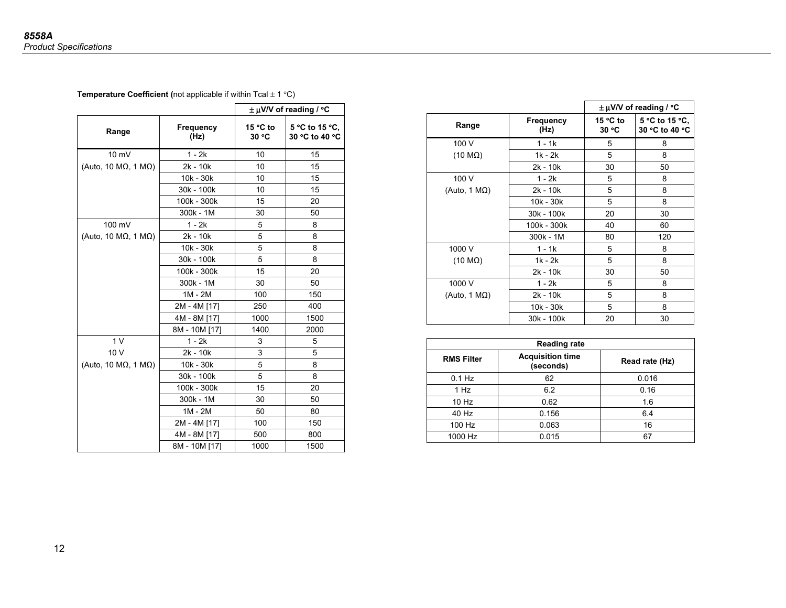**Temperature Coefficient (not applicable if within Tcal**  $\pm$  **1 °C)** 

|                                       |                   |                   | $\pm \mu$ V/V of reading / °C    |
|---------------------------------------|-------------------|-------------------|----------------------------------|
| Range                                 | Frequency<br>(Hz) | 15 °C to<br>30 °C | 5 °C to 15 °C,<br>30 °C to 40 °C |
| 10 mV                                 | $1 - 2k$          | 10                | 15                               |
| (Auto, 10 M $\Omega$ , 1 M $\Omega$ ) | $2k - 10k$        | 10                | 15                               |
|                                       | 10k - 30k         | 10                | 15                               |
|                                       | 30k - 100k        | 10                | 15                               |
|                                       | 100k - 300k       | 15                | 20                               |
|                                       | 300k - 1M         | 30                | 50                               |
| 100 mV                                | $1 - 2k$          | 5                 | 8                                |
| (Auto, 10 M $\Omega$ , 1 M $\Omega$ ) | $2k - 10k$        | 5                 | 8                                |
|                                       | 10k - 30k         | 5                 | 8                                |
|                                       | 30k - 100k        | 5                 | 8                                |
|                                       | 100k - 300k       | 15                | 20                               |
|                                       | $300k - 1M$       | 30                | 50                               |
|                                       | $1M - 2M$         | 100               | 150                              |
|                                       | 2M - 4M [17]      | 250               | 400                              |
|                                       | 4M - 8M [17]      | 1000              | 1500                             |
|                                       | 8M - 10M [17]     | 1400              | 2000                             |
| 1 <sub>V</sub>                        | 1 - 2k            | 3                 | 5                                |
| 10 V                                  | 2k - 10k          | 3                 | 5                                |
| (Auto, 10 M $\Omega$ , 1 M $\Omega$ ) | 10k - 30k         | 5                 | 8                                |
|                                       | 30k - 100k        | 5                 | 8                                |
|                                       | 100k - 300k       | 15                | 20                               |
|                                       | 300k - 1M         | 30                | 50                               |
|                                       | $1M - 2M$         | 50                | 80                               |
|                                       | 2M - 4M [17]      | 100               | 150                              |
|                                       | 4M - 8M [17]      | 500               | 800                              |
|                                       | 8M - 10M [17]     | 1000              | 1500                             |

|                        |                          |                   | $\pm \mu$ V/V of reading / °C    |
|------------------------|--------------------------|-------------------|----------------------------------|
| Range                  | <b>Frequency</b><br>(Hz) | 15 °C to<br>30 °C | 5 °C to 15 °C.<br>30 °C to 40 °C |
| 100 V                  | $1 - 1k$                 | 5                 | 8                                |
| $(10 \text{ M}\Omega)$ | 1k - 2k                  | 5                 | 8                                |
|                        | 2k - 10k                 | 30                | 50                               |
| 100 V                  | $1 - 2k$                 | 5                 | 8                                |
| (Auto, 1 $M\Omega$ )   | 2k - 10k                 | 5                 | 8                                |
|                        | 10k - 30k                | 5                 | 8                                |
|                        | 30k - 100k               | 20                | 30                               |
|                        | 100k - 300k              | 40                | 60                               |
|                        | 300k - 1M                | 80                | 120                              |
| 1000 V                 | 1 - 1k                   | 5                 | 8                                |
| $(10 \text{ M}\Omega)$ | $1k - 2k$                | 5                 | 8                                |
|                        | 2k - 10k                 | 30                | 50                               |
| 1000 V                 | $1 - 2k$                 | 5                 | 8                                |
| (Auto, 1 $M\Omega$ )   | 2k - 10k                 | 5                 | 8                                |
|                        | 10k - 30k                | 5                 | 8                                |
|                        | 30k - 100k               | 20                | 30                               |

|                   | <b>Reading rate</b>                  |                |  |  |  |  |
|-------------------|--------------------------------------|----------------|--|--|--|--|
| <b>RMS Filter</b> | <b>Acquisition time</b><br>(seconds) | Read rate (Hz) |  |  |  |  |
| $0.1$ Hz          | 62                                   | 0.016          |  |  |  |  |
| 1 Hz              | 6.2                                  | 0.16           |  |  |  |  |
| 10 Hz             | 0.62                                 | 1.6            |  |  |  |  |
| 40 Hz             | 0.156                                | 6.4            |  |  |  |  |
| 100 Hz            | 0.063                                | 16             |  |  |  |  |
| 1000 Hz           | 0.015                                | 67             |  |  |  |  |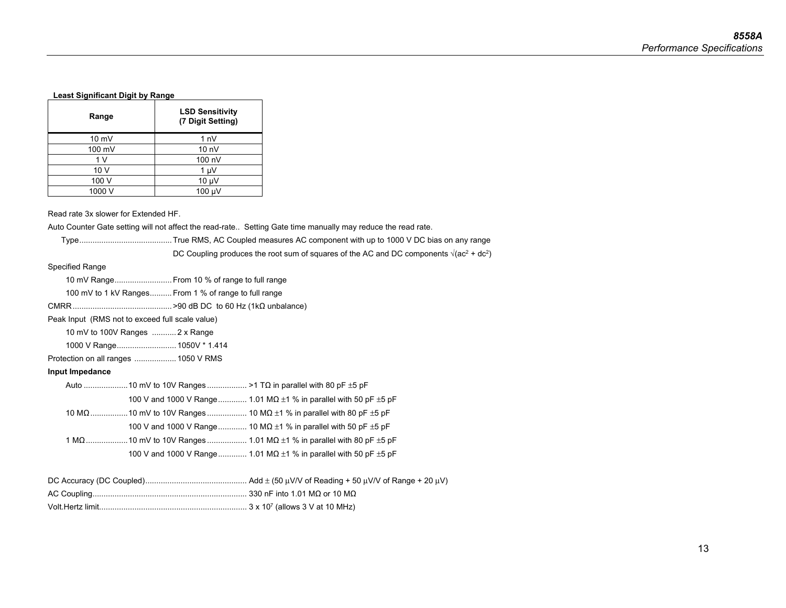### **Least Significant Digit by Range**

| Range           | <b>LSD Sensitivity</b><br>(7 Digit Setting) |
|-----------------|---------------------------------------------|
| $10 \text{ mV}$ | 1 <sub>n</sub>                              |
| 100 mV          | 10 <sub>n</sub>                             |
| 1 V             | 100 nV                                      |
| 10 V            | 1 µV                                        |
| 100 V           | $10 \mu V$                                  |
| 1000 V          | 100 µV                                      |

Read rate 3x slower for Extended HF.

Auto Counter Gate setting will not affect the read-rate.. Setting Gate time manually may reduce the read rate.

| DC Coupling produces the root sum of squares of the AC and DC components $\sqrt{(ac^2 + dc^2)}$ |  |
|-------------------------------------------------------------------------------------------------|--|
|                                                                                                 |  |

Specified Range

10 mV Range .......................... From 10 % of range to full range

100 mV to 1 kV Ranges .......... From 1 % of range to full range

CMRR ............................................. >90 dB DC to 60 Hz (1kΩ unbalance)

Peak Input (RMS not to exceed full scale value)

10 mV to 100V Ranges ........... 2 x Range

| 1000 V Range 1050V * 1.414 |  |
|----------------------------|--|
|----------------------------|--|

Protection on all ranges ................... 1050 V RMS

### **Input Impedance**

|  | 100 V and 1000 V Range 1.01 MQ $\pm$ 1 % in parallel with 50 pF $\pm$ 5 pF  |
|--|-----------------------------------------------------------------------------|
|  |                                                                             |
|  | 100 V and 1000 V Range 10 MQ $\pm$ 1 % in parallel with 50 pF $\pm$ 5 pF    |
|  |                                                                             |
|  | 100 V and 1000 V Range  1.01 MQ $\pm$ 1 % in parallel with 50 pF $\pm$ 5 pF |
|  |                                                                             |
|  |                                                                             |
|  |                                                                             |

Volt.Hertz limit ................................................................... 3 x 107 (allows 3 V at 10 MHz)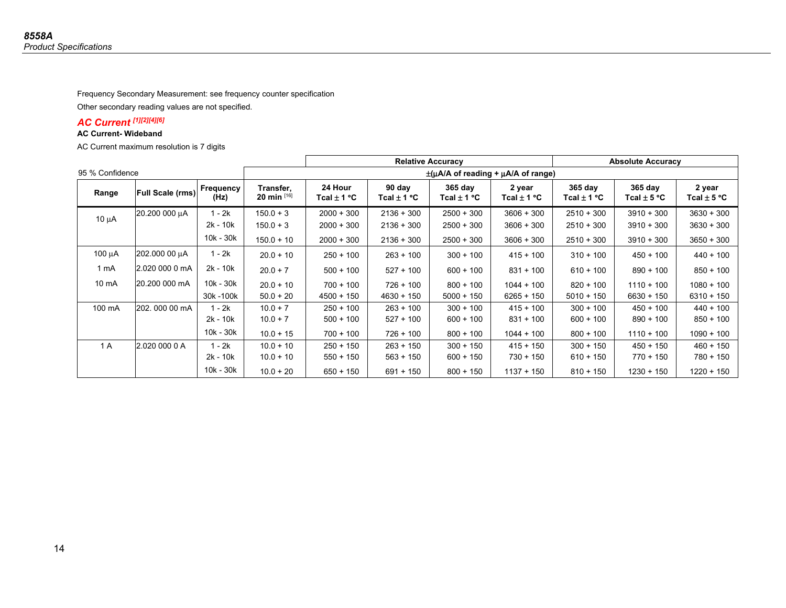Frequency Secondary Measurement: see frequency counter specification

Other secondary reading values are not specified.

### *AC Current [1][2][4][6]*

#### **AC Current- Wideband**

AC Current maximum resolution is 7 digits

|                 |                         |                   |                               | <b>Relative Accuracy</b>   |                                                 |                              |                           | <b>Absolute Accuracy</b>   |                              |                           |
|-----------------|-------------------------|-------------------|-------------------------------|----------------------------|-------------------------------------------------|------------------------------|---------------------------|----------------------------|------------------------------|---------------------------|
| 95 % Confidence |                         |                   |                               |                            | $\pm(\mu A/A)$ of reading + $\mu A/A$ of range) |                              |                           |                            |                              |                           |
| Range           | <b>Full Scale (rms)</b> | Frequency<br>(Hz) | Transfer,<br>20 min $^{[16]}$ | 24 Hour<br>Tcal $\pm$ 1 °C | 90 day<br>Tcal $\pm$ 1 °C                       | $365$ day<br>Tcal $\pm$ 1 °C | 2 year<br>Tcal $\pm$ 1 °C | 365 day<br>Tcal $\pm$ 1 °C | $365$ day<br>Tcal $\pm$ 5 °C | 2 year<br>Tcal $\pm$ 5 °C |
|                 | 20.200 000 µA           | 1 - 2k            | $150.0 + 3$                   | $2000 + 300$               | $2136 + 300$                                    | $2500 + 300$                 | $3606 + 300$              | $2510 + 300$               | $3910 + 300$                 | $3630 + 300$              |
| $10 \mu A$      |                         | 2k - 10k          | $150.0 + 3$                   | $2000 + 300$               | $2136 + 300$                                    | $2500 + 300$                 | $3606 + 300$              | $2510 + 300$               | $3910 + 300$                 | $3630 + 300$              |
|                 |                         | 10k - 30k         | $150.0 + 10$                  | $2000 + 300$               | $2136 + 300$                                    | $2500 + 300$                 | $3606 + 300$              | $2510 + 300$               | $3910 + 300$                 | $3650 + 300$              |
| $100 \mu A$     | 202.000 00 µA           | $1 - 2k$          | $20.0 + 10$                   | $250 + 100$                | $263 + 100$                                     | $300 + 100$                  | $415 + 100$               | $310 + 100$                | $450 + 100$                  | $440 + 100$               |
| 1 mA            | 2.020 000 0 mA          | $2k - 10k$        | $20.0 + 7$                    | $500 + 100$                | $527 + 100$                                     | $600 + 100$                  | $831 + 100$               | $610 + 100$                | $890 + 100$                  | $850 + 100$               |
| 10 mA           | 20.200 000 mA           | 10k - 30k         | $20.0 + 10$                   | $700 + 100$                | $726 + 100$                                     | $800 + 100$                  | $1044 + 100$              | $820 + 100$                | $1110 + 100$                 | $1080 + 100$              |
|                 |                         | 30k -100k         | $50.0 + 20$                   | $4500 + 150$               | $4630 + 150$                                    | $5000 + 150$                 | $6265 + 150$              | $5010 + 150$               | $6630 + 150$                 | $6310 + 150$              |
| 100 mA          | 202.000 00 mA           | 1 - 2k            | $10.0 + 7$                    | $250 + 100$                | $263 + 100$                                     | $300 + 100$                  | $415 + 100$               | $300 + 100$                | $450 + 100$                  | $440 + 100$               |
|                 |                         | 2k - 10k          | $10.0 + 7$                    | $500 + 100$                | $527 + 100$                                     | $600 + 100$                  | $831 + 100$               | $600 + 100$                | $890 + 100$                  | $850 + 100$               |
|                 |                         | 10k - 30k         | $10.0 + 15$                   | $700 + 100$                | $726 + 100$                                     | $800 + 100$                  | $1044 + 100$              | $800 + 100$                | $1110 + 100$                 | $1090 + 100$              |
| 1 A             | 2.020 000 0 A           | $1 - 2k$          | $10.0 + 10$                   | $250 + 150$                | $263 + 150$                                     | $300 + 150$                  | $415 + 150$               | $300 + 150$                | $450 + 150$                  | $460 + 150$               |
|                 |                         | $2k - 10k$        | $10.0 + 10$                   | $550 + 150$                | $563 + 150$                                     | $600 + 150$                  | $730 + 150$               | $610 + 150$                | $770 + 150$                  | $780 + 150$               |
|                 |                         | 10k - 30k         | $10.0 + 20$                   | $650 + 150$                | $691 + 150$                                     | $800 + 150$                  | $1137 + 150$              | $810 + 150$                | $1230 + 150$                 | 1220 + 150                |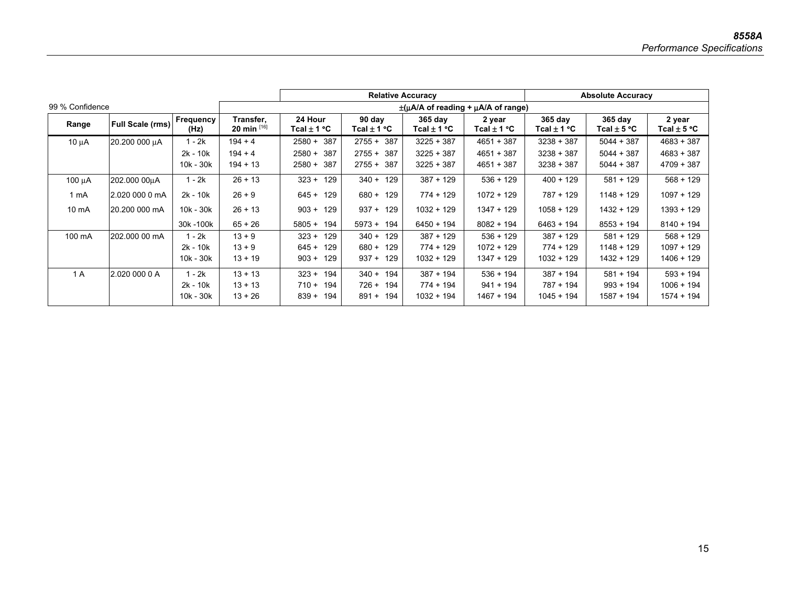|                 |                  |                   |                               | <b>Relative Accuracy</b>                        |                           |                        |                           | <b>Absolute Accuracy</b> |                            |                           |
|-----------------|------------------|-------------------|-------------------------------|-------------------------------------------------|---------------------------|------------------------|---------------------------|--------------------------|----------------------------|---------------------------|
| 99 % Confidence |                  |                   |                               | $\pm(\mu A/A)$ of reading + $\mu A/A$ of range) |                           |                        |                           |                          |                            |                           |
| Range           | Full Scale (rms) | Frequency<br>(Hz) | Transfer.<br>20 min $^{[16]}$ | 24 Hour<br>Tcal $\pm$ 1 °C                      | 90 day<br>Tcal $\pm$ 1 °C | 365 day<br>Tcal ± 1 °C | 2 year<br>Tcal $\pm$ 1 °C | 365 day<br>Tcal ± 1 °C   | 365 day<br>Tcal $\pm$ 5 °C | 2 year<br>Tcal $\pm$ 5 °C |
| $10 \mu A$      | 20.200 000 µA    | 1 - 2k            | $194 + 4$                     | $2580 + 387$                                    | $2755 + 387$              | $3225 + 387$           | $4651 + 387$              | $3238 + 387$             | $5044 + 387$               | $4683 + 387$              |
|                 |                  | $2k - 10k$        | $194 + 4$                     | $2580 + 387$                                    | $2755 + 387$              | $3225 + 387$           | $4651 + 387$              | $3238 + 387$             | $5044 + 387$               | $4683 + 387$              |
|                 |                  | 10k - 30k         | $194 + 13$                    | $2580 +$<br>387                                 | $2755 + 387$              | $3225 + 387$           | $4651 + 387$              | $3238 + 387$             | $5044 + 387$               | $4709 + 387$              |
| 100 uA          | 202.000 00uA     | 1 - 2k            | $26 + 13$                     | $323 + 129$                                     | $340 +$<br>129            | $387 + 129$            | $536 + 129$               | $400 + 129$              | $581 + 129$                | $568 + 129$               |
| 1 mA            | 2.020 000 0 mA   | $2k - 10k$        | $26 + 9$                      | $645 + 129$                                     | 129<br>680 +              | $774 + 129$            | $1072 + 129$              | 787 + 129                | $1148 + 129$               | $1097 + 129$              |
| $10 \text{ mA}$ | 20.200 000 mA    | $10k - 30k$       | $26 + 13$                     | $903 + 129$                                     | $937 + 129$               | $1032 + 129$           | $1347 + 129$              | $1058 + 129$             | $1432 + 129$               | $1393 + 129$              |
|                 |                  | 30k - 100k        | $65 + 26$                     | $5805 + 194$                                    | $5973 + 194$              | $6450 + 194$           | $8082 + 194$              | $6463 + 194$             | $8553 + 194$               | $8140 + 194$              |
| 100 mA          | 202.000 00 mA    | - 2k              | $13 + 9$                      | $323 + 129$                                     | 129<br>$340 +$            | $387 + 129$            | $536 + 129$               | $387 + 129$              | $581 + 129$                | $568 + 129$               |
|                 |                  | $2k - 10k$        | $13 + 9$                      | $645 +$<br>129                                  | 129<br>$680 +$            | $774 + 129$            | $1072 + 129$              | $774 + 129$              | $1148 + 129$               | $1097 + 129$              |
|                 |                  | 10k - 30k         | $13 + 19$                     | $903 + 129$                                     | 129<br>$937 +$            | $1032 + 129$           | $1347 + 129$              | $1032 + 129$             | $1432 + 129$               | $1406 + 129$              |
| 1 A             | 2.020 000 0 A    | l - 2k            | $13 + 13$                     | $323 + 194$                                     | $340 +$<br>194            | $387 + 194$            | $536 + 194$               | $387 + 194$              | $581 + 194$                | $593 + 194$               |
|                 |                  | $2k - 10k$        | $13 + 13$                     | $710 + 194$                                     | 726 +<br>194              | $774 + 194$            | $941 + 194$               | 787 + 194                | $993 + 194$                | $1006 + 194$              |
|                 |                  | 10k - 30k         | $13 + 26$                     | $839 +$<br>194                                  | 194<br>$891 +$            | $1032 + 194$           | $1467 + 194$              | $1045 + 194$             | $1587 + 194$               | $1574 + 194$              |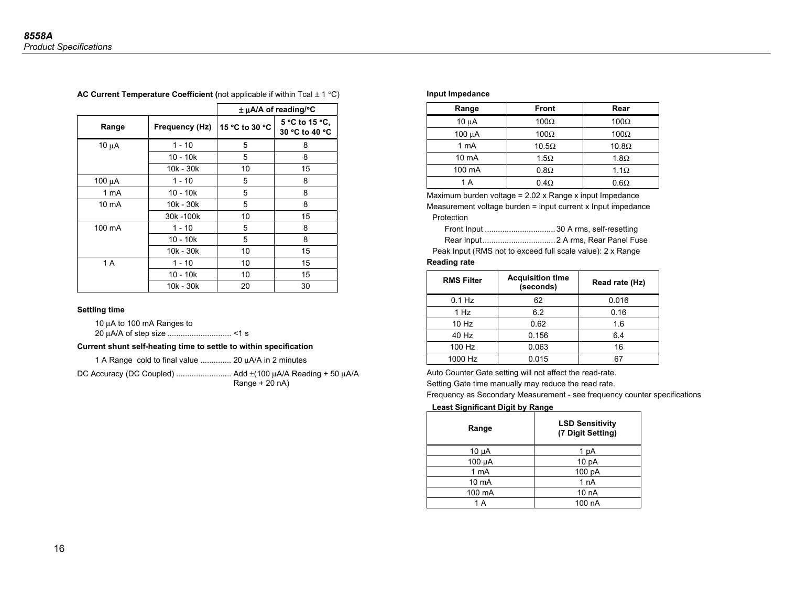|             |                |                | $\pm \mu A/A$ of reading/°C      |
|-------------|----------------|----------------|----------------------------------|
| Range       | Frequency (Hz) | 15 °C to 30 °C | 5 °C to 15 °C,<br>30 °C to 40 °C |
| $10 \mu A$  | $1 - 10$       | 5              | 8                                |
|             | $10 - 10k$     | 5              | 8                                |
|             | 10k - 30k      | 10             | 15                               |
| 100 $\mu$ A | $1 - 10$       | 5              | 8                                |
| 1 mA        | $10 - 10k$     | 5              | 8                                |
| 10 mA       | 10k - 30k      | 5              | 8                                |
|             | 30k - 100k     | 10             | 15                               |
| 100 mA      | $1 - 10$       | 5              | 8                                |
|             | $10 - 10k$     | 5              | 8                                |
|             | 10k - 30k      | 10             | 15                               |
| 1 A         | $1 - 10$       | 10             | 15                               |
|             | $10 - 10k$     | 10             | 15                               |
|             | 10k - 30k      | 20             | 30                               |

### **AC Current Temperature Coefficient (**not applicable if within Tcal ± 1 °C)

#### **Settling time**

10 μA to 100 mA Ranges to 20 μA/A of step size ............................. <1 s

### **Current shunt self-heating time to settle to within specification**

1 A Range cold to final value .............. 20 μA/A in 2 minutes

DC Accuracy (DC Coupled) ......................... Add ±(100 μA/A Reading + 50 μA/A  $Range + 20 nA)$ 

#### **Input Impedance**

| Range           | <b>Front</b> | Rear         |
|-----------------|--------------|--------------|
| $10 \mu A$      | $100\Omega$  | $100\Omega$  |
| $100 \mu A$     | $100\Omega$  | $100\Omega$  |
| 1 mA            | $10.5\Omega$ | $10.8\Omega$ |
| $10 \text{ mA}$ | $1.5\Omega$  | $1.8\Omega$  |
| 100 mA          | $0.8\Omega$  | $1.1\Omega$  |
| 1 A             | $0.4\Omega$  | $0.6\Omega$  |

Maximum burden voltage = 2.02 x Range x input Impedance Measurement voltage burden = input current x Input impedance Protection

Front Input ................................ 30 A rms, self-resetting

Rear Input ................................. 2 A rms, Rear Panel Fuse

Peak Input (RMS not to exceed full scale value): 2 x Range **Reading rate** 

| <b>RMS Filter</b> | <b>Acquisition time</b><br>(seconds) | Read rate (Hz) |
|-------------------|--------------------------------------|----------------|
| $0.1$ Hz          | 62                                   | 0.016          |
| 1 Hz              | 6.2                                  | 0.16           |
| 10 Hz             | 0.62                                 | 1.6            |
| 40 Hz             | 0.156                                | 6.4            |
| 100 Hz            | 0.063                                | 16             |
| 1000 Hz           | 0.015                                |                |

Auto Counter Gate setting will not affect the read-rate.

Setting Gate time manually may reduce the read rate.

Frequency as Secondary Measurement - see frequency counter specifications

### **Least Significant Digit by Range**

| Range           | <b>LSD Sensitivity</b><br>(7 Digit Setting) |
|-----------------|---------------------------------------------|
| $10 \mu A$      | 1 pA                                        |
| 100 µA          | 10 <sub>pA</sub>                            |
| 1 mA            | 100 pA                                      |
| $10 \text{ mA}$ | 1 <sub>n</sub> A                            |
| 100 mA          | 10 <sub>n</sub> A                           |
| 1 A             | 100 nA                                      |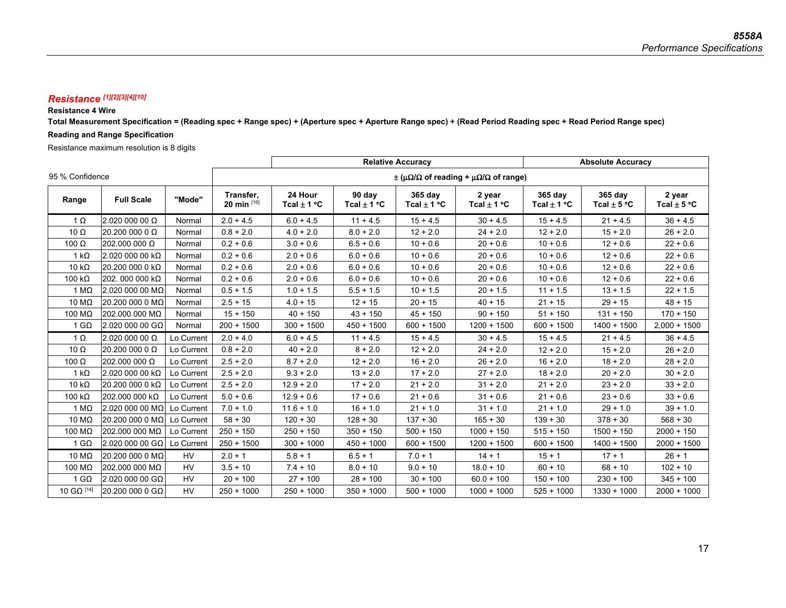### *Resistance [1][2][3][4][10]*

### **Resistance 4 Wire**

**Total Measurement Specification = (Reading spec + Range spec) + (Aperture spec + Aperture Range spec) + (Read Period Reading spec + Read Period Range spec)** 

### **Reading and Range Specification**

Resistance maximum resolution is 8 digits

|                 |                                   |            |                               | <b>Relative Accuracy</b>                                             |                           |                            |                           | <b>Absolute Accuracy</b>   |                            |                           |
|-----------------|-----------------------------------|------------|-------------------------------|----------------------------------------------------------------------|---------------------------|----------------------------|---------------------------|----------------------------|----------------------------|---------------------------|
| 95 % Confidence |                                   |            |                               | $\pm$ ( $\mu\Omega/\Omega$ of reading + $\mu\Omega/\Omega$ of range) |                           |                            |                           |                            |                            |                           |
| Range           | <b>Full Scale</b>                 | "Mode"     | Transfer,<br>20 min $^{[16]}$ | 24 Hour<br>Tcal $\pm$ 1 °C                                           | 90 day<br>Tcal $\pm$ 1 °C | 365 day<br>Tcal $\pm$ 1 °C | 2 year<br>Tcal $\pm$ 1 °C | 365 day<br>Tcal $\pm$ 1 °C | 365 day<br>Tcal $\pm$ 5 °C | 2 year<br>Tcal $\pm$ 5 °C |
| $1 \Omega$      | 2.020 000 00 Ω                    | Normal     | $2.0 + 4.5$                   | $6.0 + 4.5$                                                          | $11 + 4.5$                | $15 + 4.5$                 | $30 + 4.5$                | $15 + 4.5$                 | $21 + 4.5$                 | $36 + 4.5$                |
| $10 \Omega$     | 20.200 000 0 $\Omega$             | Normal     | $0.8 + 2.0$                   | $4.0 + 2.0$                                                          | $8.0 + 2.0$               | $12 + 2.0$                 | $24 + 2.0$                | $12 + 2.0$                 | $15 + 2.0$                 | $26 + 2.0$                |
| 100 $\Omega$    | 202.000 000 Ω                     | Normal     | $0.2 + 0.6$                   | $3.0 + 0.6$                                                          | $6.5 + 0.6$               | $10 + 0.6$                 | $20 + 0.6$                | $10 + 0.6$                 | $12 + 0.6$                 | $22 + 0.6$                |
| $1 k\Omega$     | 2.020 000 00 kΩ                   | Normal     | $0.2 + 0.6$                   | $2.0 + 0.6$                                                          | $6.0 + 0.6$               | $10 + 0.6$                 | $20 + 0.6$                | $10 + 0.6$                 | $12 + 0.6$                 | $22 + 0.6$                |
| 10 $k\Omega$    | 20.200 000 0 kΩ                   | Normal     | $0.2 + 0.6$                   | $2.0 + 0.6$                                                          | $6.0 + 0.6$               | $10 + 0.6$                 | $20 + 0.6$                | $10 + 0.6$                 | $12 + 0.6$                 | $22 + 0.6$                |
| 100 $k\Omega$   | 202.000 000 kΩ                    | Normal     | $0.2 + 0.6$                   | $2.0 + 0.6$                                                          | $6.0 + 0.6$               | $10 + 0.6$                 | $20 + 0.6$                | $10 + 0.6$                 | $12 + 0.6$                 | $22 + 0.6$                |
| 1 M $\Omega$    | 2.020 000 00 MΩ                   | Normal     | $0.5 + 1.5$                   | $1.0 + 1.5$                                                          | $5.5 + 1.5$               | $10 + 1.5$                 | $20 + 1.5$                | $11 + 1.5$                 | $13 + 1.5$                 | $22 + 1.5$                |
| 10 $M\Omega$    | 20.200 000 0 MΩ                   | Normal     | $2.5 + 15$                    | $4.0 + 15$                                                           | $12 + 15$                 | $20 + 15$                  | $40 + 15$                 | $21 + 15$                  | $29 + 15$                  | $48 + 15$                 |
| 100 MΩ          | 202.000 000 MΩ                    | Normal     | $15 + 150$                    | $40 + 150$                                                           | $43 + 150$                | $45 + 150$                 | $90 + 150$                | $51 + 150$                 | $131 + 150$                | $170 + 150$               |
| 1 G $\Omega$    | 2.020 000 00 GΩ                   | Normal     | $200 + 1500$                  | $300 + 1500$                                                         | $450 + 1500$              | $600 + 1500$               | $1200 + 1500$             | $600 + 1500$               | $1400 + 1500$              | $2,000 + 1500$            |
| $1 \Omega$      | 2.020 000 00 Ω                    | Lo Current | $2.0 + 4.0$                   | $6.0 + 4.5$                                                          | $11 + 4.5$                | $15 + 4.5$                 | $30 + 4.5$                | $15 + 4.5$                 | $21 + 4.5$                 | $36 + 4.5$                |
| 10 $\Omega$     | 20.200 000 0 $\Omega$             | Lo Current | $0.8 + 2.0$                   | $40 + 2.0$                                                           | $8 + 2.0$                 | $12 + 2.0$                 | $24 + 2.0$                | $12 + 2.0$                 | $15 + 2.0$                 | $26 + 2.0$                |
| 100 $\Omega$    | 202.000 000 Ω                     | Lo Current | $2.5 + 2.0$                   | $8.7 + 2.0$                                                          | $12 + 2.0$                | $16 + 2.0$                 | $26 + 2.0$                | $16 + 2.0$                 | $18 + 2.0$                 | $28 + 2.0$                |
| 1 $k\Omega$     | 2.020 000 00 kΩ                   | Lo Current | $2.5 + 2.0$                   | $9.3 + 2.0$                                                          | $13 + 2.0$                | $17 + 2.0$                 | $27 + 2.0$                | $18 + 2.0$                 | $20 + 2.0$                 | $30 + 2.0$                |
| 10 $k\Omega$    | 20.200 000 0 kΩ                   | Lo Current | $2.5 + 2.0$                   | $12.9 + 2.0$                                                         | $17 + 2.0$                | $21 + 2.0$                 | $31 + 2.0$                | $21 + 2.0$                 | $23 + 2.0$                 | $33 + 2.0$                |
| 100 $k\Omega$   | 202.000 000 kΩ                    | Lo Current | $5.0 + 0.6$                   | $12.9 + 0.6$                                                         | $17 + 0.6$                | $21 + 0.6$                 | $31 + 0.6$                | $21 + 0.6$                 | $23 + 0.6$                 | $33 + 0.6$                |
| 1 M $\Omega$    | 2.020 000 00 MΩ $\mid$ Lo Current |            | $7.0 + 1.0$                   | $11.6 + 1.0$                                                         | $16 + 1.0$                | $21 + 1.0$                 | $31 + 1.0$                | $21 + 1.0$                 | $29 + 1.0$                 | $39 + 1.0$                |
| 10 $M\Omega$    | 20.200 000 0 MΩ Lo Current        |            | $58 + 30$                     | $120 + 30$                                                           | $128 + 30$                | $137 + 30$                 | $165 + 30$                | $139 + 30$                 | $378 + 30$                 | $568 + 30$                |
| 100 $M\Omega$   | 202.000 000 MΩ                    | Lo Current | $250 + 150$                   | $250 + 150$                                                          | $350 + 150$               | $500 + 150$                | $1000 + 150$              | $515 + 150$                | $1500 + 150$               | $2000 + 150$              |
| 1 G $\Omega$    | 2.020 000 00 GΩ Lo Current        |            | $250 + 1500$                  | $300 + 1000$                                                         | $450 + 1000$              | $600 + 1500$               | $1200 + 1500$             | $600 + 1500$               | $1400 + 1500$              | $2000 + 1500$             |
| 10 MΩ           | 20.200 000 0 MΩ                   | <b>HV</b>  | $2.0 + 1$                     | $5.8 + 1$                                                            | $6.5 + 1$                 | $7.0 + 1$                  | $14 + 1$                  | $15 + 1$                   | $17 + 1$                   | $26 + 1$                  |
| 100 $M\Omega$   | 202.000 000 MΩ                    | <b>HV</b>  | $3.5 + 10$                    | $7.4 + 10$                                                           | $8.0 + 10$                | $9.0 + 10$                 | $18.0 + 10$               | $60 + 10$                  | $68 + 10$                  | $102 + 10$                |
| 1 G $\Omega$    | 2.020 000 00 GΩ                   | <b>HV</b>  | $20 + 100$                    | $27 + 100$                                                           | $28 + 100$                | $30 + 100$                 | $60.0 + 100$              | $150 + 100$                | $230 + 100$                | $345 + 100$               |
| 10 GΩ $^{[14]}$ | 20,200 000 0 GΩ                   | HV.        | $250 + 1000$                  | $250 + 1000$                                                         | $350 + 1000$              | $500 + 1000$               | $1000 + 1000$             | $525 + 1000$               | $1330 + 1000$              | $2000 + 1000$             |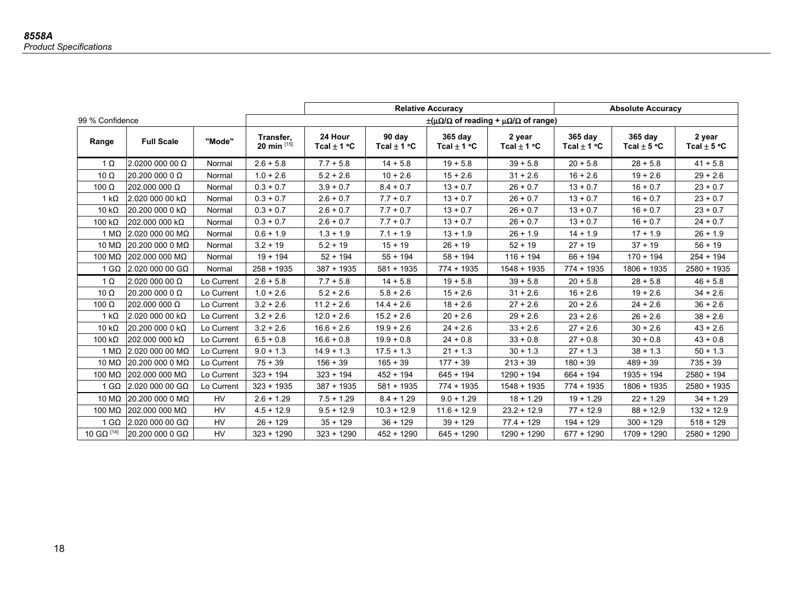|                 |                   |            |                            | <b>Relative Accuracy</b>                                         |                           |                            | <b>Absolute Accuracy</b>  |                            |                            |                           |
|-----------------|-------------------|------------|----------------------------|------------------------------------------------------------------|---------------------------|----------------------------|---------------------------|----------------------------|----------------------------|---------------------------|
| 99 % Confidence |                   |            |                            | $\pm(\mu\Omega/\Omega$ of reading + $\mu\Omega/\Omega$ of range) |                           |                            |                           |                            |                            |                           |
| Range           | <b>Full Scale</b> | "Mode"     | Transfer,<br>20 min $[15]$ | 24 Hour<br>Tcal $\pm$ 1 °C                                       | 90 day<br>Tcal $\pm$ 1 °C | 365 day<br>Tcal $\pm$ 1 °C | 2 year<br>Tcal $\pm$ 1 °C | 365 day<br>Tcal $\pm$ 1 °C | 365 day<br>Tcal $\pm$ 5 °C | 2 year<br>Tcal $\pm$ 5 °C |
| $1 \Omega$      | 2.0200 000 00 Ω   | Normal     | $2.6 + 5.8$                | $7.7 + 5.8$                                                      | $14 + 5.8$                | $19 + 5.8$                 | $39 + 5.8$                | $20 + 5.8$                 | $28 + 5.8$                 | $41 + 5.8$                |
| 10 $\Omega$     | 20.200 000 0 Ω    | Normal     | $1.0 + 2.6$                | $5.2 + 2.6$                                                      | $10 + 2.6$                | $15 + 2.6$                 | $31 + 2.6$                | $16 + 2.6$                 | $19 + 2.6$                 | $29 + 2.6$                |
| 100 $\Omega$    | 202.000 000 Ω     | Normal     | $0.3 + 0.7$                | $3.9 + 0.7$                                                      | $8.4 + 0.7$               | $13 + 0.7$                 | $26 + 0.7$                | $13 + 0.7$                 | $16 + 0.7$                 | $23 + 0.7$                |
| 1 k $\Omega$    | 2.020 000 00 kΩ   | Normal     | $0.3 + 0.7$                | $2.6 + 0.7$                                                      | $7.7 + 0.7$               | $13 + 0.7$                 | $26 + 0.7$                | $13 + 0.7$                 | $16 + 0.7$                 | $23 + 0.7$                |
| 10 k $\Omega$   | 20.200 000 0 kΩ   | Normal     | $0.3 + 0.7$                | $2.6 + 0.7$                                                      | $7.7 + 0.7$               | $13 + 0.7$                 | $26 + 0.7$                | $13 + 0.7$                 | $16 + 0.7$                 | $23 + 0.7$                |
| 100 $k\Omega$   | 202.000 000 kΩ    | Normal     | $0.3 + 0.7$                | $2.6 + 0.7$                                                      | $7.7 + 0.7$               | $13 + 0.7$                 | $26 + 0.7$                | $13 + 0.7$                 | $16 + 0.7$                 | $24 + 0.7$                |
| 1 M $\Omega$    | 2.020 000 00 MΩ   | Normal     | $0.6 + 1.9$                | $1.3 + 1.9$                                                      | $7.1 + 1.9$               | $13 + 1.9$                 | $26 + 1.9$                | $14 + 1.9$                 | $17 + 1.9$                 | $26 + 1.9$                |
| 10 $M\Omega$    | 20.20000000000    | Normal     | $3.2 + 19$                 | $5.2 + 19$                                                       | $15 + 19$                 | $26 + 19$                  | $52 + 19$                 | $27 + 19$                  | $37 + 19$                  | $56 + 19$                 |
| 100 M $\Omega$  | 202.000 000 MΩ    | Normal     | $19 + 194$                 | $52 + 194$                                                       | $55 + 194$                | $58 + 194$                 | $116 + 194$               | $66 + 194$                 | $170 + 194$                | $254 + 194$               |
| 1 G $\Omega$    | 2.020 000 00 GΩ   | Normal     | $258 + 1935$               | $387 + 1935$                                                     | $581 + 1935$              | $774 + 1935$               | $1548 + 1935$             | $774 + 1935$               | $1806 + 1935$              | $2580 + 1935$             |
| $1 \Omega$      | 2.020 000 00 Ω    | Lo Current | $2.6 + 5.8$                | $7.7 + 5.8$                                                      | $14 + 5.8$                | $19 + 5.8$                 | $39 + 5.8$                | $20 + 5.8$                 | $28 + 5.8$                 | $46 + 5.8$                |
| 10 $\Omega$     | 20.200 000 0 Ω    | Lo Current | $1.0 + 2.6$                | $5.2 + 2.6$                                                      | $5.8 + 2.6$               | $15 + 2.6$                 | $31 + 2.6$                | $16 + 2.6$                 | $19 + 2.6$                 | $34 + 2.6$                |
| 100 $\Omega$    | 202.000 000 Ω     | Lo Current | $3.2 + 2.6$                | $11.2 + 2.6$                                                     | $14.4 + 2.6$              | $18 + 2.6$                 | $27 + 2.6$                | $20 + 2.6$                 | $24 + 2.6$                 | $36 + 2.6$                |
| 1 k $\Omega$    | 2.020 000 00 kΩ   | Lo Current | $3.2 + 2.6$                | $12.0 + 2.6$                                                     | $15.2 + 2.6$              | $20 + 2.6$                 | $29 + 2.6$                | $23 + 2.6$                 | $26 + 2.6$                 | $38 + 2.6$                |
| 10 k $\Omega$   | 20.200 000 0 kΩ   | Lo Current | $3.2 + 2.6$                | $16.6 + 2.6$                                                     | $19.9 + 2.6$              | $24 + 2.6$                 | $33 + 2.6$                | $27 + 2.6$                 | $30 + 2.6$                 | $43 + 2.6$                |
| 100 k $\Omega$  | 202.000 000 kΩ    | Lo Current | $6.5 + 0.8$                | $16.6 + 0.8$                                                     | $19.9 + 0.8$              | $24 + 0.8$                 | $33 + 0.8$                | $27 + 0.8$                 | $30 + 0.8$                 | $43 + 0.8$                |
| 1 M $\Omega$    | 2.020 000 00 MΩ   | Lo Current | $9.0 + 1.3$                | $14.9 + 1.3$                                                     | $17.5 + 1.3$              | $21 + 1.3$                 | $30 + 1.3$                | $27 + 1.3$                 | $38 + 1.3$                 | $50 + 1.3$                |
| 10 $M\Omega$    | 20.200 000 0 MΩ   | Lo Current | $75 + 39$                  | $156 + 39$                                                       | $165 + 39$                | $177 + 39$                 | $213 + 39$                | $180 + 39$                 | $489 + 39$                 | $735 + 39$                |
| 100 M $\Omega$  | $202.0000000$ MΩ  | Lo Current | $323 + 194$                | $323 + 194$                                                      | $452 + 194$               | $645 + 194$                | $1290 + 194$              | $664 + 194$                | $1935 + 194$               | $2580 + 194$              |
| 1 G $\Omega$    | $2.020000000$ GΩ  | Lo Current | $323 + 1935$               | $387 + 1935$                                                     | $581 + 1935$              | $774 + 1935$               | $1548 + 1935$             | $774 + 1935$               | $1806 + 1935$              | $2580 + 1935$             |
| 10 $M\Omega$    | 20.200 000 0 MΩ   | <b>HV</b>  | $2.6 + 1.29$               | $7.5 + 1.29$                                                     | $8.4 + 1.29$              | $9.0 + 1.29$               | $18 + 1.29$               | $19 + 1.29$                | $22 + 1.29$                | $34 + 1.29$               |
| 100 M $\Omega$  | 202.000 000 MΩ    | <b>HV</b>  | $4.5 + 12.9$               | $9.5 + 12.9$                                                     | $10.3 + 12.9$             | $11.6 + 12.9$              | $23.2 + 12.9$             | $77 + 12.9$                | $88 + 12.9$                | $132 + 12.9$              |
| 1 G $\Omega$    | $2.020000000$ GΩ  | <b>HV</b>  | $26 + 129$                 | $35 + 129$                                                       | $36 + 129$                | $39 + 129$                 | $77.4 + 129$              | $194 + 129$                | $300 + 129$                | $518 + 129$               |
| 10 GΩ $^{[14]}$ | $20.20000000$ GQ  | <b>HV</b>  | $323 + 1290$               | $323 + 1290$                                                     | $452 + 1290$              | $645 + 1290$               | $1290 + 1290$             | $677 + 1290$               | $1709 + 1290$              | $2580 + 1290$             |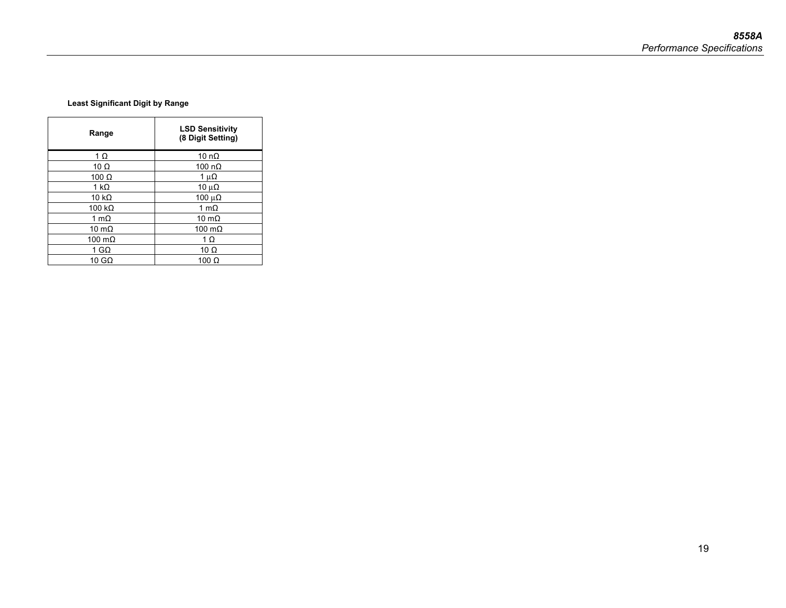### **Least Significant Digit by Range**

| Range         | <b>LSD Sensitivity</b><br>(8 Digit Setting) |
|---------------|---------------------------------------------|
| $1 \Omega$    | 10 n $\Omega$                               |
| 10 $\Omega$   | 100 $n\Omega$                               |
| $100 \Omega$  | 1 $\mu\Omega$                               |
| 1 k $\Omega$  | 10 $\mu\Omega$                              |
| 10 $k\Omega$  | 100 $\mu\Omega$                             |
| 100 $k\Omega$ | 1 m $\Omega$                                |
| 1 m $\Omega$  | 10 m $\Omega$                               |
| 10 m $\Omega$ | 100 $m\Omega$                               |
| 100 $m\Omega$ | 1 $\Omega$                                  |
| 1 GΩ          | 10 $\Omega$                                 |
| 10 G $\Omega$ | 100 $\Omega$                                |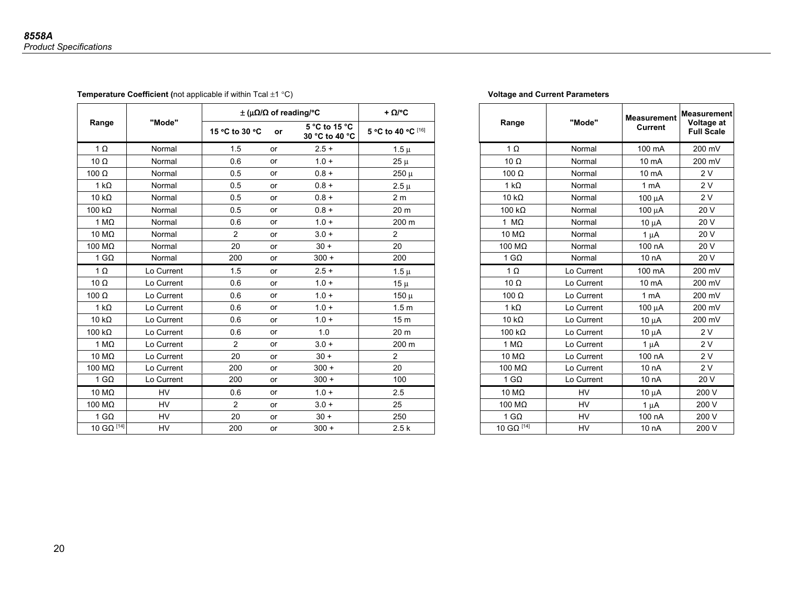**Temperature Coefficient** (not applicable if within Tcal  $\pm 1 \text{ }^{\circ}$ C) **Voltage and Current Parameters** 

|                |            |                |    | $\pm$ ( $\mu\Omega/\Omega$ of reading/°C | + $\Omega$ /°C     |
|----------------|------------|----------------|----|------------------------------------------|--------------------|
| Range          | "Mode"     | 15 °C to 30 °C | or | 5 °C to 15 °C<br>30 °C to 40 °C          | 5 °C to 40 °C [16] |
| $1 \Omega$     | Normal     | 1.5            | or | $2.5 +$                                  | $1.5 \mu$          |
| 10 $\Omega$    | Normal     | 0.6            | or | $1.0 +$                                  | $25 \mu$           |
| 100 $\Omega$   | Normal     | 0.5            | or | $0.8 +$                                  | $250 \mu$          |
| $1 k\Omega$    | Normal     | 0.5            | or | $0.8 +$                                  | $2.5 \mu$          |
| 10 $k\Omega$   | Normal     | 0.5            | or | $0.8 +$                                  | 2 <sub>m</sub>     |
| 100 k $\Omega$ | Normal     | 0.5            | or | $0.8 +$                                  | 20 <sub>m</sub>    |
| 1 M $\Omega$   | Normal     | 0.6            | or | $1.0 +$                                  | 200 m              |
| 10 MΩ          | Normal     | $\mathbf{2}$   | or | $3.0 +$                                  | $\overline{2}$     |
| 100 M $\Omega$ | Normal     | 20             | or | $30 +$                                   | 20                 |
| 1 G $\Omega$   | Normal     | 200            | or | $300 +$                                  | 200                |
| $1 \Omega$     | Lo Current | 1.5            | or | $2.5 +$                                  | $1.5 \mu$          |
| 10 $\Omega$    | Lo Current | 0.6            | or | $1.0 +$                                  | $15 \mu$           |
| 100 $\Omega$   | Lo Current | 0.6            | or | $1.0 +$                                  | $150 \mu$          |
| 1 k $\Omega$   | Lo Current | 0.6            | or | $1.0 +$                                  | 1.5 <sub>m</sub>   |
| 10 $k\Omega$   | Lo Current | 0.6            | or | $1.0 +$                                  | 15 <sub>m</sub>    |
| 100 $k\Omega$  | Lo Current | 0.6            | or | 1.0                                      | 20 <sub>m</sub>    |
| 1 M $\Omega$   | Lo Current | 2              | or | $3.0 +$                                  | 200 m              |
| 10 MΩ          | Lo Current | 20             | or | $30 +$                                   | $\overline{2}$     |
| 100 MΩ         | Lo Current | 200            | or | $300 +$                                  | 20                 |
| 1 G $\Omega$   | Lo Current | 200            | or | $300 +$                                  | 100                |
| 10 M $\Omega$  | <b>HV</b>  | 0.6            | or | $1.0 +$                                  | 2.5                |
| 100 MΩ         | <b>HV</b>  | $\mathbf{2}$   | or | $3.0 +$                                  | 25                 |
| 1 G $\Omega$   | <b>HV</b>  | 20             | or | $30 +$                                   | 250                |
| 10 GΩ [14]     | HV         | 200            | or | $300 +$                                  | 2.5k               |

| $\pm$ ( $\mu\Omega/\Omega$ of reading/°C |           | + $\Omega$ /°C                  |                    |  |                     | <b>Measurement</b> | Measurement      |                                 |
|------------------------------------------|-----------|---------------------------------|--------------------|--|---------------------|--------------------|------------------|---------------------------------|
| 15 °C to 30 °C                           | or        | 5 °C to 15 °C<br>30 °C to 40 °C | 5 °C to 40 °C [16] |  | Range               | "Mode"             | <b>Current</b>   | Voltage at<br><b>Full Scale</b> |
| 1.5                                      | or        | $2.5 +$                         | $1.5 \mu$          |  | $1 \Omega$          | Normal             | 100 mA           | 200 mV                          |
| 0.6                                      | or        | $1.0 +$                         | $25 \mu$           |  | $10 \Omega$         | Normal             | 10 mA            | 200 mV                          |
| 0.5                                      | or        | $0.8 +$                         | $250 \mu$          |  | 100 $\Omega$        | Normal             | 10 mA            | 2V                              |
| 0.5                                      | or        | $0.8 +$                         | $2.5 \mu$          |  | $1 k\Omega$         | Normal             | 1 <sub>m</sub> A | 2V                              |
| 0.5                                      | or        | $0.8 +$                         | 2 <sub>m</sub>     |  | 10 $k\Omega$        | Normal             | 100 μA           | 2V                              |
| 0.5                                      | or        | $0.8 +$                         | 20 <sub>m</sub>    |  | 100 $k\Omega$       | Normal             | $100 \mu A$      | 20 V                            |
| 0.6                                      | or        | $1.0 +$                         | 200 m              |  | 1 $M\Omega$         | Normal             | $10 \mu A$       | 20 V                            |
| 2                                        | or        | $3.0 +$                         | 2                  |  | 10 $M\Omega$        | Normal             | $1 \mu A$        | 20 V                            |
| 20                                       | or        | $30 +$                          | 20                 |  | 100 M $\Omega$      | Normal             | 100 nA           | 20 V                            |
| 200                                      | or        | $300 +$                         | 200                |  | 1 G $\Omega$        | Normal             | 10 nA            | 20 V                            |
| 1.5                                      | or        | $2.5 +$                         | $1.5 \mu$          |  | $1 \Omega$          | Lo Current         | 100 mA           | 200 mV                          |
| 0.6                                      | or        | $1.0 +$                         | $15 \mu$           |  | $10 \Omega$         | Lo Current         | 10 mA            | 200 mV                          |
| 0.6                                      | <b>or</b> | $1.0 +$                         | $150 \mu$          |  | 100 $\Omega$        | Lo Current         | 1 mA             | 200 mV                          |
| 0.6                                      | or        | $1.0 +$                         | 1.5 <sub>m</sub>   |  | 1 $k\Omega$         | Lo Current         | $100 \mu A$      | 200 mV                          |
| 0.6                                      | or        | $1.0 +$                         | 15 <sub>m</sub>    |  | 10 $k\Omega$        | Lo Current         | $10 \mu A$       | 200 mV                          |
| 0.6                                      | <b>or</b> | 1.0                             | 20 <sub>m</sub>    |  | 100 $k\Omega$       | Lo Current         | $10 \mu A$       | 2V                              |
| 2                                        | or        | $3.0 +$                         | 200 m              |  | $1 M\Omega$         | Lo Current         | $1 \mu A$        | 2V                              |
| 20                                       | or        | $30 +$                          | $\overline{2}$     |  | 10 $M\Omega$        | Lo Current         | 100 nA           | 2V                              |
| 200                                      | or        | $300 +$                         | 20                 |  | 100 $M\Omega$       | Lo Current         | 10 <sub>nA</sub> | 2V                              |
| 200                                      | or        | $300 +$                         | 100                |  | 1 G $\Omega$        | Lo Current         | 10 nA            | 20 V                            |
| 0.6                                      | <b>or</b> | $1.0 +$                         | 2.5                |  | 10 MΩ               | <b>HV</b>          | $10 \mu A$       | 200 V                           |
| 2                                        | or        | $3.0 +$                         | 25                 |  | 100 M $\Omega$      | <b>HV</b>          | $1 \mu A$        | 200 V                           |
| 20                                       | <b>or</b> | $30 +$                          | 250                |  | $1 \text{ G}\Omega$ | <b>HV</b>          | 100 nA           | 200 V                           |
| 200                                      | or        | $300 +$                         | 2.5k               |  | $10$ GΩ $^{[14]}$   | <b>HV</b>          | 10 nA            | 200 V                           |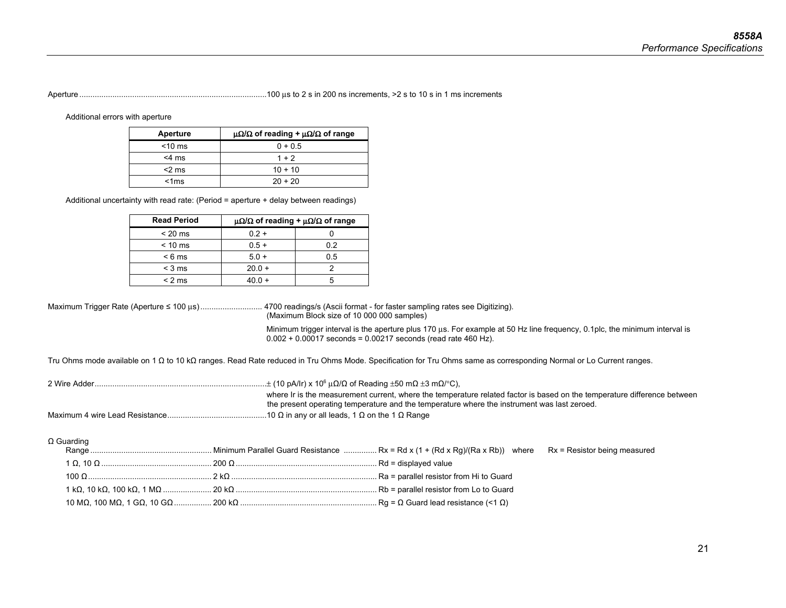### Aperture ..................................................................................... 100 μs to 2 s in 200 ns increments, >2 s to 10 s in 1 ms increments

Additional errors with aperture

| Aperture  | $\mu\Omega/\Omega$ of reading + $\mu\Omega/\Omega$ of range |
|-----------|-------------------------------------------------------------|
| $<$ 10 ms | $0 + 0.5$                                                   |
| $<$ 4 ms  | $1 + 2$                                                     |
| $<$ 2 ms  | $10 + 10$                                                   |
| < 1ms     | $20 + 20$                                                   |

Additional uncertainty with read rate: (Period = aperture + delay between readings)

| <b>Read Period</b> | $\mu\Omega/\Omega$ of reading + $\mu\Omega/\Omega$ of range |     |  |  |  |
|--------------------|-------------------------------------------------------------|-----|--|--|--|
| $< 20 \text{ ms}$  | $0.2 +$                                                     |     |  |  |  |
| $< 10 \text{ ms}$  | $0.5 +$                                                     | 02  |  |  |  |
| $< 6 \text{ ms}$   | $5.0 +$                                                     | 0.5 |  |  |  |
| $<$ 3 ms           | $20.0 +$                                                    |     |  |  |  |
| $<$ 2 ms           | 4በ በ +                                                      |     |  |  |  |

Maximum Trigger Rate (Aperture ≤ 100 μs) ............................4700 readings/s (Ascii format - for faster sampling rates see Digitizing). (Maximum Block size of 10 000 000 samples)

> Minimum trigger interval is the aperture plus 170 μs. For example at 50 Hz line frequency, 0.1plc, the minimum interval is  $0.002 + 0.00017$  seconds = 0.00217 seconds (read rate 460 Hz).

Tru Ohms mode available on 1 Ω to 10 kΩ ranges. Read Rate reduced in Tru Ohms Mode. Specification for Tru Ohms same as corresponding Normal or Lo Current ranges.

|--|--|--|--|--|

 where Ir is the measurement current, where the temperature related factor is based on the temperature difference between the present operating temperature and the temperature where the instrument was last zeroed. Maximum 4 wire Lead Resistance ............................................. 10 Ω in any or all leads, 1 Ω on the 1 Ω Range

Ω Guarding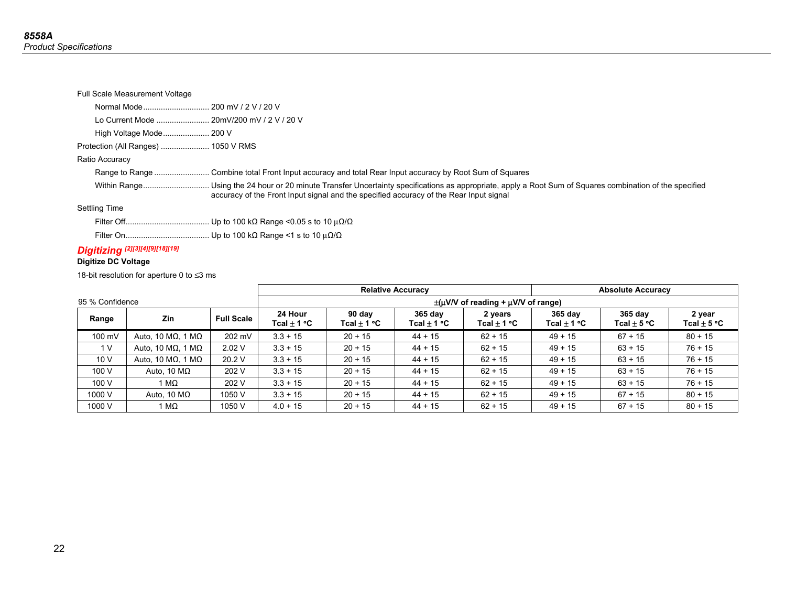#### Full Scale Measurement Voltage

Lo Current Mode ........................ 20mV/200 mV / 2 V / 20 V

High Voltage Mode ..................... 200 V

Protection (All Ranges) ...................... 1050 V RMS

### Ratio Accuracy

Range to Range ........................... Combine total Front Input accuracy and total Rear Input accuracy by Root Sum of Squares

 Within Range .............................. Using the 24 hour or 20 minute Transfer Uncertainty specifications as appropriate, apply a Root Sum of Squares combination of the specified accuracy of the Front Input signal and the specified accuracy of the Rear Input signal

### Settling Time

Filter Off ...................................... Up to 100 kΩ Range <0.05 s to 10 μΩ/Ω

Filter On ...................................... Up to 100 kΩ Range <1 s to 10 μΩ/Ω

### *Digitizing [2][3][4][9][18][19]*

### **Digitize DC Voltage**

18-bit resolution for aperture 0 to ≤3 ms

|        |                                                                    |                   |                            | <b>Relative Accuracy</b>  |                              |                                 |                            | <b>Absolute Accuracy</b>     |                           |  |  |
|--------|--------------------------------------------------------------------|-------------------|----------------------------|---------------------------|------------------------------|---------------------------------|----------------------------|------------------------------|---------------------------|--|--|
|        | 95 % Confidence<br>$\pm(\mu V/V)$ of reading + $\mu V/V$ of range) |                   |                            |                           |                              |                                 |                            |                              |                           |  |  |
| Range  | <b>Zin</b>                                                         | <b>Full Scale</b> | 24 Hour<br>Tcal $\pm$ 1 °C | 90 day<br>Tcal $\pm$ 1 °C | $365$ day<br>Tcal $\pm$ 1 °C | 2 years<br>Tcal $\pm$ 1 °C $\,$ | 365 day<br>Tcal $\pm$ 1 °C | $365$ day<br>Tcal $\pm$ 5 °C | 2 year<br>Tcal $\pm$ 5 °C |  |  |
| 100 mV | Auto, 10 ΜΩ, 1 ΜΩ                                                  | 202 mV            | $3.3 + 15$                 | $20 + 15$                 | $44 + 15$                    | $62 + 15$                       | $49 + 15$                  | $67 + 15$                    | $80 + 15$                 |  |  |
| 1 V    | Auto, 10 ΜΩ, 1 ΜΩ                                                  | 2.02V             | $3.3 + 15$                 | $20 + 15$                 | $44 + 15$                    | $62 + 15$                       | $49 + 15$                  | $63 + 15$                    | $76 + 15$                 |  |  |
| 10V    | Auto, 10 ΜΩ, 1 ΜΩ                                                  | 20.2 V            | $3.3 + 15$                 | $20 + 15$                 | $44 + 15$                    | $62 + 15$                       | $49 + 15$                  | $63 + 15$                    | $76 + 15$                 |  |  |
| 100 V  | Auto, 10 $M\Omega$                                                 | 202 V             | $3.3 + 15$                 | $20 + 15$                 | $44 + 15$                    | $62 + 15$                       | $49 + 15$                  | $63 + 15$                    | $76 + 15$                 |  |  |
| 100 V  | 1 MΩ                                                               | 202 V             | $3.3 + 15$                 | $20 + 15$                 | $44 + 15$                    | $62 + 15$                       | $49 + 15$                  | $63 + 15$                    | $76 + 15$                 |  |  |
| 1000 V | Auto, 10 $M\Omega$                                                 | 1050 V            | $3.3 + 15$                 | $20 + 15$                 | $44 + 15$                    | $62 + 15$                       | $49 + 15$                  | $67 + 15$                    | $80 + 15$                 |  |  |
| 1000 V | 1 M $\Omega$                                                       | 1050 V            | $4.0 + 15$                 | $20 + 15$                 | $44 + 15$                    | $62 + 15$                       | $49 + 15$                  | $67 + 15$                    | $80 + 15$                 |  |  |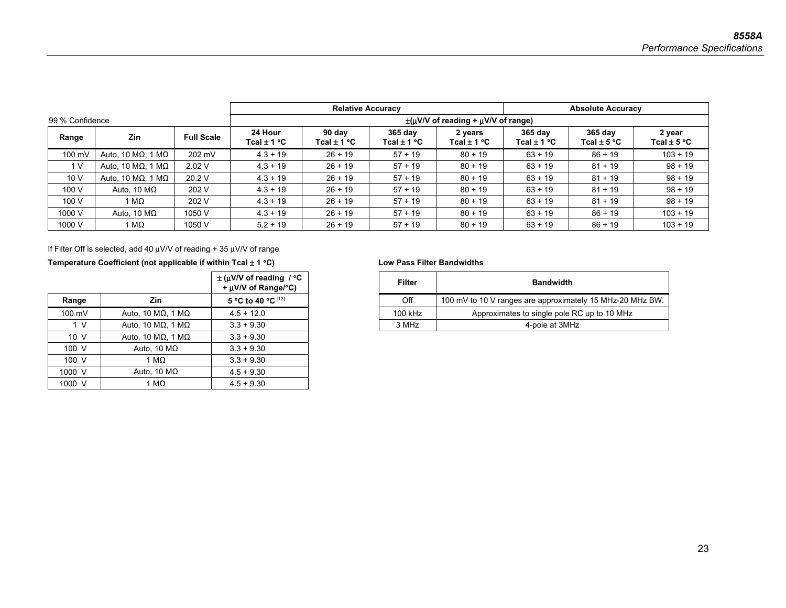|                 |                    |                   |                                       | <b>Relative Accuracy</b>  |                            |                                                    |                            | <b>Absolute Accuracy</b>   |                           |  |  |
|-----------------|--------------------|-------------------|---------------------------------------|---------------------------|----------------------------|----------------------------------------------------|----------------------------|----------------------------|---------------------------|--|--|
| 99 % Confidence |                    |                   |                                       |                           |                            | $\pm$ ( $\mu$ V/V of reading + $\mu$ V/V of range) |                            |                            |                           |  |  |
| Range           | Zin                | <b>Full Scale</b> | 24 Hour<br>Tcal $\pm$ 1 °C $^{\circ}$ | 90 day<br>Tcal $\pm$ 1 °C | 365 day<br>Tcal $\pm$ 1 °C | 2 years<br>$Tcal$ + 1 °C $\,$                      | 365 day<br>Tcal $\pm$ 1 °C | 365 day<br>Tcal $\pm$ 5 °C | 2 year<br>Tcal $\pm$ 5 °C |  |  |
| 100 mV          | Auto, 10 ΜΩ, 1 ΜΩ  | 202 mV            | $4.3 + 19$                            | $26 + 19$                 | $57 + 19$                  | $80 + 19$                                          | $63 + 19$                  | $86 + 19$                  | $103 + 19$                |  |  |
| 1 <sub>V</sub>  | Auto, 10 ΜΩ, 1 ΜΩ  | 2.02V             | $4.3 + 19$                            | $26 + 19$                 | $57 + 19$                  | $80 + 19$                                          | $63 + 19$                  | $81 + 19$                  | $98 + 19$                 |  |  |
| 10V             | Auto, 10 ΜΩ, 1 ΜΩ  | 20.2 V            | $4.3 + 19$                            | $26 + 19$                 | $57 + 19$                  | $80 + 19$                                          | $63 + 19$                  | $81 + 19$                  | $98 + 19$                 |  |  |
| 100 V           | Auto, 10 $M\Omega$ | 202 V             | $4.3 + 19$                            | $26 + 19$                 | $57 + 19$                  | $80 + 19$                                          | $63 + 19$                  | $81 + 19$                  | $98 + 19$                 |  |  |
| 100 V           | 1 M $\Omega$       | 202 V             | $4.3 + 19$                            | $26 + 19$                 | $57 + 19$                  | $80 + 19$                                          | $63 + 19$                  | $81 + 19$                  | $98 + 19$                 |  |  |
| 1000 V          | Auto, 10 $M\Omega$ | 1050 V            | $4.3 + 19$                            | $26 + 19$                 | $57 + 19$                  | $80 + 19$                                          | $63 + 19$                  | $86 + 19$                  | $103 + 19$                |  |  |
| 1000 V          | 1 M $\Omega$       | 1050 V            | $5.2 + 19$                            | $26 + 19$                 | $57 + 19$                  | $80 + 19$                                          | $63 + 19$                  | $86 + 19$                  | $103 + 19$                |  |  |

If Filter Off is selected, add 40  $\mu$ V/V of reading + 35  $\mu$ V/V of range

### Temperature Coefficient (not applicable if within Tcal  $\pm$  1 °C) Low Pass Filter Bandwidths

|                 |                    | $\pm$ (µV/V of reading / °C<br>+ µV/V of Range/°C) |
|-----------------|--------------------|----------------------------------------------------|
| Range           | Zin                | 5 °C to 40 °C [13]                                 |
| 100 mV          | Auto, 10 ΜΩ, 1 ΜΩ  | $4.5 + 12.0$                                       |
| 1 V             | Auto, 10 ΜΩ, 1 ΜΩ  | $3.3 + 9.30$                                       |
| 10 <sub>V</sub> | Auto, 10 ΜΩ, 1 ΜΩ  | $3.3 + 9.30$                                       |
| 100 V           | Auto, 10 $M\Omega$ | $3.3 + 9.30$                                       |
| 100 V           | 1 M $\Omega$       | $3.3 + 9.30$                                       |
| 1000 V          | Auto, 10 $M\Omega$ | $4.5 + 9.30$                                       |
| 1000 V          | 1 M $\Omega$       | $4.5 + 9.30$                                       |

|        |                   | $\pm$ (µV/V of reading / °C<br>+ µV/V of Range/°C) | Filter  | <b>Bandwidth</b>                                          |
|--------|-------------------|----------------------------------------------------|---------|-----------------------------------------------------------|
| Range  | Zin               | 5 °C to 40 °C $^{[13]}$                            | Off     | 100 mV to 10 V ranges are approximately 15 MHz-20 MHz BW. |
| 100 mV | Auto. 10 ΜΩ. 1 ΜΩ | $4.5 + 12.0$                                       | 100 kHz | Approximates to single pole RC up to 10 MHz               |
| 1 V    | Auto, 10 ΜΩ, 1 ΜΩ | $3.3 + 9.30$                                       | 3 MHz   | 4-pole at 3MHz                                            |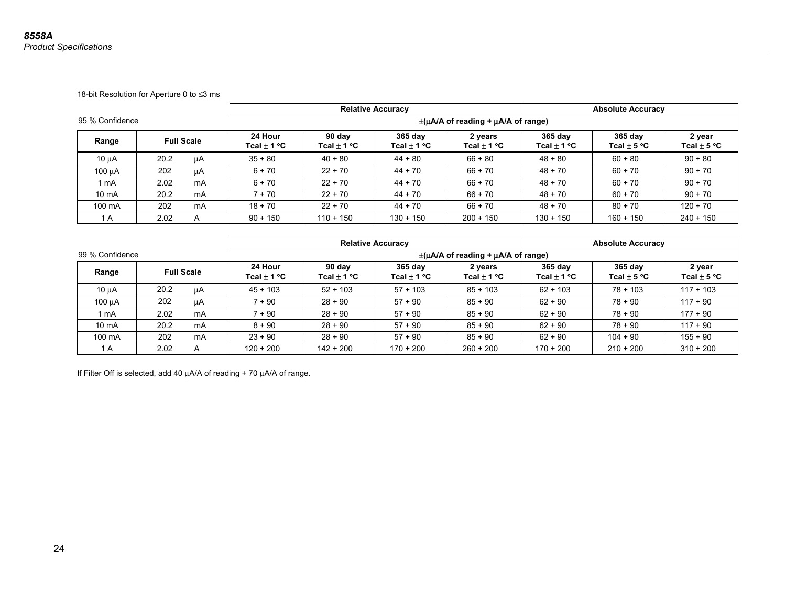18-bit Resolution for Aperture 0 to ≤3 ms

|                 |                   |    |                            | <b>Relative Accuracy</b><br><b>Absolute Accuracy</b> |                          |                                                 |                              |                            |                           |
|-----------------|-------------------|----|----------------------------|------------------------------------------------------|--------------------------|-------------------------------------------------|------------------------------|----------------------------|---------------------------|
| 95 % Confidence |                   |    |                            |                                                      |                          | $\pm(\mu A/A)$ of reading + $\mu A/A$ of range) |                              |                            |                           |
| Range           | <b>Full Scale</b> |    | 24 Hour<br>Tcal $\pm$ 1 °C | 90 day<br>Tcal $\pm$ 1 °C                            | $365$ day<br>Tcal ± 1 °C | 2 years<br>Tcal $\pm$ 1 °C                      | $365$ day<br>Tcal $\pm$ 1 °C | 365 day<br>Tcal $\pm$ 5 °C | 2 year<br>Tcal $\pm$ 5 °C |
| 10 uA           | 20.2              | μA | $35 + 80$                  | $40 + 80$                                            | $44 + 80$                | $66 + 80$                                       | $48 + 80$                    | $60 + 80$                  | $90 + 80$                 |
| 100 µA          | 202               | μA | $6 + 70$                   | $22 + 70$                                            | $44 + 70$                | $66 + 70$                                       | $48 + 70$                    | $60 + 70$                  | $90 + 70$                 |
| 1 mA            | 2.02              | mA | $6 + 70$                   | $22 + 70$                                            | $44 + 70$                | $66 + 70$                                       | $48 + 70$                    | $60 + 70$                  | $90 + 70$                 |
| $10 \text{ mA}$ | 20.2              | mA | $7 + 70$                   | $22 + 70$                                            | $44 + 70$                | $66 + 70$                                       | $48 + 70$                    | $60 + 70$                  | $90 + 70$                 |
| 100 mA          | 202               | mA | $18 + 70$                  | $22 + 70$                                            | $44 + 70$                | $66 + 70$                                       | $48 + 70$                    | $80 + 70$                  | $120 + 70$                |
| 1 A             | 2.02              | A  | $90 + 150$                 | $110 + 150$                                          | $130 + 150$              | $200 + 150$                                     | $130 + 150$                  | $160 + 150$                | $240 + 150$               |

|                  |                   |    |                            |                           | <b>Relative Accuracy</b>        | <b>Absolute Accuracy</b>                        |                            |                                   |                           |  |
|------------------|-------------------|----|----------------------------|---------------------------|---------------------------------|-------------------------------------------------|----------------------------|-----------------------------------|---------------------------|--|
| 99 % Confidence  |                   |    |                            |                           |                                 | $\pm(\mu A/A)$ of reading + $\mu A/A$ of range) |                            |                                   |                           |  |
| Range            | <b>Full Scale</b> |    | 24 Hour<br>Tcal $\pm$ 1 °C | 90 dav<br>Tcal $\pm$ 1 °C | 365 day<br>Tcal $\pm$ 1 °C $\,$ | 2 years<br>Tcal $\pm$ 1 °C                      | 365 day<br>Tcal $\pm$ 1 °C | $365$ day<br>Tcal $\pm$ 5 °C $\,$ | 2 year<br>Tcal $\pm$ 5 °C |  |
| $10 \mu A$       | 20.2              | μA | $45 + 103$                 | $52 + 103$                | $57 + 103$                      | $85 + 103$                                      | $62 + 103$                 | $78 + 103$                        | $117 + 103$               |  |
| 100 µA           | 202               | μA | $7 + 90$                   | $28 + 90$                 | $57 + 90$                       | $85 + 90$                                       | $62 + 90$                  | $78 + 90$                         | $117 + 90$                |  |
| l mA             | 2.02              | mA | $7 + 90$                   | $28 + 90$                 | $57 + 90$                       | $85 + 90$                                       | $62 + 90$                  | $78 + 90$                         | $177 + 90$                |  |
| $10 \text{ mA}$  | 20.2              | mA | $8 + 90$                   | $28 + 90$                 | $57 + 90$                       | $85 + 90$                                       | $62 + 90$                  | $78 + 90$                         | $117 + 90$                |  |
| $100 \text{ mA}$ | 202               | mA | $23 + 90$                  | $28 + 90$                 | $57 + 90$                       | $85 + 90$                                       | $62 + 90$                  | $104 + 90$                        | $155 + 90$                |  |
| ΙA               | 2.02              | A  | $120 + 200$                | $142 + 200$               | $170 + 200$                     | $260 + 200$                                     | $170 + 200$                | $210 + 200$                       | $310 + 200$               |  |

If Filter Off is selected, add 40 μA/A of reading + 70 μA/A of range.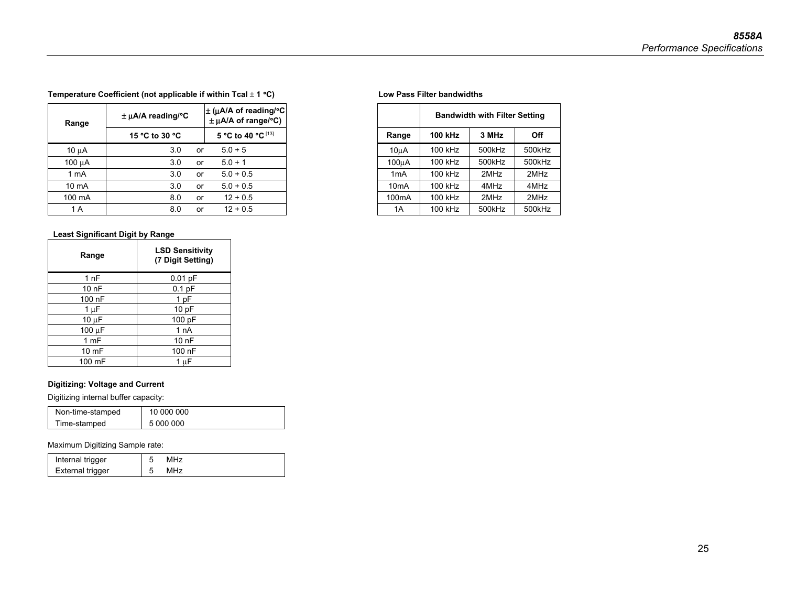**Temperature Coefficient (not applicable if within Tcal** ± **1** °**C) Low Pass Filter bandwidths** 

|                 | $\pm$ µA/A reading/°C | $\pm$ ( $\mu$ A/A of reading/°C<br>$\pm$ µA/A of range/°C) |
|-----------------|-----------------------|------------------------------------------------------------|
|                 | 15 °C to 30 °C        | 5 °C to 40 °C [13]                                         |
|                 | 3.0<br>or             | $5.0 + 5$                                                  |
|                 | 3.0<br>or             | $5.0 + 1$                                                  |
| 1 mA            | 3.0<br>or             | $5.0 + 0.5$                                                |
| $10 \text{ mA}$ | 3.0<br>or             | $5.0 + 0.5$                                                |
| 100 mA          | 8.0<br>or             | $12 + 0.5$                                                 |
|                 | 8.0<br>or             | $12 + 0.5$                                                 |

### **Least Significant Digit by Range**

| Range      | <b>LSD Sensitivity</b><br>(7 Digit Setting) |
|------------|---------------------------------------------|
| 1nF        | $0.01$ pF                                   |
| 10nF       | $0.1$ pF                                    |
| 100 nF     | 1 pF                                        |
| 1 µF       | 10pF                                        |
| $10 \mu F$ | 100 pF                                      |
| 100 µF     | 1 nA                                        |
| 1 mF       | 10 nF                                       |
| 10 mF      | 100 nF                                      |
| 100 mF     | μF                                          |

### **Digitizing: Voltage and Current**

Digitizing internal buffer capacity:

| Non-time-stamped | 10 000 000 |
|------------------|------------|
| Time-stamped     | 5 000 000  |

### Maximum Digitizing Sample rate:

| Internal trigger |     |
|------------------|-----|
| External trigger | MHz |

| LA/A reading/°C |    | $\pm$ (uA/A of reading/°C $\parallel$<br>$\pm \mu A/A$ of range/°C) |                    | <b>Bandwidth with Filter Setting</b> |        |        |  |
|-----------------|----|---------------------------------------------------------------------|--------------------|--------------------------------------|--------|--------|--|
| 15 °C to 30 °C  |    | 5 °C to 40 °C [13]                                                  | Range              | 100 kHz                              | 3 MHz  |        |  |
| 3.0             | or | $5.0 + 5$                                                           | 10uA               | 100 kHz                              | 500kHz | 500kHz |  |
| 3.0             | or | $5.0 + 1$                                                           | 100uA              | 100 kHz                              | 500kHz | 500kHz |  |
| 3.0             | or | $5.0 + 0.5$                                                         | 1 <sub>m</sub> A   | 100 kHz                              | 2MHz   | 2MHz   |  |
| 3.0             | or | $5.0 + 0.5$                                                         | 10 <sub>m</sub> A  | 100 kHz                              | 4MHz   | 4MHz   |  |
| 8.0             | or | $12 + 0.5$                                                          | 100 <sub>m</sub> A | 100 kHz                              | 2MHz   | 2MHz   |  |
| 8.0             | or | $12 + 0.5$                                                          | 1A                 | 100 kHz                              | 500kHz | 500kHz |  |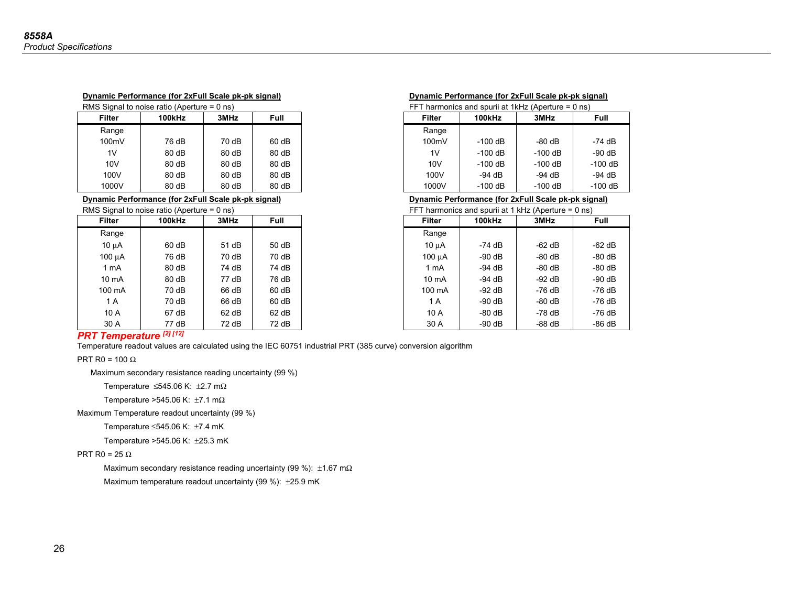| $RMS$ signal to holse ratio (Aperture = 0 hs) |        |       |       | FF I           | $n$ narmonics and spuril at $1$ KHZ (Aberture = 0 hs) |           |           |
|-----------------------------------------------|--------|-------|-------|----------------|-------------------------------------------------------|-----------|-----------|
| Filter                                        | 100kHz | 3MHz  | Full  | Filter         | 100kHz                                                | 3MHz      | Full      |
| Range                                         |        |       |       | Range          |                                                       |           |           |
| 100mV                                         | 76 dB  | 70 dB | 60 dB | 100mV          | $-100$ dB                                             | $-80$ dB  | -74 dB    |
| 1 <sub>V</sub>                                | 80 dB  | 80dB  | 80 dB | 1 <sub>V</sub> | $-100$ dB                                             | $-100$ dB | $-90$ dB  |
| 10V                                           | 80dB   | 80dB  | 80 dB | 10V            | $-100$ dB                                             | $-100$ dB | $-100$ dB |
| 100V                                          | 80dB   | 80dB  | 80 dB | 100V           | $-94$ dB                                              | $-94$ dB  | $-94$ dB  |
| 1000V                                         | 80 dB  | 80dB  | 80 dB | 1000V          | $-100$ dB                                             | $-100$ dB | $-100$ dB |

|                 | RMS Signal to noise ratio (Aperture $= 0$ ns) |         |             |
|-----------------|-----------------------------------------------|---------|-------------|
| Filter          | 100kHz                                        | 3MHz    | <b>Full</b> |
| Range           |                                               |         |             |
| $10 \mu A$      | 60 dB                                         | 51 dB   | 50dB        |
| $100 \mu A$     | 76 dB                                         | 70 dB   | 70 dB       |
| 1 mA            | 80 dB                                         | 74 dB   | 74 dB       |
| $10 \text{ mA}$ | 80 dB                                         | 77 dB   | 76 dB       |
| 100 mA          | 70 dB                                         | 66 dB   | 60 dB       |
| 1 A             | 70 dB                                         | 66 dB   | 60 dB       |
| 10 A            | 67 dB                                         | $62$ dB | 62 dB       |
| 30 A            | 77 dB                                         | 72 dB   | 72 dB       |

| RMS Signal to noise ratio (Aperture = 0 ns) |        |       |       |                | FFT harmonics and spurii at $1kHz$ (Aperture = 0 ns) |           |          |
|---------------------------------------------|--------|-------|-------|----------------|------------------------------------------------------|-----------|----------|
| Filter                                      | 100kHz | 3MHz  | Full  | Filter         | 100kHz                                               | 3MHz      | Full     |
| Range                                       |        |       |       | Range          |                                                      |           |          |
| 100mV                                       | 76 dB  | 70 dB | 60 dB | 100mV          | -100 dB                                              | $-80 dB$  | $-74$ dB |
| 1V                                          | 80dB   | 80dB  | 80dB  | 1 <sub>V</sub> | -100 dB                                              | $-100$ dB | $-90 dB$ |

**Dynamic Performance (for 2xFull Scale pk-pk signal)** 

#### $-100$  dB 100V | 80 dB | 80 dB | 80 dB | | 100V | -94 dB | -94 dB | -94 dB  $-94$  dB  $-100$  dB

**Dynamic Performance (for 2xFull Scale pk-pk signal) Dynamic Performance (for 2xFull Scale pk-pk signal) Dynamic Performance (for 2xFull Scale pk-pk signal)** 

|                 | Signal to noise ratio (Aperture = 0 ns) |       | FFT harmonics and spuril at 1 kHz (Aperture = $0$ ns) |                 |          |          |          |
|-----------------|-----------------------------------------|-------|-------------------------------------------------------|-----------------|----------|----------|----------|
| Filter          | 100kHz                                  | 3MHz  | Full                                                  | <b>Filter</b>   | 100kHz   | 3MHz     | Full     |
| Range           |                                         |       |                                                       | Range           |          |          |          |
| 10 µA           | 60 dB                                   | 51 dB | 50 dB                                                 | 10 uA           | -74 dB   | $-62$ dB | $-62$ dB |
| 100 μA          | 76 dB                                   | 70 dB | 70 dB                                                 | 100 uA          | $-90$ dB | $-80$ dB | $-80$ dB |
| 1 mA            | 80 dB                                   | 74 dB | 74 dB                                                 | 1 mA            | $-94$ dB | $-80$ dB | $-80$ dB |
| $10 \text{ mA}$ | 80 dB                                   | 77 dB | 76 dB                                                 | $10 \text{ mA}$ | -94 dB   | $-92$ dB | $-90$ dB |
| 100 mA          | 70 dB                                   | 66 dB | $60$ dB                                               | 100 mA          | $-92$ dB | -76 dB   | -76 dB   |
| 1 A             | 70 dB                                   | 66 dB | $60$ dB                                               | 1 A             | $-90$ dB | $-80$ dB | -76 dB   |
| 10 A            | 67 dB                                   | 62 dB | $62$ dB                                               | 10 A            | $-80$ dB | -78 dB   | -76 dB   |
| 30 A            | 77 dB                                   | 72 dB | 72dB                                                  | 30 A            | $-90dB$  | $-88$ dB | $-86$ dB |

### *PRT Temperature [2] [12]*

Temperature readout values are calculated using the IEC 60751 industrial PRT (385 curve) conversion algorithm

 $\mathsf{PRT}$  R0 = 100  $\Omega$ 

Maximum secondary resistance reading uncertainty (99 %)

Temperature  $\leq$ 545.06 K: ±2.7 m $\Omega$ 

Temperature >545.06 K: ±7.1 mΩ

Maximum Temperature readout uncertainty (99 %)

Temperature ≤545.06 K: ±7.4 mK

Temperature >545.06 K: ±25.3 mK

### PRT R0 = 25  $\Omega$

Maximum secondary resistance reading uncertainty (99 %): ±1.67 mΩ

Maximum temperature readout uncertainty (99 %): ±25.9 mK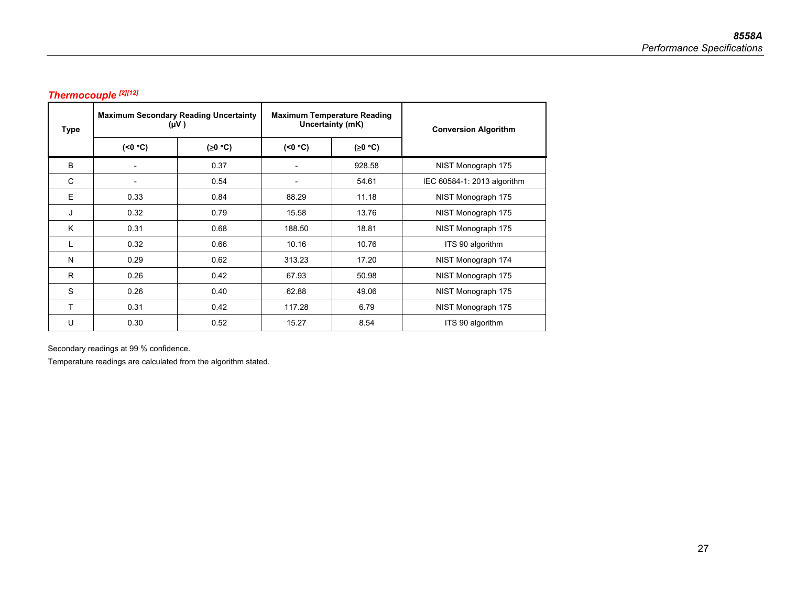## *Thermocouple [2][12]*

| Type | <b>Maximum Secondary Reading Uncertainty</b><br>(VV) |         |                | <b>Maximum Temperature Reading</b><br>Uncertainty (mK) | <b>Conversion Algorithm</b> |  |
|------|------------------------------------------------------|---------|----------------|--------------------------------------------------------|-----------------------------|--|
|      | (<0 °C)                                              | (20 °C) | (50°C)         | (20 °C)                                                |                             |  |
| B    | $\overline{a}$                                       | 0.37    |                | 928.58                                                 | NIST Monograph 175          |  |
| C    | $\blacksquare$                                       | 0.54    | $\overline{a}$ | 54.61                                                  | IEC 60584-1: 2013 algorithm |  |
| E    | 0.33                                                 | 0.84    | 88.29          | 11.18                                                  | NIST Monograph 175          |  |
| J    | 0.32                                                 | 0.79    | 15.58          | 13.76                                                  | NIST Monograph 175          |  |
| K    | 0.31                                                 | 0.68    | 188.50         | 18.81                                                  | NIST Monograph 175          |  |
|      | 0.32                                                 | 0.66    | 10.16          | 10.76                                                  | ITS 90 algorithm            |  |
| N    | 0.29                                                 | 0.62    | 313.23         | 17.20                                                  | NIST Monograph 174          |  |
| R    | 0.26                                                 | 0.42    | 67.93          | 50.98                                                  | NIST Monograph 175          |  |
| S    | 0.26                                                 | 0.40    | 62.88          | 49.06                                                  | NIST Monograph 175          |  |
| т    | 0.31                                                 | 0.42    | 117.28         | 6.79                                                   | NIST Monograph 175          |  |
| U    | 0.30                                                 | 0.52    | 15.27          | 8.54                                                   | ITS 90 algorithm            |  |

Secondary readings at 99 % confidence.

Temperature readings are calculated from the algorithm stated.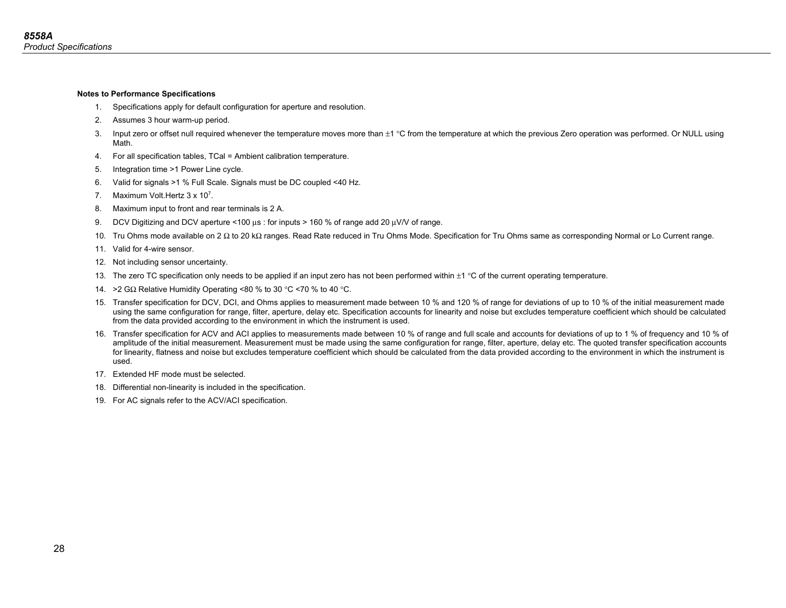#### **Notes to Performance Specifications**

- 1. Specifications apply for default configuration for aperture and resolution.
- 2. Assumes 3 hour warm-up period.
- 3. Input zero or offset null required whenever the temperature moves more than  $\pm 1$  °C from the temperature at which the previous Zero operation was performed. Or NULL using Math.
- 4. For all specification tables, TCal = Ambient calibration temperature.
- 5. Integration time >1 Power Line cycle.
- 6. Valid for signals >1 % Full Scale. Signals must be DC coupled <40 Hz.
- 7. Maximum Volt. Hertz 3 x 10<sup>7</sup>.
- 8. Maximum input to front and rear terminals is 2 A.
- 9. DCV Digitizing and DCV aperture <100 μs : for inputs > 160 % of range add 20 μV/V of range.
- 10. Tru Ohms mode available on 2 Ω to 20 kΩ ranges. Read Rate reduced in Tru Ohms Mode. Specification for Tru Ohms same as corresponding Normal or Lo Current range.
- 11. Valid for 4-wire sensor.
- 12. Not including sensor uncertainty.
- 13. The zero TC specification only needs to be applied if an input zero has not been performed within  $\pm 1$  °C of the current operating temperature.
- 14. >2 GΩ Relative Humidity Operating <80 % to 30 °C <70 % to 40 °C.
- 15. Transfer specification for DCV, DCI, and Ohms applies to measurement made between 10 % and 120 % of range for deviations of up to 10 % of the initial measurement made using the same configuration for range, filter, aperture, delay etc. Specification accounts for linearity and noise but excludes temperature coefficient which should be calculated from the data provided according to the environment in which the instrument is used.
- 16. Transfer specification for ACV and ACI applies to measurements made between 10 % of range and full scale and accounts for deviations of up to 1 % of frequency and 10 % of amplitude of the initial measurement. Measurement must be made using the same configuration for range, filter, aperture, delay etc. The quoted transfer specification accounts for linearity, flatness and noise but excludes temperature coefficient which should be calculated from the data provided according to the environment in which the instrument is used.
- 17. Extended HF mode must be selected.
- 18. Differential non-linearity is included in the specification.
- 19. For AC signals refer to the ACV/ACI specification.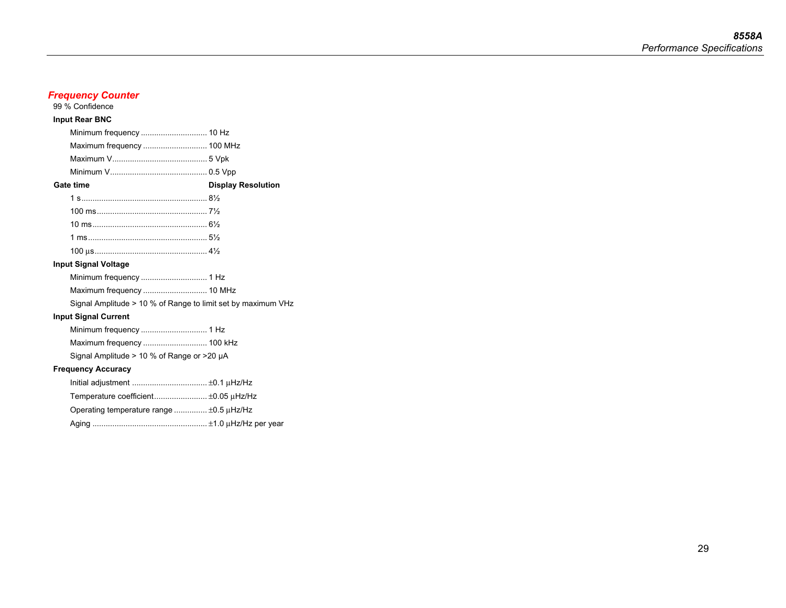| 99 % Confidence                                              |                           |
|--------------------------------------------------------------|---------------------------|
| <b>Input Rear BNC</b>                                        |                           |
| Minimum frequency  10 Hz                                     |                           |
| Maximum frequency  100 MHz                                   |                           |
|                                                              |                           |
|                                                              |                           |
| Gate time                                                    | <b>Display Resolution</b> |
|                                                              |                           |
|                                                              |                           |
|                                                              |                           |
|                                                              |                           |
|                                                              |                           |
| <b>Input Signal Voltage</b>                                  |                           |
|                                                              |                           |
| Maximum frequency  10 MHz                                    |                           |
| Signal Amplitude > 10 % of Range to limit set by maximum VHz |                           |
| <b>Input Signal Current</b>                                  |                           |
|                                                              |                           |
| Maximum frequency  100 kHz                                   |                           |
| Signal Amplitude $> 10$ % of Range or $>20$ µA               |                           |
| <b>Frequency Accuracy</b>                                    |                           |
|                                                              |                           |
| Temperature coefficient ±0.05 uHz/Hz                         |                           |
| Operating temperature range  ±0.5 µHz/Hz                     |                           |
|                                                              |                           |

*Frequency Counter* 

Aging .................................................... ±1.0 μHz/Hz per year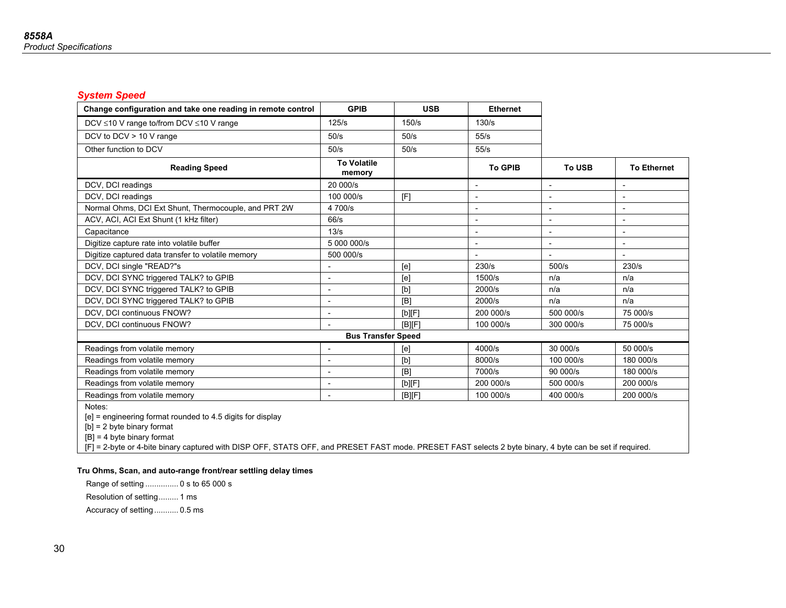### *System Speed*

| Change configuration and take one reading in remote control | <b>GPIB</b>                  | <b>USB</b> | <b>Ethernet</b>          |                          |                          |
|-------------------------------------------------------------|------------------------------|------------|--------------------------|--------------------------|--------------------------|
| DCV ≤10 V range to/from DCV ≤10 V range                     | 125/s                        | 150/s      | 130/s                    |                          |                          |
| DCV to DCV > 10 V range                                     | 50/s                         | 50/s       | 55/s                     |                          |                          |
| Other function to DCV                                       | 50/s                         | 50/s       | 55/s                     |                          |                          |
| <b>Reading Speed</b>                                        | <b>To Volatile</b><br>memory |            | <b>To GPIB</b>           | <b>To USB</b>            | <b>To Ethernet</b>       |
| DCV, DCI readings                                           | 20 000/s                     |            | $\overline{\phantom{0}}$ |                          | $\blacksquare$           |
| DCV, DCI readings                                           | 100000/s                     | [F]        |                          |                          |                          |
| Normal Ohms, DCI Ext Shunt, Thermocouple, and PRT 2W        | 4 700/s                      |            |                          |                          | $\overline{\phantom{a}}$ |
| ACV, ACI, ACI Ext Shunt (1 kHz filter)                      | 66/s                         |            | $\overline{\phantom{a}}$ |                          | $\overline{\phantom{a}}$ |
| Capacitance                                                 | 13/s                         |            |                          | $\overline{\phantom{a}}$ | $\overline{\phantom{a}}$ |
| Digitize capture rate into volatile buffer                  | 5 000 000/s                  |            |                          | $\overline{\phantom{0}}$ | $\overline{\phantom{a}}$ |
| Digitize captured data transfer to volatile memory          | 500 000/s                    |            |                          |                          | $\overline{\phantom{a}}$ |
| DCV, DCI single "READ?"s                                    |                              | [e]        | 230/s                    | 500/s                    | 230/s                    |
| DCV, DCI SYNC triggered TALK? to GPIB                       |                              | [e]        | 1500/s                   | n/a                      | n/a                      |
| DCV, DCI SYNC triggered TALK? to GPIB                       |                              | [b]        | 2000/s                   | n/a                      | n/a                      |
| DCV, DCI SYNC triggered TALK? to GPIB                       | $\overline{\phantom{a}}$     | [B]        | 2000/s                   | n/a                      | n/a                      |
| DCV, DCI continuous FNOW?                                   | $\blacksquare$               | [b][F]     | 200 000/s                | 500 000/s                | 75 000/s                 |
| DCV, DCI continuous FNOW?                                   |                              | [BlF]      | 100 000/s                | 300 000/s                | 75 000/s                 |
|                                                             | <b>Bus Transfer Speed</b>    |            |                          |                          |                          |
| Readings from volatile memory                               |                              | [e]        | 4000/s                   | 30 000/s                 | 50 000/s                 |
| Readings from volatile memory                               | $\overline{\phantom{0}}$     | [b]        | 8000/s                   | 100000/s                 | 180 000/s                |
| Readings from volatile memory                               |                              | [B]        | 7000/s                   | 90 000/s                 | 180 000/s                |
| Readings from volatile memory                               | $\blacksquare$               | [b][F]     | 200 000/s                | 500 000/s                | 200 000/s                |
| Readings from volatile memory                               | $\overline{\phantom{a}}$     | [B][F]     | 100 000/s                | 400 000/s                | 200 000/s                |
| Notes:                                                      |                              |            |                          |                          |                          |

[e] = engineering format rounded to 4.5 digits for display

[b] = 2 byte binary format

[B] = 4 byte binary format

[F] = 2-byte or 4-bite binary captured with DISP OFF, STATS OFF, and PRESET FAST mode. PRESET FAST selects 2 byte binary, 4 byte can be set if required.

### **Tru Ohms, Scan, and auto-range front/rear settling delay times**

 Range of setting ............... 0 s to 65 000 s Resolution of setting ......... 1 ms

Accuracy of setting ........... 0.5 ms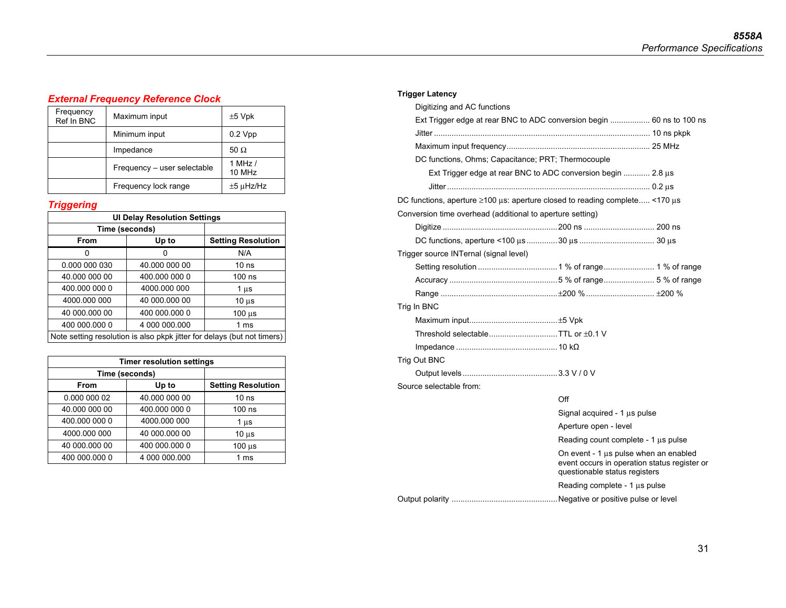### *External Frequency Reference Clock*

|  | Frequency<br>Ref In BNC | Maximum input               | $±5$ Vpk            |
|--|-------------------------|-----------------------------|---------------------|
|  |                         | Minimum input               | $0.2 \text{ Vpp}$   |
|  |                         | Impedance                   | 50 $\Omega$         |
|  |                         | Frequency - user selectable | 1 MHz $/$<br>10 MHz |
|  |                         | Frequency lock range        | $±5 \mu$ Hz/Hz      |

### *Triggering*

| <b>UI Delay Resolution Settings</b>    |                                                                         |                           |  |  |  |  |
|----------------------------------------|-------------------------------------------------------------------------|---------------------------|--|--|--|--|
| Time (seconds)                         |                                                                         |                           |  |  |  |  |
| From                                   | Up to                                                                   | <b>Setting Resolution</b> |  |  |  |  |
| 0                                      |                                                                         | N/A                       |  |  |  |  |
| 0.000 000 030                          | 40.000 000 00                                                           | 10 <sub>ns</sub>          |  |  |  |  |
| 40.000 000 00                          | 400.000 000 0                                                           | $100$ ns                  |  |  |  |  |
| 400.000 000 0                          | 4000.000 000                                                            | $1 \mu s$                 |  |  |  |  |
| 4000.000 000                           | 40 000.000 00                                                           | $10 \mu s$                |  |  |  |  |
| 40 000 000 00                          | 400 000.000 0                                                           | $100 \mu s$               |  |  |  |  |
| 400 000.000 0<br>4 000 000.000<br>1 ms |                                                                         |                           |  |  |  |  |
|                                        | Note setting resolution is also pkpk jitter for delays (but not timers) |                           |  |  |  |  |

| <b>Timer resolution settings</b> |                |                  |  |  |  |
|----------------------------------|----------------|------------------|--|--|--|
|                                  | Time (seconds) |                  |  |  |  |
| <b>From</b>                      | Up to          |                  |  |  |  |
| 0.000 000 02                     | 40.000 000 00  | 10 <sub>ns</sub> |  |  |  |
| 40.000 000 00                    | 400.000 000 0  | 100 ns           |  |  |  |
| 400.000 000 0                    | 4000.000 000   | 1 us             |  |  |  |
| 4000.000 000                     | 40 000 000 00  | $10u$ s          |  |  |  |
| 40 000.000 00                    | 400 000.000 0  | $100 \mu s$      |  |  |  |
| 400 000.000 0                    | 4 000 000 000  | 1 ms             |  |  |  |

### **Trigger Latency**

| Digitizing and AC functions                                                 |                                                                                                                        |  |
|-----------------------------------------------------------------------------|------------------------------------------------------------------------------------------------------------------------|--|
| Ext Trigger edge at rear BNC to ADC conversion begin  60 ns to 100 ns       |                                                                                                                        |  |
| Jitter ……………………………………………………………………………………… 10 ns pkpk                         |                                                                                                                        |  |
|                                                                             |                                                                                                                        |  |
| DC functions, Ohms; Capacitance; PRT; Thermocouple                          |                                                                                                                        |  |
| Ext Trigger edge at rear BNC to ADC conversion begin  2.8 μs                |                                                                                                                        |  |
| Jitter …………………………………………………………………………………… 0.2 แร                              |                                                                                                                        |  |
| DC functions, aperture ≥100 µs: aperture closed to reading complete <170 µs |                                                                                                                        |  |
| Conversion time overhead (additional to aperture setting)                   |                                                                                                                        |  |
|                                                                             |                                                                                                                        |  |
|                                                                             |                                                                                                                        |  |
| Trigger source INTernal (signal level)                                      |                                                                                                                        |  |
|                                                                             |                                                                                                                        |  |
|                                                                             |                                                                                                                        |  |
|                                                                             |                                                                                                                        |  |
| Trig In BNC                                                                 |                                                                                                                        |  |
|                                                                             |                                                                                                                        |  |
| Threshold selectableTTL or ±0.1 V                                           |                                                                                                                        |  |
|                                                                             |                                                                                                                        |  |
| Trig Out BNC                                                                |                                                                                                                        |  |
|                                                                             |                                                                                                                        |  |
| Source selectable from:                                                     |                                                                                                                        |  |
|                                                                             | Off                                                                                                                    |  |
|                                                                             | Signal acquired - $1 \mu s$ pulse                                                                                      |  |
|                                                                             | Aperture open - level                                                                                                  |  |
|                                                                             | Reading count complete - $1 \mu s$ pulse                                                                               |  |
|                                                                             | On event - 1 µs pulse when an enabled<br>event occurs in operation status register or<br>questionable status registers |  |
|                                                                             | Reading complete - 1 us pulse                                                                                          |  |
|                                                                             |                                                                                                                        |  |